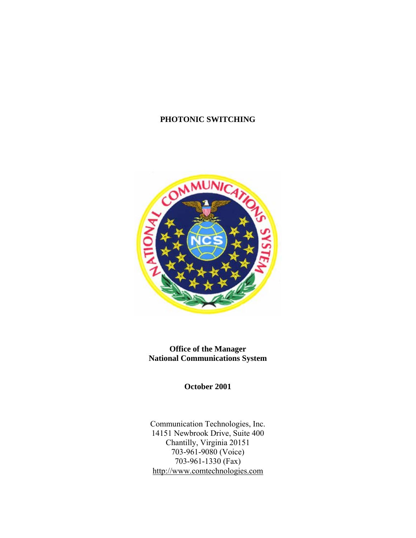#### **PHOTONIC SWITCHING**



**Office of the Manager National Communications System** 

**October 2001** 

Communication Technologies, Inc. 14151 Newbrook Drive, Suite 400 Chantilly, Virginia 20151 703-961-9080 (Voice) 703-961-1330  $(Fax)$ http://www.comtechnologies.com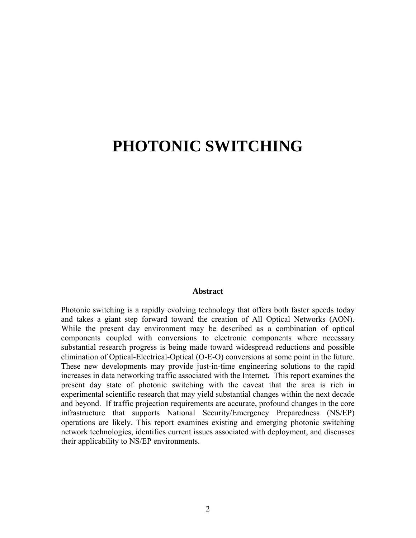# **PHOTONIC SWITCHING**

#### **Abstract**

Photonic switching is a rapidly evolving technology that offers both faster speeds today and takes a giant step forward toward the creation of All Optical Networks (AON). While the present day environment may be described as a combination of optical components coupled with conversions to electronic components where necessary substantial research progress is being made toward widespread reductions and possible elimination of Optical-Electrical-Optical (O-E-O) conversions at some point in the future. These new developments may provide just-in-time engineering solutions to the rapid increases in data networking traffic associated with the Internet. This report examines the present day state of photonic switching with the caveat that the area is rich in experimental scientific research that may yield substantial changes within the next decade and beyond. If traffic projection requirements are accurate, profound changes in the core infrastructure that supports National Security/Emergency Preparedness (NS/EP) operations are likely. This report examines existing and emerging photonic switching network technologies, identifies current issues associated with deployment, and discusses their applicability to NS/EP environments.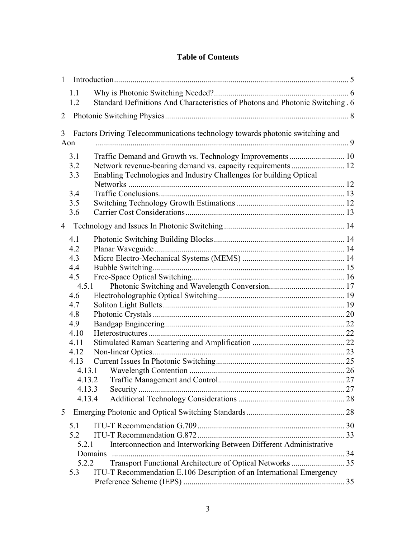#### **Table of Contents**

| $\mathbf{1}$   |                   |                                                                                                                                 |  |
|----------------|-------------------|---------------------------------------------------------------------------------------------------------------------------------|--|
|                | 1.1<br>1.2        | Standard Definitions And Characteristics of Photons and Photonic Switching 6                                                    |  |
| 2              |                   |                                                                                                                                 |  |
|                |                   |                                                                                                                                 |  |
| 3              | Aon               | Factors Driving Telecommunications technology towards photonic switching and                                                    |  |
|                | 3.1<br>3.2<br>3.3 | Traffic Demand and Growth vs. Technology Improvements  10<br>Enabling Technologies and Industry Challenges for building Optical |  |
|                | 3.4               |                                                                                                                                 |  |
|                | 3.5               |                                                                                                                                 |  |
|                | 3.6               |                                                                                                                                 |  |
| $\overline{4}$ |                   |                                                                                                                                 |  |
|                | 4.1<br>4.2<br>4.3 |                                                                                                                                 |  |
|                | 4.4               |                                                                                                                                 |  |
|                | 4.5               |                                                                                                                                 |  |
|                | 4.5.1<br>4.6      |                                                                                                                                 |  |
|                | 4.7               |                                                                                                                                 |  |
|                | 4.8               |                                                                                                                                 |  |
|                | 4.9               |                                                                                                                                 |  |
|                | 4.10              |                                                                                                                                 |  |
|                | 4.11              |                                                                                                                                 |  |
|                | 4.12              |                                                                                                                                 |  |
|                | 4.13              |                                                                                                                                 |  |
|                | 4.13.1            |                                                                                                                                 |  |
|                |                   | 4.13.2                                                                                                                          |  |
|                | 4.13.3<br>4.13.4  |                                                                                                                                 |  |
| 5              |                   |                                                                                                                                 |  |
|                |                   |                                                                                                                                 |  |
|                | 5.1               |                                                                                                                                 |  |
|                | 5.2<br>5.2.1      | Interconnection and Interworking Between Different Administrative                                                               |  |
|                |                   | Domains                                                                                                                         |  |
|                | 5.2.2             | Transport Functional Architecture of Optical Networks  35                                                                       |  |
|                | 5.3               | ITU-T Recommendation E.106 Description of an International Emergency                                                            |  |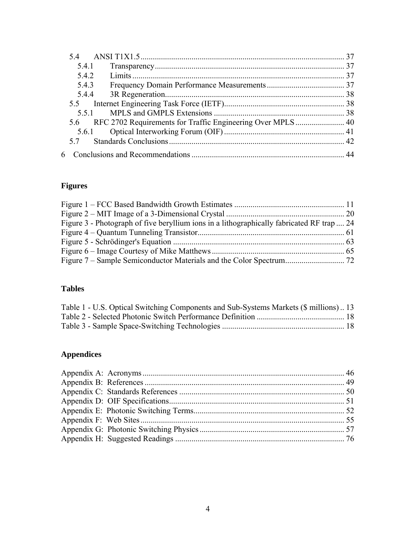| 5.4.1 |       |  |
|-------|-------|--|
| 5.4.2 |       |  |
| 5.4.3 |       |  |
|       | 5.4.4 |  |
|       |       |  |
|       | 551   |  |
|       |       |  |
|       |       |  |
| 57    |       |  |
|       |       |  |

# **Figures**

| Figure 3 - Photograph of five beryllium ions in a lithographically fabricated RF trap  24 |  |
|-------------------------------------------------------------------------------------------|--|
|                                                                                           |  |
|                                                                                           |  |
|                                                                                           |  |
|                                                                                           |  |

# **Tables**

| Table 1 - U.S. Optical Switching Components and Sub-Systems Markets (\$ millions)13 |  |
|-------------------------------------------------------------------------------------|--|
|                                                                                     |  |
|                                                                                     |  |

# **Appendices**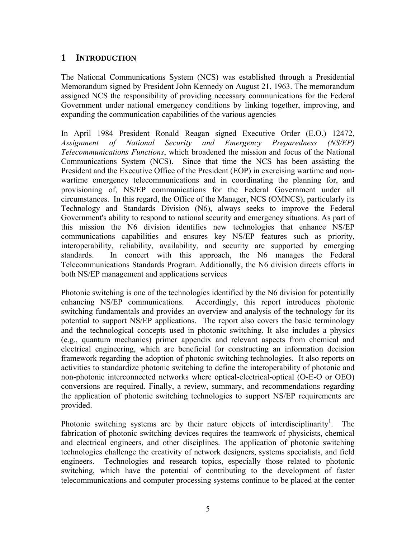## <span id="page-4-0"></span>**1 INTRODUCTION**

The National Communications System (NCS) was established through a Presidential Memorandum signed by President John Kennedy on August 21, 1963. The memorandum assigned NCS the responsibility of providing necessary communications for the Federal Government under national emergency conditions by linking together, improving, and expanding the communication capabilities of the various agencies

In April 1984 President Ronald Reagan signed Executive Order (E.O.) 12472, *Assignment of National Security and Emergency Preparedness (NS/EP) Telecommunications Functions*, which broadened the mission and focus of the National Communications System (NCS). Since that time the NCS has been assisting the President and the Executive Office of the President (EOP) in exercising wartime and nonwartime emergency telecommunications and in coordinating the planning for, and provisioning of, NS/EP communications for the Federal Government under all circumstances. In this regard, the Office of the Manager, NCS (OMNCS), particularly its Technology and Standards Division (N6), always seeks to improve the Federal Government's ability to respond to national security and emergency situations. As part of this mission the N6 division identifies new technologies that enhance NS/EP communications capabilities and ensures key NS/EP features such as priority, interoperability, reliability, availability, and security are supported by emerging standards. In concert with this approach, the N6 manages the Federal Telecommunications Standards Program. Additionally, the N6 division directs efforts in both NS/EP management and applications services

Photonic switching is one of the technologies identified by the N6 division for potentially enhancing NS/EP communications. Accordingly, this report introduces photonic switching fundamentals and provides an overview and analysis of the technology for its potential to support NS/EP applications. The report also covers the basic terminology and the technological concepts used in photonic switching. It also includes a physics (e.g., quantum mechanics) primer appendix and relevant aspects from chemical and electrical engineering, which are beneficial for constructing an information decision framework regarding the adoption of photonic switching technologies. It also reports on activities to standardize photonic switching to define the interoperability of photonic and non-photonic interconnected networks where optical-electrical-optical (O-E-O or OEO) conversions are required. Finally, a review, summary, and recommendations regarding the application of photonic switching technologies to support NS/EP requirements are provided.

Photonic switching systems are by their nature objects of interdisciplinarity<sup>1</sup>. . The fabrication of photonic switching devices requires the teamwork of physicists, chemical and electrical engineers, and other disciplines. The application of photonic switching technologies challenge the creativity of network designers, systems specialists, and field engineers. Technologies and research topics, especially those related to photonic switching, which have the potential of contributing to the development of faster telecommunications and computer processing systems continue to be placed at the center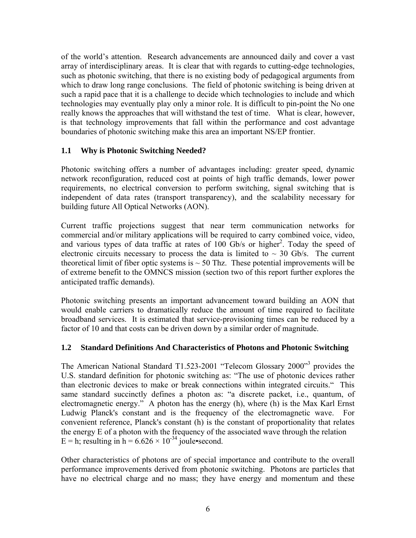<span id="page-5-0"></span>of the world's attention. Research advancements are announced daily and cover a vast array of interdisciplinary areas. It is clear that with regards to cutting-edge technologies, such as photonic switching, that there is no existing body of pedagogical arguments from which to draw long range conclusions. The field of photonic switching is being driven at such a rapid pace that it is a challenge to decide which technologies to include and which technologies may eventually play only a minor role. It is difficult to pin-point the No one really knows the approaches that will withstand the test of time. What is clear, however, is that technology improvements that fall within the performance and cost advantage boundaries of photonic switching make this area an important NS/EP frontier.

#### **1.1 Why is Photonic Switching Needed?**

Photonic switching offers a number of advantages including: greater speed, dynamic network reconfiguration, reduced cost at points of high traffic demands, lower power requirements, no electrical conversion to perform switching, signal switching that is independent of data rates (transport transparency), and the scalability necessary for building future All Optical Networks (AON).

Current traffic projections suggest that near term communication networks for commercial and/or military applications will be required to carry combined voice, video, and various types of data traffic at rates of 100 Gb/s or higher<sup>2</sup>. Today the speed of electronic circuits necessary to process the data is limited to  $\sim$  30 Gb/s. The current theoretical limit of fiber optic systems is  $\sim$  50 Thz. These potential improvements will be of extreme benefit to the OMNCS mission (section two of this report further explores the anticipated traffic demands).

Photonic switching presents an important advancement toward building an AON that would enable carriers to dramatically reduce the amount of time required to facilitate broadband services. It is estimated that service-provisioning times can be reduced by a factor of 10 and that costs can be driven down by a similar order of magnitude.

#### **1.2 Standard Definitions And Characteristics of Photons and Photonic Switching**

The American National Standard T1.523-2001 "Telecom Glossary 2000"<sup>3</sup> provides the U.S. standard definition for photonic switching as: "The use of photonic devices rather than electronic devices to make or break connections within integrated circuits." This same standard succinctly defines a photon as: "a discrete packet, i.e., quantum, of electromagnetic energy." A photon has the energy (h), where (h) is the Max Karl Ernst Ludwig Planck's constant and is the frequency of the electromagnetic wave. For convenient reference, Planck's constant (h) is the constant of proportionality that relates the energy E of a photon with the frequency of the associated wave through the relation  $E = h$ ; resulting in h = 6.626  $\times$  10<sup>-34</sup> joule•second.

Other characteristics of photons are of special importance and contribute to the overall performance improvements derived from photonic switching. Photons are particles that have no electrical charge and no mass; they have energy and momentum and these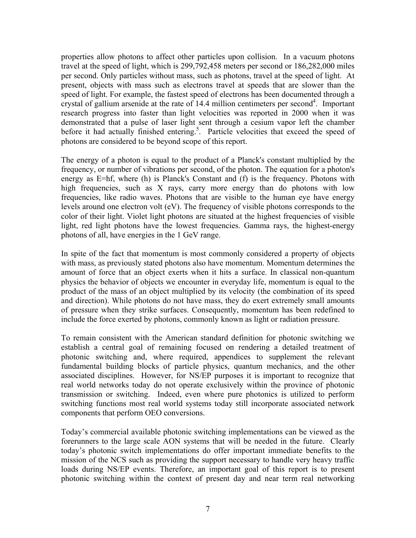properties allow photons to affect other particles upon collision. In a vacuum photons travel at the speed of light, which is 299,792,458 meters per second or 186,282,000 miles per second. Only particles without mass, such as photons, travel at the speed of light. At present, objects with mass such as electrons travel at speeds that are slower than the speed of light. For example, the fastest speed of electrons has been documented through a crystal of gallium arsenide at the rate of 14.4 million centimeters per second<sup>4</sup>. Important research progress into faster than light velocities was reported in 2000 when it was demonstrated that a pulse of laser light sent through a cesium vapor left the chamber before it had actually finished entering.<sup>5</sup>. Particle velocities that exceed the speed of photons are considered to be beyond scope of this report.

The energy of a photon is equal to the product of a Planck's constant multiplied by the frequency, or number of vibrations per second, of the photon. The equation for a photon's energy as E=hf, where (h) is Planck's Constant and (f) is the frequency. Photons with high frequencies, such as X rays, carry more energy than do photons with low frequencies, like radio waves. Photons that are visible to the human eye have energy levels around one electron volt (eV). The frequency of visible photons corresponds to the color of their light. Violet light photons are situated at the highest frequencies of visible light, red light photons have the lowest frequencies. Gamma rays, the highest-energy photons of all, have energies in the 1 GeV range.

In spite of the fact that momentum is most commonly considered a property of objects with mass, as previously stated photons also have momentum. Momentum determines the amount of force that an object exerts when it hits a surface. In classical non-quantum physics the behavior of objects we encounter in everyday life, momentum is equal to the product of the mass of an object multiplied by its velocity (the combination of its speed and direction). While photons do not have mass, they do exert extremely small amounts of pressure when they strike surfaces. Consequently, momentum has been redefined to include the force exerted by photons, commonly known as light or radiation pressure.

To remain consistent with the American standard definition for photonic switching we establish a central goal of remaining focused on rendering a detailed treatment of photonic switching and, where required, appendices to supplement the relevant fundamental building blocks of particle physics, quantum mechanics, and the other associated disciplines. However, for NS/EP purposes it is important to recognize that real world networks today do not operate exclusively within the province of photonic transmission or switching. Indeed, even where pure photonics is utilized to perform switching functions most real world systems today still incorporate associated network components that perform OEO conversions.

Today's commercial available photonic switching implementations can be viewed as the forerunners to the large scale AON systems that will be needed in the future. Clearly today's photonic switch implementations do offer important immediate benefits to the mission of the NCS such as providing the support necessary to handle very heavy traffic loads during NS/EP events. Therefore, an important goal of this report is to present photonic switching within the context of present day and near term real networking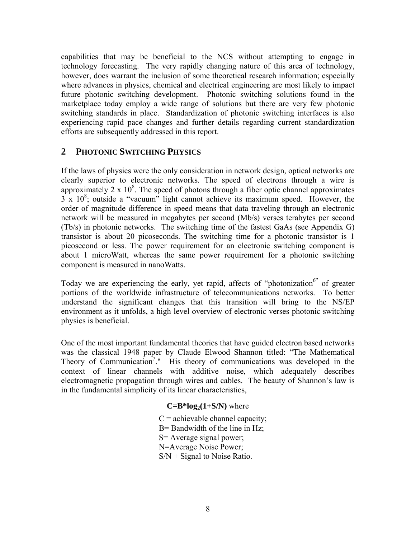<span id="page-7-0"></span>capabilities that may be beneficial to the NCS without attempting to engage in technology forecasting. The very rapidly changing nature of this area of technology, however, does warrant the inclusion of some theoretical research information; especially where advances in physics, chemical and electrical engineering are most likely to impact future photonic switching development. Photonic switching solutions found in the marketplace today employ a wide range of solutions but there are very few photonic switching standards in place. Standardization of photonic switching interfaces is also experiencing rapid pace changes and further details regarding current standardization efforts are subsequently addressed in this report.

## **2 PHOTONIC SWITCHING PHYSICS**

If the laws of physics were the only consideration in network design, optical networks are clearly superior to electronic networks. The speed of electrons through a wire is approximately 2  $\times$  10<sup>8</sup>. The speed of photons through a fiber optic channel approximates  $3 \times 10^8$ ; outside a "vacuum" light cannot achieve its maximum speed. However, the order of magnitude difference in speed means that data traveling through an electronic network will be measured in megabytes per second (Mb/s) verses terabytes per second (Tb/s) in photonic networks. The switching time of the fastest GaAs (see Appendix G) transistor is about 20 picoseconds. The switching time for a photonic transistor is 1 picosecond or less. The power requirement for an electronic switching component is about 1 microWatt, whereas the same power requirement for a photonic switching component is measured in nanoWatts.

Today we are experiencing the early, yet rapid, affects of "photonization<sup>6"</sup> of greater portions of the worldwide infrastructure of telecommunications networks. To better understand the significant changes that this transition will bring to the NS/EP environment as it unfolds, a high level overview of electronic verses photonic switching physics is beneficial.

One of the most important fundamental theories that have guided electron based networks was the classical 1948 paper by Claude Elwood Shannon titled: "The Mathematical Theory of Communication<sup>7</sup>." His theory of communications was developed in the context of linear channels with additive noise, which adequately describes electromagnetic propagation through wires and cables. The beauty of Shannon's law is in the fundamental simplicity of its linear characteristics,

#### $C=B^*log_2(1+S/N)$  where

 $C =$  achievable channel capacity; B= Bandwidth of the line in Hz; S= Average signal power; N=Average Noise Power;  $S/N$  + Signal to Noise Ratio.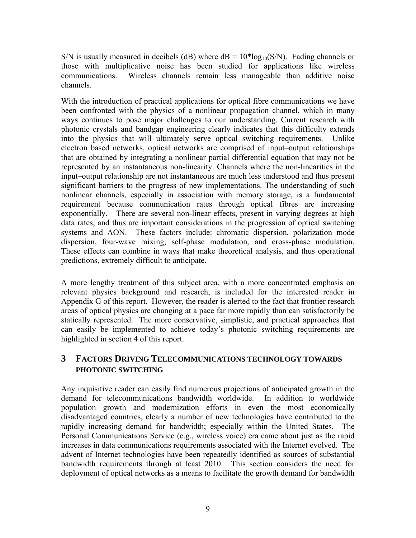<span id="page-8-0"></span>S/N is usually measured in decibels (dB) where  $dB = 10*log_{10}(S/N)$ . Fading channels or those with multiplicative noise has been studied for applications like wireless communications. Wireless channels remain less manageable than additive noise channels.

With the introduction of practical applications for optical fibre communications we have been confronted with the physics of a nonlinear propagation channel, which in many ways continues to pose major challenges to our understanding. Current research with photonic crystals and bandgap engineering clearly indicates that this difficulty extends into the physics that will ultimately serve optical switching requirements. Unlike electron based networks, optical networks are comprised of input–output relationships that are obtained by integrating a nonlinear partial differential equation that may not be represented by an instantaneous non-linearity. Channels where the non-linearities in the input–output relationship are not instantaneous are much less understood and thus present significant barriers to the progress of new implementations. The understanding of such nonlinear channels, especially in association with memory storage, is a fundamental requirement because communication rates through optical fibres are increasing exponentially. There are several non-linear effects, present in varying degrees at high data rates, and thus are important considerations in the progression of optical switching systems and AON. These factors include: chromatic dispersion, polarization mode dispersion, four-wave mixing, self-phase modulation, and cross-phase modulation. These effects can combine in ways that make theoretical analysis, and thus operational predictions, extremely difficult to anticipate.

A more lengthy treatment of this subject area, with a more concentrated emphasis on relevant physics background and research, is included for the interested reader in Appendix G of this report. However, the reader is alerted to the fact that frontier research areas of optical physics are changing at a pace far more rapidly than can satisfactorily be statically represented. The more conservative, simplistic, and practical approaches that can easily be implemented to achieve today's photonic switching requirements are highlighted in section 4 of this report.

## **3 FACTORS DRIVING TELECOMMUNICATIONS TECHNOLOGY TOWARDS PHOTONIC SWITCHING**

Any inquisitive reader can easily find numerous projections of anticipated growth in the demand for telecommunications bandwidth worldwide. In addition to worldwide population growth and modernization efforts in even the most economically disadvantaged countries, clearly a number of new technologies have contributed to the rapidly increasing demand for bandwidth; especially within the United States. The Personal Communications Service (e.g., wireless voice) era came about just as the rapid increases in data communications requirements associated with the Internet evolved. The advent of Internet technologies have been repeatedly identified as sources of substantial bandwidth requirements through at least 2010. This section considers the need for deployment of optical networks as a means to facilitate the growth demand for bandwidth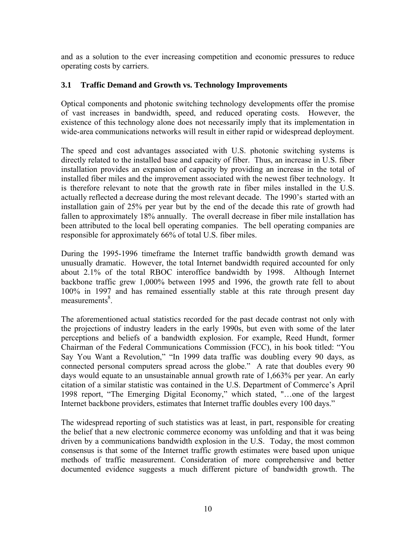<span id="page-9-0"></span>and as a solution to the ever increasing competition and economic pressures to reduce operating costs by carriers.

#### **3.1 Traffic Demand and Growth vs. Technology Improvements**

Optical components and photonic switching technology developments offer the promise of vast increases in bandwidth, speed, and reduced operating costs. However, the existence of this technology alone does not necessarily imply that its implementation in wide-area communications networks will result in either rapid or widespread deployment.

The speed and cost advantages associated with U.S. photonic switching systems is directly related to the installed base and capacity of fiber. Thus, an increase in U.S. fiber installation provides an expansion of capacity by providing an increase in the total of installed fiber miles and the improvement associated with the newest fiber technology. It is therefore relevant to note that the growth rate in fiber miles installed in the U.S. actually reflected a decrease during the most relevant decade. The 1990's started with an installation gain of 25% per year but by the end of the decade this rate of growth had fallen to approximately 18% annually. The overall decrease in fiber mile installation has been attributed to the local bell operating companies. The bell operating companies are responsible for approximately 66% of total U.S. fiber miles.

During the 1995-1996 timeframe the Internet traffic bandwidth growth demand was unusually dramatic. However, the total Internet bandwidth required accounted for only about 2.1% of the total RBOC interoffice bandwidth by 1998. Although Internet backbone traffic grew 1,000% between 1995 and 1996, the growth rate fell to about 100% in 1997 and has remained essentially stable at this rate through present day measurements<sup>8</sup>.

The aforementioned actual statistics recorded for the past decade contrast not only with the projections of industry leaders in the early 1990s, but even with some of the later perceptions and beliefs of a bandwidth explosion. For example, Reed Hundt, former Chairman of the Federal Communications Commission (FCC), in his book titled: "You Say You Want a Revolution," "In 1999 data traffic was doubling every 90 days, as connected personal computers spread across the globe." A rate that doubles every 90 days would equate to an unsustainable annual growth rate of 1,663% per year. An early citation of a similar statistic was contained in the U.S. Department of Commerce's April 1998 report, "The Emerging Digital Economy," which stated, "…one of the largest Internet backbone providers, estimates that Internet traffic doubles every 100 days."

The widespread reporting of such statistics was at least, in part, responsible for creating the belief that a new electronic commerce economy was unfolding and that it was being driven by a communications bandwidth explosion in the U.S. Today, the most common consensus is that some of the Internet traffic growth estimates were based upon unique methods of traffic measurement. Consideration of more comprehensive and better documented evidence suggests a much different picture of bandwidth growth. The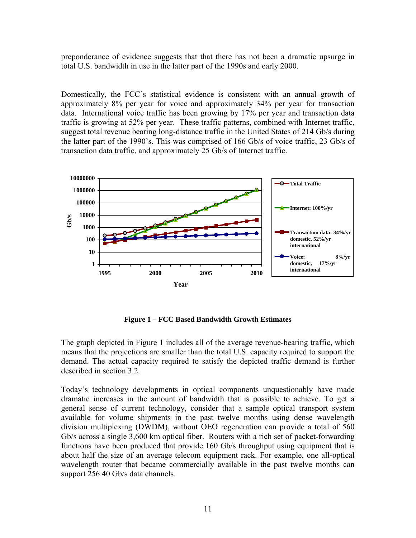<span id="page-10-0"></span>preponderance of evidence suggests that that there has not been a dramatic upsurge in total U.S. bandwidth in use in the latter part of the 1990s and early 2000.

Domestically, the FCC's statistical evidence is consistent with an annual growth of approximately 8% per year for voice and approximately 34% per year for transaction data. International voice traffic has been growing by 17% per year and transaction data traffic is growing at 52% per year. These traffic patterns, combined with Internet traffic, suggest total revenue bearing long-distance traffic in the United States of 214 Gb/s during the latter part of the 1990's. This was comprised of 166 Gb/s of voice traffic, 23 Gb/s of transaction data traffic, and approximately 25 Gb/s of Internet traffic.



**Figure 1 – FCC Based Bandwidth Growth Estimates**

The graph depicted in Figure 1 includes all of the average revenue-bearing traffic, which means that the projections are smaller than the total U.S. capacity required to support the demand. The actual capacity required to satisfy the depicted traffic demand is further described in section 3.2.

Today's technology developments in optical components unquestionably have made dramatic increases in the amount of bandwidth that is possible to achieve. To get a general sense of current technology, consider that a sample optical transport system available for volume shipments in the past twelve months using dense wavelength division multiplexing (DWDM), without OEO regeneration can provide a total of 560 Gb/s across a single 3,600 km optical fiber. Routers with a rich set of packet-forwarding functions have been produced that provide 160 Gb/s throughput using equipment that is about half the size of an average telecom equipment rack. For example, one all-optical wavelength router that became commercially available in the past twelve months can support 256 40 Gb/s data channels.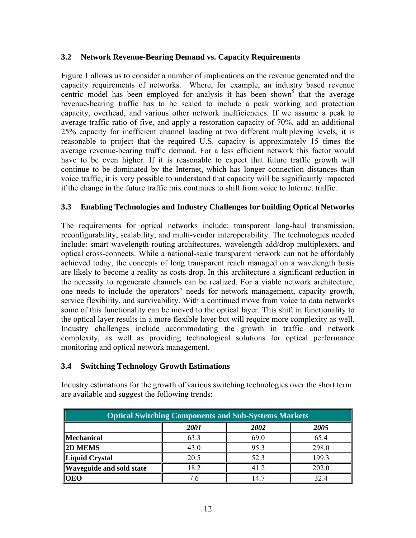#### <span id="page-11-0"></span>**3.2 Network Revenue-Bearing Demand vs. Capacity Requirements**

Figure 1 allows us to consider a number of implications on the revenue generated and the capacity requirements of networks. Where, for example, an industry based revenue centric model has been employed for analysis it has been shown<sup>5</sup> that the average revenue-bearing traffic has to be scaled to include a peak working and protection capacity, overhead, and various other network inefficiencies. If we assume a peak to average traffic ratio of five, and apply a restoration capacity of 70%, add an additional 25% capacity for inefficient channel loading at two different multiplexing levels, it is reasonable to project that the required U.S. capacity is approximately 15 times the average revenue-bearing traffic demand. For a less efficient network this factor would have to be even higher. If it is reasonable to expect that future traffic growth will continue to be dominated by the Internet, which has longer connection distances than voice traffic, it is very possible to understand that capacity will be significantly impacted if the change in the future traffic mix continues to shift from voice to Internet traffic.

#### **3.3 Enabling Technologies and Industry Challenges for building Optical Networks**

The requirements for optical networks include: transparent long-haul transmission, reconfigurability, scalability, and multi-vendor interoperability. The technologies needed include: smart wavelength-routing architectures, wavelength add/drop multiplexers, and optical cross-connects. While a national-scale transparent network can not be affordably achieved today, the concepts of long transparent reach managed on a wavelength basis are likely to become a reality as costs drop. In this architecture a significant reduction in the necessity to regenerate channels can be realized. For a viable network architecture, one needs to include the operators' needs for network management, capacity growth, service flexibility, and survivability. With a continued move from voice to data networks some of this functionality can be moved to the optical layer. This shift in functionality to the optical layer results in a more flexible layer but will require more complexity as well. Industry challenges include accommodating the growth in traffic and network complexity, as well as providing technological solutions for optical performance monitoring and optical network management.

#### **3.4 Switching Technology Growth Estimations**

| <b>Optical Switching Components and Sub-Systems Markets</b> |      |      |       |
|-------------------------------------------------------------|------|------|-------|
|                                                             | 2001 | 2002 | 2005  |
| <b>Mechanical</b>                                           | 63.3 | 69.0 | 65.4  |
| <b>2D MEMS</b>                                              | 43.0 | 95.3 | 298.0 |
| Liquid Crystal                                              | 20.5 | 52.3 | 199.3 |
| <b>Waveguide and sold state</b>                             | 18.2 | 41.2 | 202.0 |
| <b>OEO</b>                                                  | 7.6  | 14.7 | 32.4  |

Industry estimations for the growth of various switching technologies over the short term are available and suggest the following trends: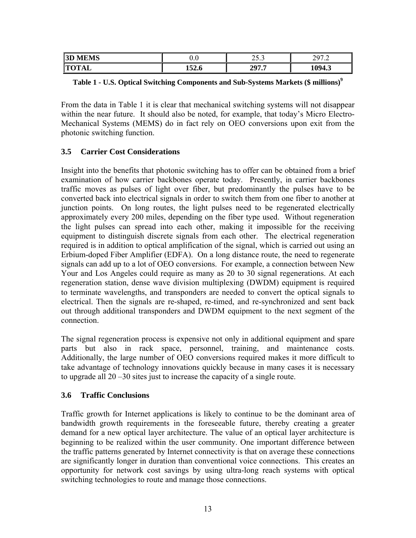<span id="page-12-0"></span>

| MS<br> 3D         | v.v         | $\sim$ $\sim$<br>$\overline{\phantom{a}}$<br>ر. ب | $\sim$ $\sim$<br>-<br>ر ت<br>$\cdot$ |
|-------------------|-------------|---------------------------------------------------|--------------------------------------|
| Im<br>. .<br>---- | .<br>1940 L | 207<br>-<br>. .                                   | $\sqrt{ }$<br>ு⊶                     |

|  | Table 1 - U.S. Optical Switching Components and Sub-Systems Markets (\$ millions) <sup>9</sup> |  |  |
|--|------------------------------------------------------------------------------------------------|--|--|
|  |                                                                                                |  |  |

From the data in Table 1 it is clear that mechanical switching systems will not disappear within the near future. It should also be noted, for example, that today's Micro Electro-Mechanical Systems (MEMS) do in fact rely on OEO conversions upon exit from the photonic switching function.

#### **3.5 Carrier Cost Considerations**

Insight into the benefits that photonic switching has to offer can be obtained from a brief examination of how carrier backbones operate today. Presently, in carrier backbones traffic moves as pulses of light over fiber, but predominantly the pulses have to be converted back into electrical signals in order to switch them from one fiber to another at junction points. On long routes, the light pulses need to be regenerated electrically approximately every 200 miles, depending on the fiber type used. Without regeneration the light pulses can spread into each other, making it impossible for the receiving equipment to distinguish discrete signals from each other. The electrical regeneration required is in addition to optical amplification of the signal, which is carried out using an Erbium-doped Fiber Amplifier (EDFA). On a long distance route, the need to regenerate signals can add up to a lot of OEO conversions. For example, a connection between New Your and Los Angeles could require as many as 20 to 30 signal regenerations. At each regeneration station, dense wave division multiplexing (DWDM) equipment is required to terminate wavelengths, and transponders are needed to convert the optical signals to electrical. Then the signals are re-shaped, re-timed, and re-synchronized and sent back out through additional transponders and DWDM equipment to the next segment of the connection.

The signal regeneration process is expensive not only in additional equipment and spare parts but also in rack space, personnel, training, and maintenance costs. Additionally, the large number of OEO conversions required makes it more difficult to take advantage of technology innovations quickly because in many cases it is necessary to upgrade all 20 –30 sites just to increase the capacity of a single route.

#### **3.6 Traffic Conclusions**

Traffic growth for Internet applications is likely to continue to be the dominant area of bandwidth growth requirements in the foreseeable future, thereby creating a greater demand for a new optical layer architecture. The value of an optical layer architecture is beginning to be realized within the user community. One important difference between the traffic patterns generated by Internet connectivity is that on average these connections are significantly longer in duration than conventional voice connections. This creates an opportunity for network cost savings by using ultra-long reach systems with optical switching technologies to route and manage those connections.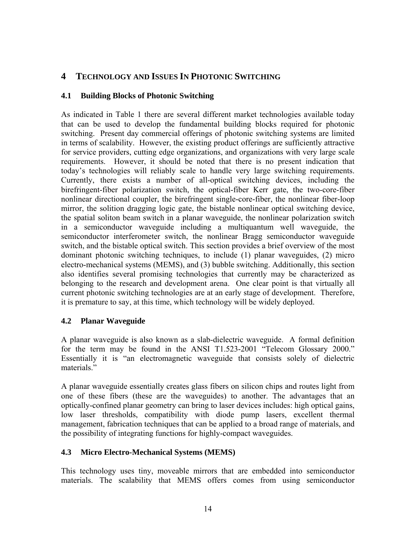## <span id="page-13-0"></span>**4 TECHNOLOGY AND ISSUES IN PHOTONIC SWITCHING**

#### **4.1 Building Blocks of Photonic Switching**

As indicated in Table 1 there are several different market technologies available today that can be used to develop the fundamental building blocks required for photonic switching. Present day commercial offerings of photonic switching systems are limited in terms of scalability. However, the existing product offerings are sufficiently attractive for service providers, cutting edge organizations, and organizations with very large scale requirements. However, it should be noted that there is no present indication that today's technologies will reliably scale to handle very large switching requirements. Currently, there exists a number of all-optical switching devices, including the birefringent-fiber polarization switch, the optical-fiber Kerr gate, the two-core-fiber nonlinear directional coupler, the birefringent single-core-fiber, the nonlinear fiber-loop mirror, the solition dragging logic gate, the bistable nonlinear optical switching device, the spatial soliton beam switch in a planar waveguide, the nonlinear polarization switch in a semiconductor waveguide including a multiquantum well waveguide, the semiconductor interferometer switch, the nonlinear Bragg semiconductor waveguide switch, and the bistable optical switch. This section provides a brief overview of the most dominant photonic switching techniques, to include (1) planar waveguides, (2) micro electro-mechanical systems (MEMS), and (3) bubble switching. Additionally, this section also identifies several promising technologies that currently may be characterized as belonging to the research and development arena. One clear point is that virtually all current photonic switching technologies are at an early stage of development. Therefore, it is premature to say, at this time, which technology will be widely deployed.

#### **4.2 Planar Waveguide**

A planar waveguide is also known as a slab-dielectric waveguide. A formal definition for the term may be found in the ANSI T1.523-2001 "Telecom Glossary 2000." Essentially it is "an electromagnetic waveguide that consists solely of dielectric materials<sup>"</sup>

A planar waveguide essentially creates glass fibers on silicon chips and routes light from one of these fibers (these are the waveguides) to another. The advantages that an optically-confined planar geometry can bring to laser devices includes: high optical gains, low laser thresholds, compatibility with diode pump lasers, excellent thermal management, fabrication techniques that can be applied to a broad range of materials, and the possibility of integrating functions for highly-compact waveguides.

#### **4.3 Micro Electro-Mechanical Systems (MEMS)**

This technology uses tiny, moveable mirrors that are embedded into semiconductor materials. The scalability that MEMS offers comes from using semiconductor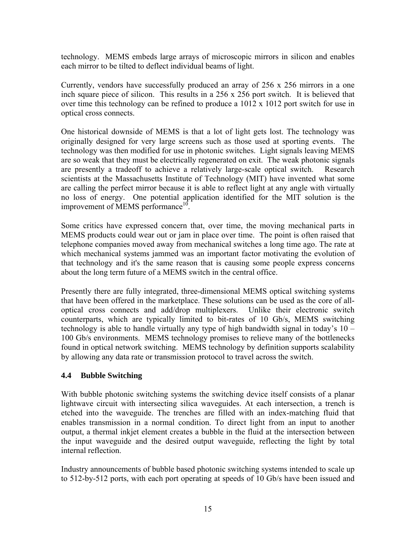<span id="page-14-0"></span>technology. MEMS embeds large arrays of microscopic mirrors in silicon and enables each mirror to be tilted to deflect individual beams of light.

Currently, vendors have successfully produced an array of 256 x 256 mirrors in a one inch square piece of silicon. This results in a 256 x 256 port switch. It is believed that over time this technology can be refined to produce a 1012 x 1012 port switch for use in optical cross connects.

One historical downside of MEMS is that a lot of light gets lost. The technology was originally designed for very large screens such as those used at sporting events. The technology was then modified for use in photonic switches. Light signals leaving MEMS are so weak that they must be electrically regenerated on exit. The weak photonic signals are presently a tradeoff to achieve a relatively large-scale optical switch. Research scientists at the Massachusetts Institute of Technology (MIT) have invented what some are calling the perfect mirror because it is able to reflect light at any angle with virtually no loss of energy. One potential application identified for the MIT solution is the improvement of MEMS performance<sup>10</sup>.

Some critics have expressed concern that, over time, the moving mechanical parts in MEMS products could wear out or jam in place over time. The point is often raised that telephone companies moved away from mechanical switches a long time ago. The rate at which mechanical systems jammed was an important factor motivating the evolution of that technology and it's the same reason that is causing some people express concerns about the long term future of a MEMS switch in the central office.

Presently there are fully integrated, three-dimensional MEMS optical switching systems that have been offered in the marketplace. These solutions can be used as the core of alloptical cross connects and add/drop multiplexers. Unlike their electronic switch counterparts, which are typically limited to bit-rates of 10 Gb/s, MEMS switching technology is able to handle virtually any type of high bandwidth signal in today's 10 – 100 Gb/s environments. MEMS technology promises to relieve many of the bottlenecks found in optical network switching. MEMS technology by definition supports scalability by allowing any data rate or transmission protocol to travel across the switch.

#### **4.4 Bubble Switching**

With bubble photonic switching systems the switching device itself consists of a planar lightwave circuit with intersecting silica waveguides. At each intersection, a trench is etched into the waveguide. The trenches are filled with an index-matching fluid that enables transmission in a normal condition. To direct light from an input to another output, a thermal inkjet element creates a bubble in the fluid at the intersection between the input waveguide and the desired output waveguide, reflecting the light by total internal reflection.

Industry announcements of bubble based photonic switching systems intended to scale up to 512-by-512 ports, with each port operating at speeds of 10 Gb/s have been issued and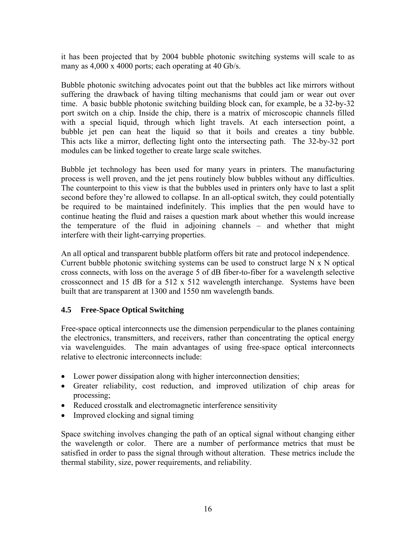<span id="page-15-0"></span>it has been projected that by 2004 bubble photonic switching systems will scale to as many as  $4,000 \times 4000$  ports; each operating at 40 Gb/s.

Bubble photonic switching advocates point out that the bubbles act like mirrors without suffering the drawback of having tilting mechanisms that could jam or wear out over time. A basic bubble photonic switching building block can, for example, be a 32-by-32 port switch on a chip. Inside the chip, there is a matrix of microscopic channels filled with a special liquid, through which light travels. At each intersection point, a bubble jet pen can heat the liquid so that it boils and creates a tiny bubble. This acts like a mirror, deflecting light onto the intersecting path. The 32-by-32 port modules can be linked together to create large scale switches.

Bubble jet technology has been used for many years in printers. The manufacturing process is well proven, and the jet pens routinely blow bubbles without any difficulties. The counterpoint to this view is that the bubbles used in printers only have to last a split second before they're allowed to collapse. In an all-optical switch, they could potentially be required to be maintained indefinitely. This implies that the pen would have to continue heating the fluid and raises a question mark about whether this would increase the temperature of the fluid in adjoining channels – and whether that might interfere with their light-carrying properties.

An all optical and transparent bubble platform offers bit rate and protocol independence. Current bubble photonic switching systems can be used to construct large  $N \times N$  optical cross connects, with loss on the average 5 of dB fiber-to-fiber for a wavelength selective crossconnect and 15 dB for a 512 x 512 wavelength interchange. Systems have been built that are transparent at 1300 and 1550 nm wavelength bands.

#### **4.5 Free-Space Optical Switching**

Free-space optical interconnects use the dimension perpendicular to the planes containing the electronics, transmitters, and receivers, rather than concentrating the optical energy via wavelenguides. The main advantages of using free-space optical interconnects relative to electronic interconnects include:

- Lower power dissipation along with higher interconnection densities;
- Greater reliability, cost reduction, and improved utilization of chip areas for processing;
- Reduced crosstalk and electromagnetic interference sensitivity
- Improved clocking and signal timing

Space switching involves changing the path of an optical signal without changing either the wavelength or color. There are a number of performance metrics that must be satisfied in order to pass the signal through without alteration. These metrics include the thermal stability, size, power requirements, and reliability.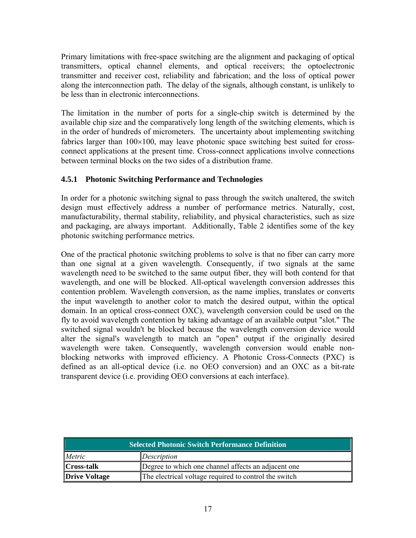<span id="page-16-0"></span>Primary limitations with free-space switching are the alignment and packaging of optical transmitters, optical channel elements, and optical receivers; the optoelectronic transmitter and receiver cost, reliability and fabrication; and the loss of optical power along the interconnection path. The delay of the signals, although constant, is unlikely to be less than in electronic interconnections.

The limitation in the number of ports for a single-chip switch is determined by the available chip size and the comparatively long length of the switching elements, which is in the order of hundreds of micrometers. The uncertainty about implementing switching fabrics larger than  $100\times100$ , may leave photonic space switching best suited for crossconnect applications at the present time. Cross-connect applications involve connections between terminal blocks on the two sides of a distribution frame.

#### **4.5.1 Photonic Switching Performance and Technologies**

In order for a photonic switching signal to pass through the switch unaltered, the switch design must effectively address a number of performance metrics. Naturally, cost, manufacturability, thermal stability, reliability, and physical characteristics, such as size and packaging, are always important. Additionally, Table 2 identifies some of the key photonic switching performance metrics.

One of the practical photonic switching problems to solve is that no fiber can carry more than one signal at a given wavelength. Consequently, if two signals at the same wavelength need to be switched to the same output fiber, they will both contend for that wavelength, and one will be blocked. All-optical wavelength conversion addresses this contention problem. Wavelength conversion, as the name implies, translates or converts the input wavelength to another color to match the desired output, within the optical domain. In an optical cross-connect OXC), wavelength conversion could be used on the fly to avoid wavelength contention by taking advantage of an available output "slot." The switched signal wouldn't be blocked because the wavelength conversion device would alter the signal's wavelength to match an "open" output if the originally desired wavelength were taken. Consequently, wavelength conversion would enable nonblocking networks with improved efficiency. A Photonic Cross-Connects (PXC) is defined as an all-optical device (i.e. no OEO conversion) and an OXC as a bit-rate transparent device (i.e. providing OEO conversions at each interface).

| <b>Selected Photonic Switch Performance Definition</b> |                                                       |  |
|--------------------------------------------------------|-------------------------------------------------------|--|
| Metric                                                 | Description                                           |  |
| <b>Cross-talk</b>                                      | Degree to which one channel affects an adjacent one   |  |
| <b>Drive Voltage</b>                                   | The electrical voltage required to control the switch |  |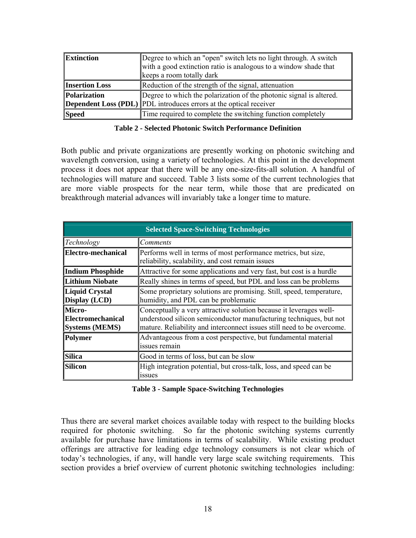<span id="page-17-0"></span>

| Extinction                 | Degree to which an "open" switch lets no light through. A switch          |  |
|----------------------------|---------------------------------------------------------------------------|--|
|                            | with a good extinction ratio is analogous to a window shade that          |  |
|                            | keeps a room totally dark                                                 |  |
| <b>Insertion Loss</b>      | Reduction of the strength of the signal, attenuation                      |  |
| <i><b>Polarization</b></i> | Degree to which the polarization of the photonic signal is altered.       |  |
|                            | <b>Dependent Loss (PDL)</b> PDL introduces errors at the optical receiver |  |
| <b>Speed</b>               | Time required to complete the switching function completely               |  |

#### **Table 2 - Selected Photonic Switch Performance Definition**

Both public and private organizations are presently working on photonic switching and wavelength conversion, using a variety of technologies. At this point in the development process it does not appear that there will be any one-size-fits-all solution. A handful of technologies will mature and succeed. Table 3 lists some of the current technologies that are more viable prospects for the near term, while those that are predicated on breakthrough material advances will invariably take a longer time to mature.

| <b>Selected Space-Switching Technologies</b>                |                                                                                                                                                                                                                    |  |  |
|-------------------------------------------------------------|--------------------------------------------------------------------------------------------------------------------------------------------------------------------------------------------------------------------|--|--|
| Technology                                                  | Comments                                                                                                                                                                                                           |  |  |
| Electro-mechanical                                          | Performs well in terms of most performance metrics, but size,<br>reliability, scalability, and cost remain issues                                                                                                  |  |  |
| <b>Indium Phosphide</b>                                     | Attractive for some applications and very fast, but cost is a hurdle                                                                                                                                               |  |  |
| <b>Lithium Niobate</b>                                      | Really shines in terms of speed, but PDL and loss can be problems                                                                                                                                                  |  |  |
| <b>Liquid Crystal</b><br>Display (LCD)                      | Some proprietary solutions are promising. Still, speed, temperature,<br>humidity, and PDL can be problematic                                                                                                       |  |  |
| Micro-<br><b>Electromechanical</b><br><b>Systems (MEMS)</b> | Conceptually a very attractive solution because it leverages well-<br>understood silicon semiconductor manufacturing techniques, but not<br>mature. Reliability and interconnect issues still need to be overcome. |  |  |
| <b>Polymer</b>                                              | Advantageous from a cost perspective, but fundamental material<br>issues remain                                                                                                                                    |  |  |
| <b>Silica</b>                                               | Good in terms of loss, but can be slow                                                                                                                                                                             |  |  |
| <b>Silicon</b>                                              | High integration potential, but cross-talk, loss, and speed can be<br><i>s</i> sues                                                                                                                                |  |  |

#### **Table 3 - Sample Space-Switching Technologies**

Thus there are several market choices available today with respect to the building blocks required for photonic switching. So far the photonic switching systems currently available for purchase have limitations in terms of scalability. While existing product offerings are attractive for leading edge technology consumers is not clear which of today's technologies, if any, will handle very large scale switching requirements. This section provides a brief overview of current photonic switching technologies including: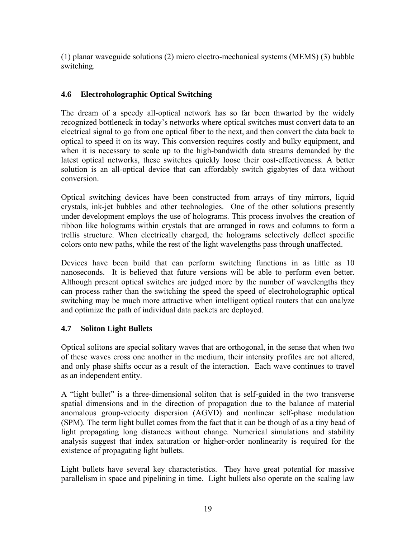<span id="page-18-0"></span>(1) planar waveguide solutions (2) micro electro-mechanical systems (MEMS) (3) bubble switching.

#### **4.6 Electroholographic Optical Switching**

The dream of a speedy all-optical network has so far been thwarted by the widely recognized bottleneck in today's networks where optical switches must convert data to an electrical signal to go from one optical fiber to the next, and then convert the data back to optical to speed it on its way. This conversion requires costly and bulky equipment, and when it is necessary to scale up to the high-bandwidth data streams demanded by the latest optical networks, these switches quickly loose their cost-effectiveness. A better solution is an all-optical device that can affordably switch gigabytes of data without conversion.

Optical switching devices have been constructed from arrays of tiny mirrors, liquid crystals, ink-jet bubbles and other technologies. One of the other solutions presently under development employs the use of holograms. This process involves the creation of ribbon like holograms within crystals that are arranged in rows and columns to form a trellis structure. When electrically charged, the holograms selectively deflect specific colors onto new paths, while the rest of the light wavelengths pass through unaffected.

Devices have been build that can perform switching functions in as little as 10 nanoseconds. It is believed that future versions will be able to perform even better. Although present optical switches are judged more by the number of wavelengths they can process rather than the switching the speed the speed of electroholographic optical switching may be much more attractive when intelligent optical routers that can analyze and optimize the path of individual data packets are deployed.

#### **4.7 Soliton Light Bullets**

Optical solitons are special solitary waves that are orthogonal, in the sense that when two of these waves cross one another in the medium, their intensity profiles are not altered, and only phase shifts occur as a result of the interaction. Each wave continues to travel as an independent entity.

A "light bullet" is a three-dimensional soliton that is self-guided in the two transverse spatial dimensions and in the direction of propagation due to the balance of material anomalous group-velocity dispersion (AGVD) and nonlinear self-phase modulation (SPM). The term light bullet comes from the fact that it can be though of as a tiny bead of light propagating long distances without change. Numerical simulations and stability analysis suggest that index saturation or higher-order nonlinearity is required for the existence of propagating light bullets.

Light bullets have several key characteristics. They have great potential for massive parallelism in space and pipelining in time. Light bullets also operate on the scaling law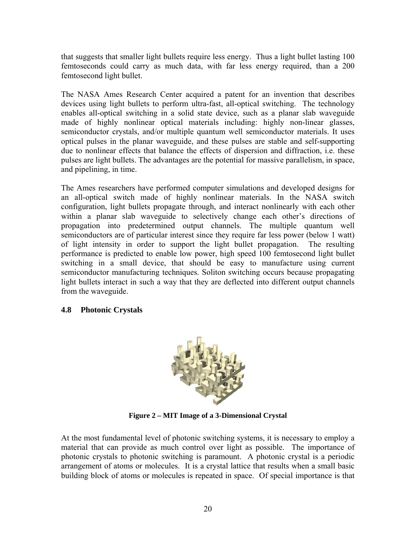<span id="page-19-0"></span>that suggests that smaller light bullets require less energy. Thus a light bullet lasting 100 femtoseconds could carry as much data, with far less energy required, than a 200 femtosecond light bullet.

The NASA Ames Research Center acquired a patent for an invention that describes devices using light bullets to perform ultra-fast, all-optical switching. The technology enables all-optical switching in a solid state device, such as a planar slab waveguide made of highly nonlinear optical materials including: highly non-linear glasses, semiconductor crystals, and/or multiple quantum well semiconductor materials. It uses optical pulses in the planar waveguide, and these pulses are stable and self-supporting due to nonlinear effects that balance the effects of dispersion and diffraction, i.e. these pulses are light bullets. The advantages are the potential for massive parallelism, in space, and pipelining, in time.

The Ames researchers have performed computer simulations and developed designs for an all-optical switch made of highly nonlinear materials. In the NASA switch configuration, light bullets propagate through, and interact nonlinearly with each other within a planar slab waveguide to selectively change each other's directions of propagation into predetermined output channels. The multiple quantum well semiconductors are of particular interest since they require far less power (below 1 watt) of light intensity in order to support the light bullet propagation. The resulting performance is predicted to enable low power, high speed 100 femtosecond light bullet switching in a small device, that should be easy to manufacture using current semiconductor manufacturing techniques. Soliton switching occurs because propagating light bullets interact in such a way that they are deflected into different output channels from the waveguide.

#### **4.8 Photonic Crystals**



**Figure 2 – MIT Image of a 3-Dimensional Crystal** 

At the most fundamental level of photonic switching systems, it is necessary to employ a material that can provide as much control over light as possible. The importance of photonic crystals to photonic switching is paramount. A photonic crystal is a periodic arrangement of atoms or molecules. It is a crystal lattice that results when a small basic building block of atoms or molecules is repeated in space. Of special importance is that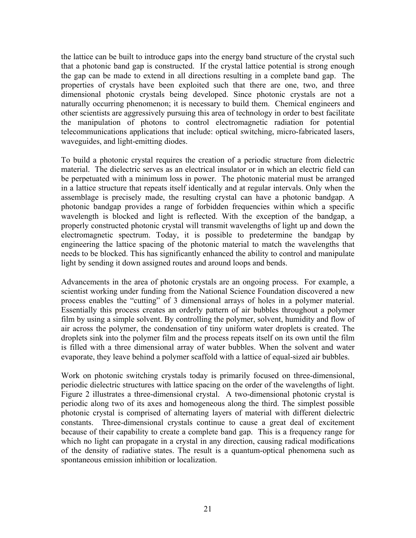the lattice can be built to introduce gaps into the energy band structure of the crystal such that a photonic band gap is constructed. If the crystal lattice potential is strong enough the gap can be made to extend in all directions resulting in a complete band gap. The properties of crystals have been exploited such that there are one, two, and three dimensional photonic crystals being developed. Since photonic crystals are not a naturally occurring phenomenon; it is necessary to build them. Chemical engineers and other scientists are aggressively pursuing this area of technology in order to best facilitate the manipulation of photons to control electromagnetic radiation for potential telecommunications applications that include: optical switching, micro-fabricated lasers, waveguides, and light-emitting diodes.

To build a photonic crystal requires the creation of a periodic structure from dielectric material. The dielectric serves as an electrical insulator or in which an electric field can be perpetuated with a minimum loss in power. The photonic material must be arranged in a lattice structure that repeats itself identically and at regular intervals. Only when the assemblage is precisely made, the resulting crystal can have a photonic bandgap. A photonic bandgap provides a range of forbidden frequencies within which a specific wavelength is blocked and light is reflected. With the exception of the bandgap, a properly constructed photonic crystal will transmit wavelengths of light up and down the electromagnetic spectrum. Today, it is possible to predetermine the bandgap by engineering the lattice spacing of the photonic material to match the wavelengths that needs to be blocked. This has significantly enhanced the ability to control and manipulate light by sending it down assigned routes and around loops and bends.

Advancements in the area of photonic crystals are an ongoing process. For example, a scientist working under funding from the National Science Foundation discovered a new process enables the "cutting" of 3 dimensional arrays of holes in a polymer material. Essentially this process creates an orderly pattern of air bubbles throughout a polymer film by using a simple solvent. By controlling the polymer, solvent, humidity and flow of air across the polymer, the condensation of tiny uniform water droplets is created. The droplets sink into the polymer film and the process repeats itself on its own until the film is filled with a three dimensional array of water bubbles. When the solvent and water evaporate, they leave behind a polymer scaffold with a lattice of equal-sized air bubbles.

Work on photonic switching crystals today is primarily focused on three-dimensional, periodic dielectric structures with lattice spacing on the order of the wavelengths of light. Figure 2 illustrates a three-dimensional crystal. A two-dimensional photonic crystal is periodic along two of its axes and homogeneous along the third. The simplest possible photonic crystal is comprised of alternating layers of material with different dielectric constants. Three-dimensional crystals continue to cause a great deal of excitement because of their capability to create a complete band gap. This is a frequency range for which no light can propagate in a crystal in any direction, causing radical modifications of the density of radiative states. The result is a quantum-optical phenomena such as spontaneous emission inhibition or localization.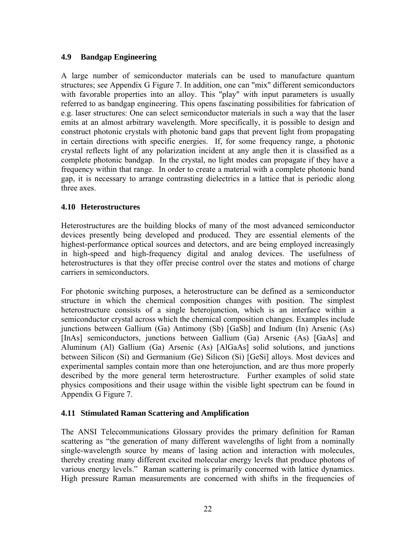#### <span id="page-21-0"></span>**4.9 Bandgap Engineering**

A large number of semiconductor materials can be used to manufacture quantum structures; see Appendix G Figure 7. In addition, one can "mix" different semiconductors with favorable properties into an alloy. This "play" with input parameters is usually referred to as bandgap engineering. This opens fascinating possibilities for fabrication of e.g. laser structures: One can select semiconductor materials in such a way that the laser emits at an almost arbitrary wavelength. More specifically, it is possible to design and construct photonic crystals with photonic band gaps that prevent light from propagating in certain directions with specific energies. If, for some frequency range, a photonic crystal reflects light of any polarization incident at any angle then it is classified as a complete photonic bandgap. In the crystal, no light modes can propagate if they have a frequency within that range. In order to create a material with a complete photonic band gap, it is necessary to arrange contrasting dielectrics in a lattice that is periodic along three axes.

#### **4.10 Heterostructures**

Heterostructures are the building blocks of many of the most advanced semiconductor devices presently being developed and produced. They are essential elements of the highest-performance optical sources and detectors, and are being employed increasingly in high-speed and high-frequency digital and analog devices. The usefulness of heterostructures is that they offer precise control over the states and motions of charge carriers in semiconductors.

For photonic switching purposes, a heterostructure can be defined as a semiconductor structure in which the chemical composition changes with position. The simplest heterostructure consists of a single heterojunction, which is an interface within a semiconductor crystal across which the chemical composition changes. Examples include junctions between Gallium (Ga) Antimony (Sb) [GaSb] and Indium (In) Arsenic (As) [InAs] semiconductors, junctions between Gallium (Ga) Arsenic (As) [GaAs] and Aluminum (Al) Gallium (Ga) Arsenic (As) [AlGaAs] solid solutions, and junctions between Silicon (Si) and Germanium (Ge) Silicon (Si) [GeSi] alloys. Most devices and experimental samples contain more than one heterojunction, and are thus more properly described by the more general term heterostructure. Further examples of solid state physics compositions and their usage within the visible light spectrum can be found in Appendix G Figure 7.

#### **4.11 Stimulated Raman Scattering and Amplification**

The ANSI Telecommunications Glossary provides the primary definition for Raman scattering as "the generation of many different wavelengths of light from a nominally single-wavelength source by means of lasing action and interaction with molecules, thereby creating many different excited molecular energy levels that produce photons of various energy levels." Raman scattering is primarily concerned with lattice dynamics. High pressure Raman measurements are concerned with shifts in the frequencies of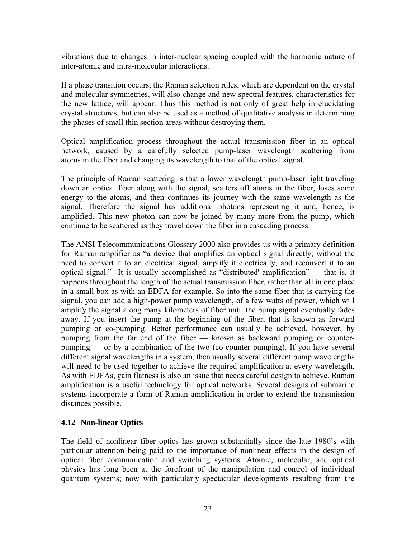<span id="page-22-0"></span>vibrations due to changes in inter-nuclear spacing coupled with the harmonic nature of inter-atomic and intra-molecular interactions.

If a phase transition occurs, the Raman selection rules, which are dependent on the crystal and molecular symmetries, will also change and new spectral features, characteristics for the new lattice, will appear. Thus this method is not only of great help in elucidating crystal structures, but can also be used as a method of qualitative analysis in determining the phases of small thin section areas without destroying them.

Optical amplification process throughout the actual transmission fiber in an optical network, caused by a carefully selected pump-laser wavelength scattering from atoms in the fiber and changing its wavelength to that of the optical signal.

The principle of Raman scattering is that a lower wavelength pump-laser light traveling down an optical fiber along with the signal, scatters off atoms in the fiber, loses some energy to the atoms, and then continues its journey with the same wavelength as the signal. Therefore the signal has additional photons representing it and, hence, is amplified. This new photon can now be joined by many more from the pump, which continue to be scattered as they travel down the fiber in a cascading process.

The ANSI Telecommunications Glossary 2000 also provides us with a primary definition for Raman amplifier as "a device that amplifies an optical signal directly, without the need to convert it to an electrical signal, amplify it electrically, and reconvert it to an optical signal." It is usually accomplished as "distributed' amplification" — that is, it happens throughout the length of the actual transmission fiber, rather than all in one place in a small box as with an EDFA for example. So into the same fiber that is carrying the signal, you can add a high-power pump wavelength, of a few watts of power, which will amplify the signal along many kilometers of fiber until the pump signal eventually fades away. If you insert the pump at the beginning of the fiber, that is known as forward pumping or co-pumping. Better performance can usually be achieved, however, by pumping from the far end of the fiber — known as backward pumping or counterpumping — or by a combination of the two (co-counter pumping). If you have several different signal wavelengths in a system, then usually several different pump wavelengths will need to be used together to achieve the required amplification at every wavelength. As with EDFAs, gain flatness is also an issue that needs careful design to achieve. Raman amplification is a useful technology for optical networks. Several designs of submarine systems incorporate a form of Raman amplification in order to extend the transmission distances possible.

#### **4.12 Non-linear Optics**

The field of nonlinear fiber optics has grown substantially since the late 1980's with particular attention being paid to the importance of nonlinear effects in the design of optical fiber communication and switching systems. Atomic, molecular, and optical physics has long been at the forefront of the manipulation and control of individual quantum systems; now with particularly spectacular developments resulting from the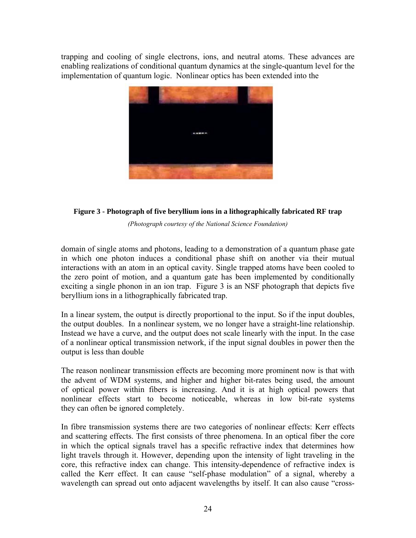<span id="page-23-0"></span>trapping and cooling of single electrons, ions, and neutral atoms. These advances are enabling realizations of conditional quantum dynamics at the single-quantum level for the implementation of quantum logic. Nonlinear optics has been extended into the



#### **Figure 3 - Photograph of five beryllium ions in a lithographically fabricated RF trap**

*(Photograph courtesy of the National Science Foundation)* 

domain of single atoms and photons, leading to a demonstration of a quantum phase gate in which one photon induces a conditional phase shift on another via their mutual interactions with an atom in an optical cavity. Single trapped atoms have been cooled to the zero point of motion, and a quantum gate has been implemented by conditionally exciting a single phonon in an ion trap. Figure 3 is an NSF photograph that depicts five beryllium ions in a lithographically fabricated trap.

In a linear system, the output is directly proportional to the input. So if the input doubles, the output doubles. In a nonlinear system, we no longer have a straight-line relationship. Instead we have a curve, and the output does not scale linearly with the input. In the case of a nonlinear optical transmission network, if the input signal doubles in power then the output is less than double

The reason nonlinear transmission effects are becoming more prominent now is that with the advent of WDM systems, and higher and higher bit-rates being used, the amount of optical power within fibers is increasing. And it is at high optical powers that nonlinear effects start to become noticeable, whereas in low bit-rate systems they can often be ignored completely.

In fibre transmission systems there are two categories of nonlinear effects: Kerr effects and scattering effects. The first consists of three phenomena. In an optical fiber the core in which the optical signals travel has a specific refractive index that determines how light travels through it. However, depending upon the intensity of light traveling in the core, this refractive index can change. This intensity-dependence of refractive index is called the Kerr effect. It can cause "self-phase modulation" of a signal, whereby a wavelength can spread out onto adjacent wavelengths by itself. It can also cause "cross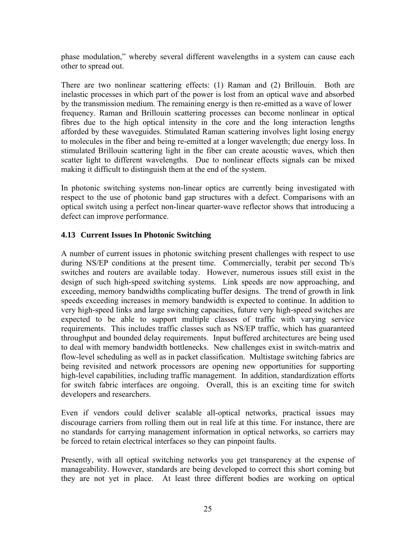<span id="page-24-0"></span>phase modulation," whereby several different wavelengths in a system can cause each other to spread out.

There are two nonlinear scattering effects: (1) Raman and (2) Brillouin. Both are inelastic processes in which part of the power is lost from an optical wave and absorbed by the transmission medium. The remaining energy is then re-emitted as a wave of lower frequency. Raman and Brillouin scattering processes can become nonlinear in optical fibres due to the high optical intensity in the core and the long interaction lengths afforded by these waveguides. Stimulated Raman scattering involves light losing energy to molecules in the fiber and being re-emitted at a longer wavelength; due energy loss. In stimulated Brillouin scattering light in the fiber can create acoustic waves, which then scatter light to different wavelengths. Due to nonlinear effects signals can be mixed making it difficult to distinguish them at the end of the system.

In photonic switching systems non-linear optics are currently being investigated with respect to the use of photonic band gap structures with a defect. Comparisons with an optical switch using a perfect non-linear quarter-wave reflector shows that introducing a defect can improve performance.

#### **4.13 Current Issues In Photonic Switching**

A number of current issues in photonic switching present challenges with respect to use during NS/EP conditions at the present time. Commercially, terabit per second Tb/s switches and routers are available today. However, numerous issues still exist in the design of such high-speed switching systems. Link speeds are now approaching, and exceeding, memory bandwidths complicating buffer designs. The trend of growth in link speeds exceeding increases in memory bandwidth is expected to continue. In addition to very high-speed links and large switching capacities, future very high-speed switches are expected to be able to support multiple classes of traffic with varying service requirements. This includes traffic classes such as NS/EP traffic, which has guaranteed throughput and bounded delay requirements. Input buffered architectures are being used to deal with memory bandwidth bottlenecks. New challenges exist in switch-matrix and flow-level scheduling as well as in packet classification. Multistage switching fabrics are being revisited and network processors are opening new opportunities for supporting high-level capabilities, including traffic management. In addition, standardization efforts for switch fabric interfaces are ongoing. Overall, this is an exciting time for switch developers and researchers.

Even if vendors could deliver scalable all-optical networks, practical issues may discourage carriers from rolling them out in real life at this time. For instance, there are no standards for carrying management information in optical networks, so carriers may be forced to retain electrical interfaces so they can pinpoint faults.

Presently, with all optical switching networks you get transparency at the expense of manageability. However, standards are being developed to correct this short coming but they are not yet in place. At least three different bodies are working on optical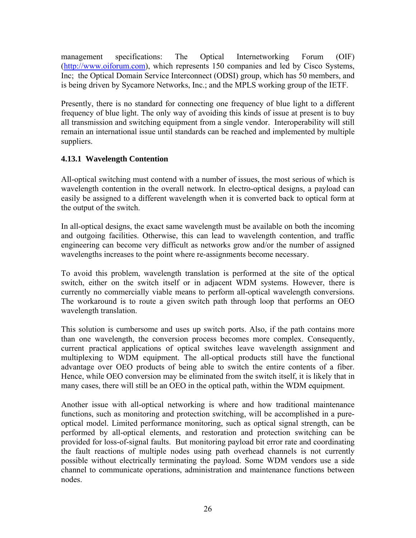<span id="page-25-0"></span>management specifications: The Optical Internetworking Forum (OIF) ([http://www.oiforum.com\)](http://www.oiforum.com/), which represents 150 companies and led by Cisco Systems, Inc; the Optical Domain Service Interconnect (ODSI) group, which has 50 members, and is being driven by Sycamore Networks, Inc.; and the MPLS working group of the IETF.

Presently, there is no standard for connecting one frequency of blue light to a different frequency of blue light. The only way of avoiding this kinds of issue at present is to buy all transmission and switching equipment from a single vendor. Interoperability will still remain an international issue until standards can be reached and implemented by multiple suppliers.

#### **4.13.1 Wavelength Contention**

All-optical switching must contend with a number of issues, the most serious of which is wavelength contention in the overall network. In electro-optical designs, a payload can easily be assigned to a different wavelength when it is converted back to optical form at the output of the switch.

In all-optical designs, the exact same wavelength must be available on both the incoming and outgoing facilities. Otherwise, this can lead to wavelength contention, and traffic engineering can become very difficult as networks grow and/or the number of assigned wavelengths increases to the point where re-assignments become necessary.

To avoid this problem, wavelength translation is performed at the site of the optical switch, either on the switch itself or in adjacent WDM systems. However, there is currently no commercially viable means to perform all-optical wavelength conversions. The workaround is to route a given switch path through loop that performs an OEO wavelength translation.

This solution is cumbersome and uses up switch ports. Also, if the path contains more than one wavelength, the conversion process becomes more complex. Consequently, current practical applications of optical switches leave wavelength assignment and multiplexing to WDM equipment. The all-optical products still have the functional advantage over OEO products of being able to switch the entire contents of a fiber. Hence, while OEO conversion may be eliminated from the switch itself, it is likely that in many cases, there will still be an OEO in the optical path, within the WDM equipment.

Another issue with all-optical networking is where and how traditional maintenance functions, such as monitoring and protection switching, will be accomplished in a pureoptical model. Limited performance monitoring, such as optical signal strength, can be performed by all-optical elements, and restoration and protection switching can be provided for loss-of-signal faults. But monitoring payload bit error rate and coordinating the fault reactions of multiple nodes using path overhead channels is not currently possible without electrically terminating the payload. Some WDM vendors use a side channel to communicate operations, administration and maintenance functions between nodes.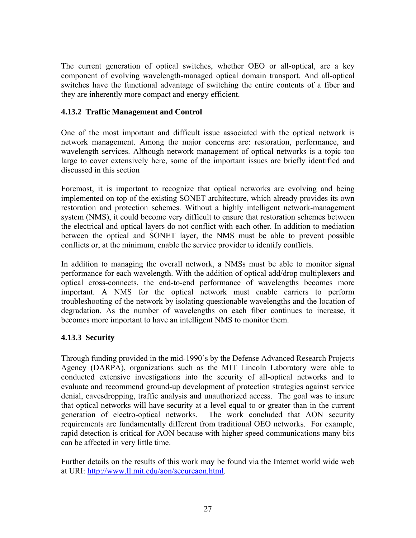<span id="page-26-0"></span>The current generation of optical switches, whether OEO or all-optical, are a key component of evolving wavelength-managed optical domain transport. And all-optical switches have the functional advantage of switching the entire contents of a fiber and they are inherently more compact and energy efficient.

#### **4.13.2 Traffic Management and Control**

One of the most important and difficult issue associated with the optical network is network management. Among the major concerns are: restoration, performance, and wavelength services. Although network management of optical networks is a topic too large to cover extensively here, some of the important issues are briefly identified and discussed in this section

Foremost, it is important to recognize that optical networks are evolving and being implemented on top of the existing SONET architecture, which already provides its own restoration and protection schemes. Without a highly intelligent network-management system (NMS), it could become very difficult to ensure that restoration schemes between the electrical and optical layers do not conflict with each other. In addition to mediation between the optical and SONET layer, the NMS must be able to prevent possible conflicts or, at the minimum, enable the service provider to identify conflicts.

In addition to managing the overall network, a NMSs must be able to monitor signal performance for each wavelength. With the addition of optical add/drop multiplexers and optical cross-connects, the end-to-end performance of wavelengths becomes more important. A NMS for the optical network must enable carriers to perform troubleshooting of the network by isolating questionable wavelengths and the location of degradation. As the number of wavelengths on each fiber continues to increase, it becomes more important to have an intelligent NMS to monitor them.

#### **4.13.3 Security**

Through funding provided in the mid-1990's by the Defense Advanced Research Projects Agency (DARPA), organizations such as the MIT Lincoln Laboratory were able to conducted extensive investigations into the security of all-optical networks and to evaluate and recommend ground-up development of protection strategies against service denial, eavesdropping, traffic analysis and unauthorized access. The goal was to insure that optical networks will have security at a level equal to or greater than in the current generation of electro-optical networks. The work concluded that AON security requirements are fundamentally different from traditional OEO networks. For example, rapid detection is critical for AON because with higher speed communications many bits can be affected in very little time.

Further details on the results of this work may be found via the Internet world wide web at URI: <http://www.ll.mit.edu/aon/secureaon.html>.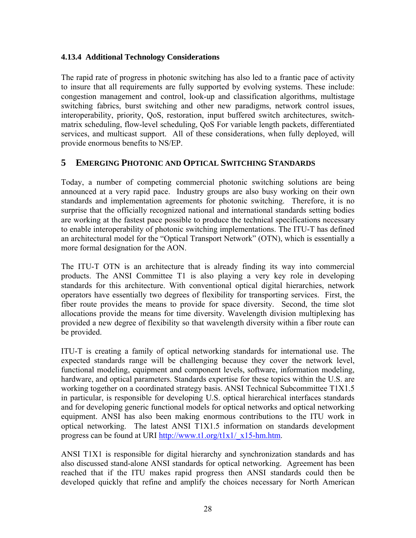#### <span id="page-27-0"></span>**4.13.4 Additional Technology Considerations**

The rapid rate of progress in photonic switching has also led to a frantic pace of activity to insure that all requirements are fully supported by evolving systems. These include: congestion management and control, look-up and classification algorithms, multistage switching fabrics, burst switching and other new paradigms, network control issues, interoperability, priority, QoS, restoration, input buffered switch architectures, switchmatrix scheduling, flow-level scheduling, QoS For variable length packets, differentiated services, and multicast support. All of these considerations, when fully deployed, will provide enormous benefits to NS/EP.

#### **5 EMERGING PHOTONIC AND OPTICAL SWITCHING STANDARDS**

Today, a number of competing commercial photonic switching solutions are being announced at a very rapid pace. Industry groups are also busy working on their own standards and implementation agreements for photonic switching. Therefore, it is no surprise that the officially recognized national and international standards setting bodies are working at the fastest pace possible to produce the technical specifications necessary to enable interoperability of photonic switching implementations. The ITU-T has defined an architectural model for the "Optical Transport Network" (OTN), which is essentially a more formal designation for the AON.

The ITU-T OTN is an architecture that is already finding its way into commercial products. The ANSI Committee T1 is also playing a very key role in developing standards for this architecture. With conventional optical digital hierarchies, network operators have essentially two degrees of flexibility for transporting services. First, the fiber route provides the means to provide for space diversity. Second, the time slot allocations provide the means for time diversity. Wavelength division multiplexing has provided a new degree of flexibility so that wavelength diversity within a fiber route can be provided.

ITU-T is creating a family of optical networking standards for international use. The expected standards range will be challenging because they cover the network level, functional modeling, equipment and component levels, software, information modeling, hardware, and optical parameters. Standards expertise for these topics within the U.S. are working together on a coordinated strategy basis. ANSI Technical Subcommittee T1X1.5 in particular, is responsible for developing U.S. optical hierarchical interfaces standards and for developing generic functional models for optical networks and optical networking equipment. ANSI has also been making enormous contributions to the ITU work in optical networking. The latest ANSI T1X1.5 information on standards development progress can be found at URI [http://www.t1.org/t1x1/\\_x15-hm.htm.](http://www.t1.org/t1x1/_x15-hm.htm)

ANSI T1X1 is responsible for digital hierarchy and synchronization standards and has also discussed stand-alone ANSI standards for optical networking. Agreement has been reached that if the ITU makes rapid progress then ANSI standards could then be developed quickly that refine and amplify the choices necessary for North American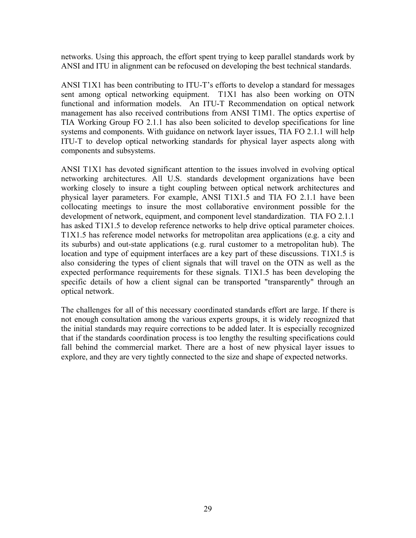networks. Using this approach, the effort spent trying to keep parallel standards work by ANSI and ITU in alignment can be refocused on developing the best technical standards.

ANSI T1X1 has been contributing to ITU-T's efforts to develop a standard for messages sent among optical networking equipment. T1X1 has also been working on OTN functional and information models. An ITU-T Recommendation on optical network management has also received contributions from ANSI T1M1. The optics expertise of TIA Working Group FO 2.1.1 has also been solicited to develop specifications for line systems and components. With guidance on network layer issues, TIA FO 2.1.1 will help ITU-T to develop optical networking standards for physical layer aspects along with components and subsystems.

ANSI T1X1 has devoted significant attention to the issues involved in evolving optical networking architectures. All U.S. standards development organizations have been working closely to insure a tight coupling between optical network architectures and physical layer parameters. For example, ANSI T1X1.5 and TIA FO 2.1.1 have been collocating meetings to insure the most collaborative environment possible for the development of network, equipment, and component level standardization. TIA FO 2.1.1 has asked T1X1.5 to develop reference networks to help drive optical parameter choices. T1X1.5 has reference model networks for metropolitan area applications (e.g. a city and its suburbs) and out-state applications (e.g. rural customer to a metropolitan hub). The location and type of equipment interfaces are a key part of these discussions. T1X1.5 is also considering the types of client signals that will travel on the OTN as well as the expected performance requirements for these signals. T1X1.5 has been developing the specific details of how a client signal can be transported "transparently" through an optical network.

The challenges for all of this necessary coordinated standards effort are large. If there is not enough consultation among the various experts groups, it is widely recognized that the initial standards may require corrections to be added later. It is especially recognized that if the standards coordination process is too lengthy the resulting specifications could fall behind the commercial market. There are a host of new physical layer issues to explore, and they are very tightly connected to the size and shape of expected networks.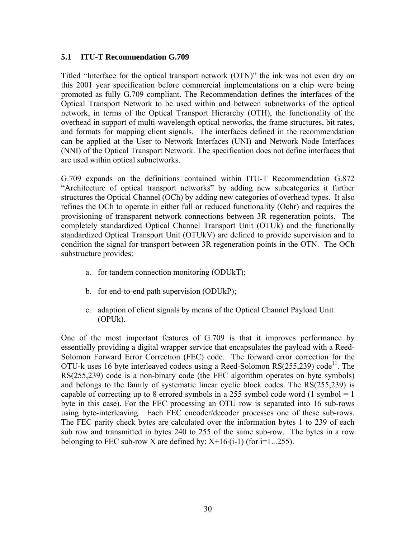#### <span id="page-29-0"></span>**5.1 ITU-T Recommendation G.709**

Titled "Interface for the optical transport network (OTN)" the ink was not even dry on this 2001 year specification before commercial implementations on a chip were being promoted as fully G.709 compliant. The Recommendation defines the interfaces of the Optical Transport Network to be used within and between subnetworks of the optical network, in terms of the Optical Transport Hierarchy (OTH), the functionality of the overhead in support of multi-wavelength optical networks, the frame structures, bit rates, and formats for mapping client signals. The interfaces defined in the recommendation can be applied at the User to Network Interfaces (UNI) and Network Node Interfaces (NNI) of the Optical Transport Network. The specification does not define interfaces that are used within optical subnetworks.

G.709 expands on the definitions contained within ITU-T Recommendation G.872 "Architecture of optical transport networks" by adding new subcategories it further structures the Optical Channel (OCh) by adding new categories of overhead types. It also refines the OCh to operate in either full or reduced functionality (Ochr) and requires the provisioning of transparent network connections between 3R regeneration points. The completely standardized Optical Channel Transport Unit (OTUk) and the functionally standardized Optical Transport Unit (OTUkV) are defined to provide supervision and to condition the signal for transport between 3R regeneration points in the OTN. The OCh substructure provides:

- a. for tandem connection monitoring (ODUkT);
- b. for end-to-end path supervision (ODUkP);
- c. adaption of client signals by means of the Optical Channel Payload Unit (OPUk).

One of the most important features of G.709 is that it improves performance by essentially providing a digital wrapper service that encapsulates the payload with a Reed-Solomon Forward Error Correction (FEC) code. The forward error correction for the OTU-k uses 16 byte interleaved codecs using a Reed-Solomon  $RS(255,239)$  code<sup>11</sup>. The RS(255,239) code is a non-binary code (the FEC algorithm operates on byte symbols) and belongs to the family of systematic linear cyclic block codes. The RS(255,239) is capable of correcting up to 8 errored symbols in a 255 symbol code word  $(1 \text{ symbol} = 1$ byte in this case). For the FEC processing an OTU row is separated into 16 sub-rows using byte-interleaving. Each FEC encoder/decoder processes one of these sub-rows. The FEC parity check bytes are calculated over the information bytes 1 to 239 of each sub row and transmitted in bytes 240 to 255 of the same sub-row. The bytes in a row belonging to FEC sub-row X are defined by:  $X+16(1-1)$  (for  $i=1...255$ ).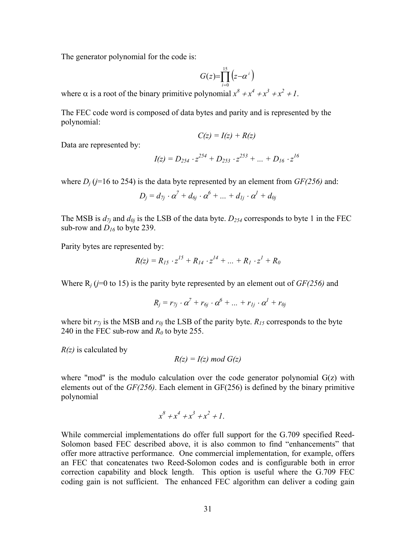The generator polynomial for the code is:

$$
G(z)\!\!=\!\!\prod_{i=0}^{15}\left(\!z\!\!-\!\!\alpha^{\,i}\right)
$$

where  $\alpha$  is a root of the binary primitive polynomial  $x^8 + x^4 + x^3 + x^2 + 1$ .

The FEC code word is composed of data bytes and parity and is represented by the polynomial:

$$
C(z) = I(z) + R(z)
$$

Data are represented by:

$$
I(z) = D_{254} \cdot z^{254} + D_{253} \cdot z^{253} + \dots + D_{16} \cdot z^{16}
$$

where  $D_i$  ( $j=16$  to 254) is the data byte represented by an element from  $GF(256)$  and:

$$
D_j = d_{7j} \cdot \alpha^7 + d_{6j} \cdot \alpha^6 + \dots + d_{1j} \cdot \alpha^1 + d_{0j}
$$

The MSB is  $d_{7i}$  and  $d_{0j}$  is the LSB of the data byte.  $D_{254}$  corresponds to byte 1 in the FEC sub-row and  $D_{16}$  to byte 239.

Parity bytes are represented by:

$$
R(z) = R_{15} \cdot z^{15} + R_{14} \cdot z^{14} + \dots + R_1 \cdot z^1 + R_0
$$

Where  $R_i$  ( $j=0$  to 15) is the parity byte represented by an element out of  $GF(256)$  and

$$
R_j = r_{7j} \cdot \alpha^7 + r_{6j} \cdot \alpha^6 + \dots + r_{1j} \cdot \alpha^1 + r_{0j}
$$

where bit  $r_{7j}$  is the MSB and  $r_{0j}$  the LSB of the parity byte.  $R_{15}$  corresponds to the byte 240 in the FEC sub-row and  $R_0$  to byte 255.

*R(z)* is calculated by

$$
R(z) = I(z) \bmod G(z)
$$

where "mod" is the modulo calculation over the code generator polynomial  $G(z)$  with elements out of the *GF(256)*. Each element in GF(256) is defined by the binary primitive polynomial

$$
x^8 + x^4 + x^3 + x^2 + 1.
$$

While commercial implementations do offer full support for the G.709 specified Reed-Solomon based FEC described above, it is also common to find "enhancements" that offer more attractive performance. One commercial implementation, for example, offers an FEC that concatenates two Reed-Solomon codes and is configurable both in error correction capability and block length. This option is useful where the G.709 FEC coding gain is not sufficient. The enhanced FEC algorithm can deliver a coding gain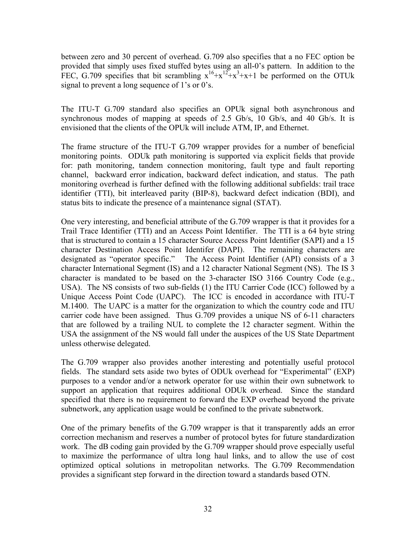between zero and 30 percent of overhead. G.709 also specifies that a no FEC option be provided that simply uses fixed stuffed bytes using an all-0's pattern. In addition to the FEC, G.709 specifies that bit scrambling  $x^{16}+x^{12}+x^3+x+1$  be performed on the OTUk signal to prevent a long sequence of 1's or 0's.

The ITU-T G.709 standard also specifies an OPUk signal both asynchronous and synchronous modes of mapping at speeds of 2.5 Gb/s, 10 Gb/s, and 40 Gb/s. It is envisioned that the clients of the OPUk will include ATM, IP, and Ethernet.

The frame structure of the ITU-T G.709 wrapper provides for a number of beneficial monitoring points. ODUk path monitoring is supported via explicit fields that provide for: path monitoring, tandem connection monitoring, fault type and fault reporting channel, backward error indication, backward defect indication, and status. The path monitoring overhead is further defined with the following additional subfields: trail trace identifier (TTI), bit interleaved parity (BIP-8), backward defect indication (BDI), and status bits to indicate the presence of a maintenance signal (STAT).

One very interesting, and beneficial attribute of the G.709 wrapper is that it provides for a Trail Trace Identifier (TTI) and an Access Point Identifier. The TTI is a 64 byte string that is structured to contain a 15 character Source Access Point Identifier (SAPI) and a 15 character Destination Access Point Identifer (DAPI). The remaining characters are designated as "operator specific." The Access Point Identifier (API) consists of a 3 character International Segment (IS) and a 12 character National Segment (NS). The IS 3 character is mandated to be based on the 3-character ISO 3166 Country Code (e.g., USA). The NS consists of two sub-fields (1) the ITU Carrier Code (ICC) followed by a Unique Access Point Code (UAPC). The ICC is encoded in accordance with ITU-T M.1400. The UAPC is a matter for the organization to which the country code and ITU carrier code have been assigned. Thus G.709 provides a unique NS of 6-11 characters that are followed by a trailing NUL to complete the 12 character segment. Within the USA the assignment of the NS would fall under the auspices of the US State Department unless otherwise delegated.

The G.709 wrapper also provides another interesting and potentially useful protocol fields. The standard sets aside two bytes of ODUk overhead for "Experimental" (EXP) purposes to a vendor and/or a network operator for use within their own subnetwork to support an application that requires additional ODUk overhead. Since the standard specified that there is no requirement to forward the EXP overhead beyond the private subnetwork, any application usage would be confined to the private subnetwork.

One of the primary benefits of the G.709 wrapper is that it transparently adds an error correction mechanism and reserves a number of protocol bytes for future standardization work. The dB coding gain provided by the G.709 wrapper should prove especially useful to maximize the performance of ultra long haul links, and to allow the use of cost optimized optical solutions in metropolitan networks. The G.709 Recommendation provides a significant step forward in the direction toward a standards based OTN.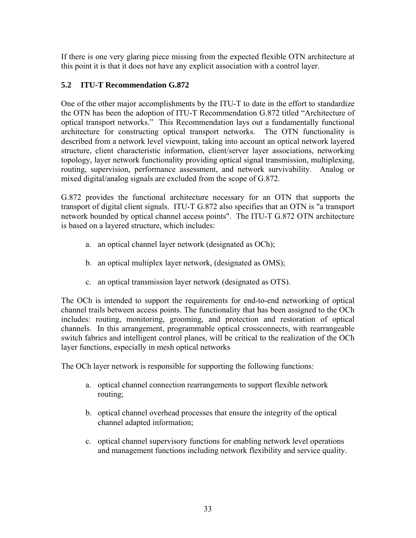<span id="page-32-0"></span>If there is one very glaring piece missing from the expected flexible OTN architecture at this point it is that it does not have any explicit association with a control layer.

#### **5.2 ITU-T Recommendation G.872**

One of the other major accomplishments by the ITU-T to date in the effort to standardize the OTN has been the adoption of ITU-T Recommendation G.872 titled "Architecture of optical transport networks." This Recommendation lays out a fundamentally functional architecture for constructing optical transport networks. The OTN functionality is described from a network level viewpoint, taking into account an optical network layered structure, client characteristic information, client/server layer associations, networking topology, layer network functionality providing optical signal transmission, multiplexing, routing, supervision, performance assessment, and network survivability. Analog or mixed digital/analog signals are excluded from the scope of G.872.

G.872 provides the functional architecture necessary for an OTN that supports the transport of digital client signals. ITU-T G.872 also specifies that an OTN is "a transport network bounded by optical channel access points". The ITU-T G.872 OTN architecture is based on a layered structure, which includes:

- a. an optical channel layer network (designated as OCh);
- b. an optical multiplex layer network, (designated as OMS);
- c. an optical transmission layer network (designated as OTS).

The OCh is intended to support the requirements for end-to-end networking of optical channel trails between access points. The functionality that has been assigned to the OCh includes: routing, monitoring, grooming, and protection and restoration of optical channels. In this arrangement, programmable optical crossconnects, with rearrangeable switch fabrics and intelligent control planes, will be critical to the realization of the OCh layer functions, especially in mesh optical networks

The OCh layer network is responsible for supporting the following functions:

- a. optical channel connection rearrangements to support flexible network routing;
- b. optical channel overhead processes that ensure the integrity of the optical channel adapted information;
- c. optical channel supervisory functions for enabling network level operations and management functions including network flexibility and service quality.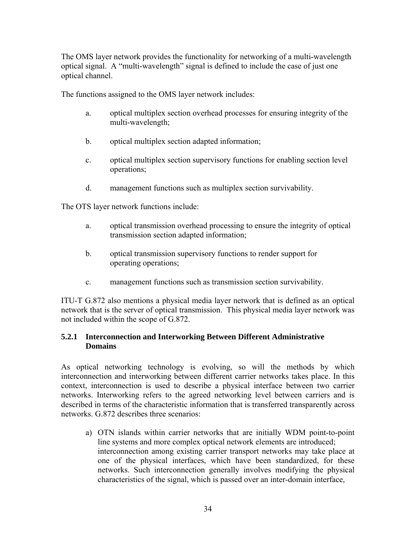<span id="page-33-0"></span>The OMS layer network provides the functionality for networking of a multi-wavelength optical signal. A "multi-wavelength" signal is defined to include the case of just one optical channel.

The functions assigned to the OMS layer network includes:

- a. optical multiplex section overhead processes for ensuring integrity of the multi-wavelength;
- b. optical multiplex section adapted information;
- c. optical multiplex section supervisory functions for enabling section level operations;
- d. management functions such as multiplex section survivability.

The OTS layer network functions include:

- a. optical transmission overhead processing to ensure the integrity of optical transmission section adapted information;
- b. optical transmission supervisory functions to render support for operating operations;
- c. management functions such as transmission section survivability.

ITU-T G.872 also mentions a physical media layer network that is defined as an optical network that is the server of optical transmission. This physical media layer network was not included within the scope of G.872.

#### **5.2.1 Interconnection and Interworking Between Different Administrative Domains**

As optical networking technology is evolving, so will the methods by which interconnection and interworking between different carrier networks takes place. In this context, interconnection is used to describe a physical interface between two carrier networks. Interworking refers to the agreed networking level between carriers and is described in terms of the characteristic information that is transferred transparently across networks. G.872 describes three scenarios:

a) OTN islands within carrier networks that are initially WDM point-to-point line systems and more complex optical network elements are introduced; interconnection among existing carrier transport networks may take place at one of the physical interfaces, which have been standardized, for these networks. Such interconnection generally involves modifying the physical characteristics of the signal, which is passed over an inter-domain interface,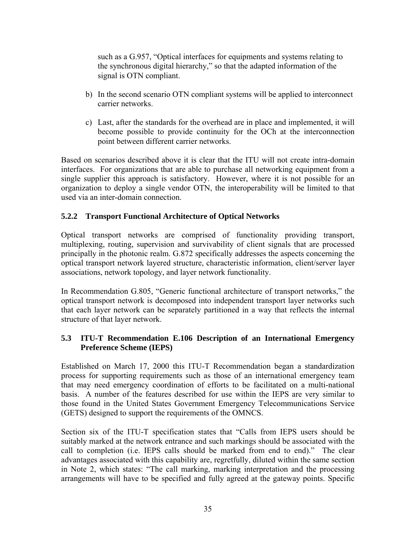<span id="page-34-0"></span>such as a G.957, "Optical interfaces for equipments and systems relating to the synchronous digital hierarchy," so that the adapted information of the signal is OTN compliant.

- b) In the second scenario OTN compliant systems will be applied to interconnect carrier networks.
- c) Last, after the standards for the overhead are in place and implemented, it will become possible to provide continuity for the OCh at the interconnection point between different carrier networks.

Based on scenarios described above it is clear that the ITU will not create intra-domain interfaces. For organizations that are able to purchase all networking equipment from a single supplier this approach is satisfactory. However, where it is not possible for an organization to deploy a single vendor OTN, the interoperability will be limited to that used via an inter-domain connection.

#### **5.2.2 Transport Functional Architecture of Optical Networks**

Optical transport networks are comprised of functionality providing transport, multiplexing, routing, supervision and survivability of client signals that are processed principally in the photonic realm. G.872 specifically addresses the aspects concerning the optical transport network layered structure, characteristic information, client/server layer associations, network topology, and layer network functionality.

In Recommendation G.805, "Generic functional architecture of transport networks," the optical transport network is decomposed into independent transport layer networks such that each layer network can be separately partitioned in a way that reflects the internal structure of that layer network.

#### **5.3 ITU-T Recommendation E.106 Description of an International Emergency Preference Scheme (IEPS)**

Established on March 17, 2000 this ITU-T Recommendation began a standardization process for supporting requirements such as those of an international emergency team that may need emergency coordination of efforts to be facilitated on a multi-national basis. A number of the features described for use within the IEPS are very similar to those found in the United States Government Emergency Telecommunications Service (GETS) designed to support the requirements of the OMNCS.

Section six of the ITU-T specification states that "Calls from IEPS users should be suitably marked at the network entrance and such markings should be associated with the call to completion (i.e. IEPS calls should be marked from end to end)." The clear advantages associated with this capability are, regretfully, diluted within the same section in Note 2, which states: "The call marking, marking interpretation and the processing arrangements will have to be specified and fully agreed at the gateway points. Specific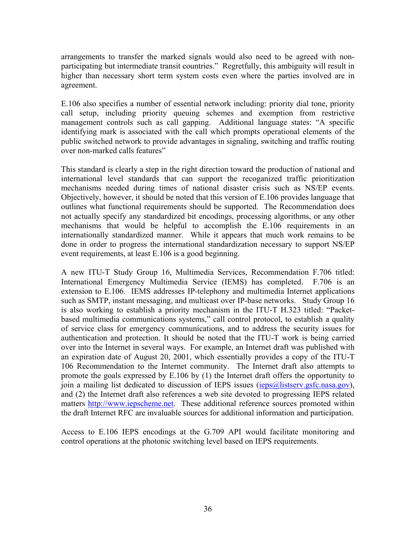arrangements to transfer the marked signals would also need to be agreed with nonparticipating but intermediate transit countries." Regretfully, this ambiguity will result in higher than necessary short term system costs even where the parties involved are in agreement.

E.106 also specifies a number of essential network including: priority dial tone, priority call setup, including priority queuing schemes and exemption from restrictive management controls such as call gapping. Additional language states: "A specific identifying mark is associated with the call which prompts operational elements of the public switched network to provide advantages in signaling, switching and traffic routing over non-marked calls features"

This standard is clearly a step in the right direction toward the production of national and international level standards that can support the recoganized traffic prioritization mechanisms needed during times of national disaster crisis such as NS/EP events. Objectively, however, it should be noted that this version of E.106 provides language that outlines what functional requirements should be supported. The Recommendation does not actually specify any standardized bit encodings, processing algorithms, or any other mechanisms that would be helpful to accomplish the E.106 requirements in an internationally standardized manner. While it appears that much work remains to be done in order to progress the international standardization necessary to support NS/EP event requirements, at least E.106 is a good beginning.

A new ITU-T Study Group 16, Multimedia Services, Recommendation F.706 titled: International Emergency Multimedia Service (IEMS) has completed. F.706 is an extension to E.106. IEMS addresses IP-telephony and multimedia Internet applications such as SMTP, instant messaging, and multicast over IP-base networks. Study Group 16 is also working to establish a priority mechanism in the ITU-T H.323 titled: "Packetbased multimedia communications systems," call control protocol, to establish a quality of service class for emergency communications, and to address the security issues for authentication and protection. It should be noted that the ITU-T work is being carried over into the Internet in several ways. For example, an Internet draft was published with an expiration date of August 20, 2001, which essentially provides a copy of the ITU-T 106 Recommendation to the Internet community. The Internet draft also attempts to promote the goals expressed by E.106 by (1) the Internet draft offers the opportunity to join a mailing list dedicated to discussion of IEPS issues ( $ieps@listserv.gsfc.nasa.gov$ ), and (2) the Internet draft also references a web site devoted to progressing IEPS related matters [http://www.iepscheme.net](http://www.iepscheme.net/). These additional reference sources promoted within the draft Internet RFC are invaluable sources for additional information and participation.

Access to E.106 IEPS encodings at the G.709 API would facilitate monitoring and control operations at the photonic switching level based on IEPS requirements.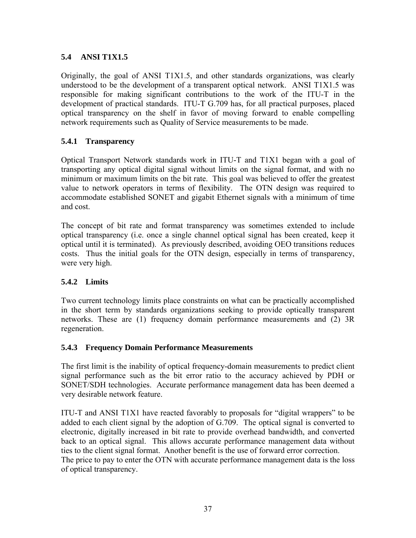# **5.4 ANSI T1X1.5**

Originally, the goal of ANSI T1X1.5, and other standards organizations, was clearly understood to be the development of a transparent optical network. ANSI T1X1.5 was responsible for making significant contributions to the work of the ITU-T in the development of practical standards. ITU-T G.709 has, for all practical purposes, placed optical transparency on the shelf in favor of moving forward to enable compelling network requirements such as Quality of Service measurements to be made.

## **5.4.1 Transparency**

Optical Transport Network standards work in ITU-T and T1X1 began with a goal of transporting any optical digital signal without limits on the signal format, and with no minimum or maximum limits on the bit rate. This goal was believed to offer the greatest value to network operators in terms of flexibility. The OTN design was required to accommodate established SONET and gigabit Ethernet signals with a minimum of time and cost.

The concept of bit rate and format transparency was sometimes extended to include optical transparency (i.e. once a single channel optical signal has been created, keep it optical until it is terminated). As previously described, avoiding OEO transitions reduces costs. Thus the initial goals for the OTN design, especially in terms of transparency, were very high.

## **5.4.2 Limits**

Two current technology limits place constraints on what can be practically accomplished in the short term by standards organizations seeking to provide optically transparent networks. These are (1) frequency domain performance measurements and (2) 3R regeneration.

## **5.4.3 Frequency Domain Performance Measurements**

The first limit is the inability of optical frequency-domain measurements to predict client signal performance such as the bit error ratio to the accuracy achieved by PDH or SONET/SDH technologies. Accurate performance management data has been deemed a very desirable network feature.

ITU-T and ANSI T1X1 have reacted favorably to proposals for "digital wrappers" to be added to each client signal by the adoption of G.709. The optical signal is converted to electronic, digitally increased in bit rate to provide overhead bandwidth, and converted back to an optical signal. This allows accurate performance management data without ties to the client signal format. Another benefit is the use of forward error correction. The price to pay to enter the OTN with accurate performance management data is the loss of optical transparency.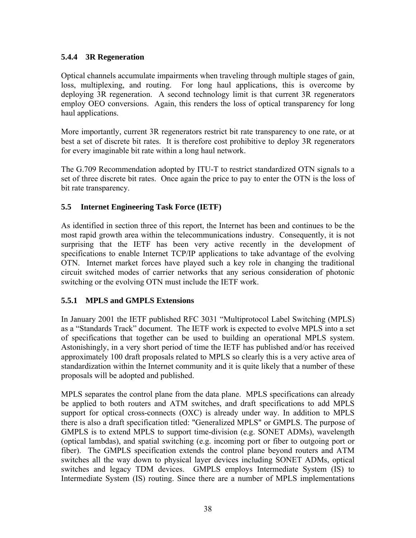## **5.4.4 3R Regeneration**

Optical channels accumulate impairments when traveling through multiple stages of gain, loss, multiplexing, and routing. For long haul applications, this is overcome by deploying 3R regeneration. A second technology limit is that current 3R regenerators employ OEO conversions. Again, this renders the loss of optical transparency for long haul applications.

More importantly, current 3R regenerators restrict bit rate transparency to one rate, or at best a set of discrete bit rates. It is therefore cost prohibitive to deploy 3R regenerators for every imaginable bit rate within a long haul network.

The G.709 Recommendation adopted by ITU-T to restrict standardized OTN signals to a set of three discrete bit rates. Once again the price to pay to enter the OTN is the loss of bit rate transparency.

## **5.5 Internet Engineering Task Force (IETF)**

As identified in section three of this report, the Internet has been and continues to be the most rapid growth area within the telecommunications industry. Consequently, it is not surprising that the IETF has been very active recently in the development of specifications to enable Internet TCP/IP applications to take advantage of the evolving OTN. Internet market forces have played such a key role in changing the traditional circuit switched modes of carrier networks that any serious consideration of photonic switching or the evolving OTN must include the IETF work.

## **5.5.1 MPLS and GMPLS Extensions**

In January 2001 the IETF published RFC 3031 "Multiprotocol Label Switching (MPLS) as a "Standards Track" document. The IETF work is expected to evolve MPLS into a set of specifications that together can be used to building an operational MPLS system. Astonishingly, in a very short period of time the IETF has published and/or has received approximately 100 draft proposals related to MPLS so clearly this is a very active area of standardization within the Internet community and it is quite likely that a number of these proposals will be adopted and published.

MPLS separates the control plane from the data plane. MPLS specifications can already be applied to both routers and ATM switches, and draft specifications to add MPLS support for optical cross-connects (OXC) is already under way. In addition to MPLS there is also a draft specification titled: "Generalized MPLS" or GMPLS. The purpose of GMPLS is to extend MPLS to support time-division (e.g. SONET ADMs), wavelength (optical lambdas), and spatial switching (e.g. incoming port or fiber to outgoing port or fiber). The GMPLS specification extends the control plane beyond routers and ATM switches all the way down to physical layer devices including SONET ADMs, optical switches and legacy TDM devices. GMPLS employs Intermediate System (IS) to Intermediate System (IS) routing. Since there are a number of MPLS implementations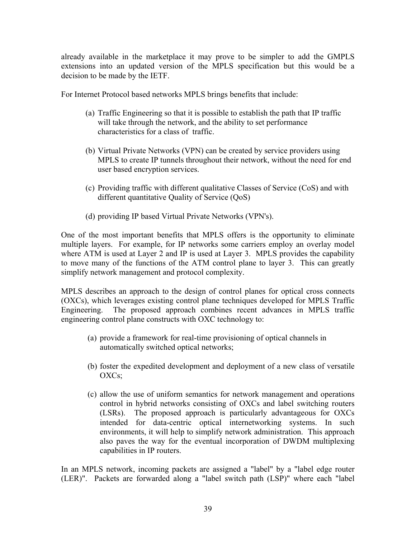already available in the marketplace it may prove to be simpler to add the GMPLS extensions into an updated version of the MPLS specification but this would be a decision to be made by the IETF.

For Internet Protocol based networks MPLS brings benefits that include:

- (a) Traffic Engineering so that it is possible to establish the path that IP traffic will take through the network, and the ability to set performance characteristics for a class of traffic.
- (b) Virtual Private Networks (VPN) can be created by service providers using MPLS to create IP tunnels throughout their network, without the need for end user based encryption services.
- (c) Providing traffic with different qualitative Classes of Service (CoS) and with different quantitative Quality of Service (QoS)
- (d) providing IP based Virtual Private Networks (VPN's).

One of the most important benefits that MPLS offers is the opportunity to eliminate multiple layers. For example, for IP networks some carriers employ an overlay model where ATM is used at Layer 2 and IP is used at Layer 3. MPLS provides the capability to move many of the functions of the ATM control plane to layer 3. This can greatly simplify network management and protocol complexity.

MPLS describes an approach to the design of control planes for optical cross connects (OXCs), which leverages existing control plane techniques developed for MPLS Traffic Engineering. The proposed approach combines recent advances in MPLS traffic engineering control plane constructs with OXC technology to:

- (a) provide a framework for real-time provisioning of optical channels in automatically switched optical networks;
- (b) foster the expedited development and deployment of a new class of versatile OXCs;
- (c) allow the use of uniform semantics for network management and operations control in hybrid networks consisting of OXCs and label switching routers (LSRs). The proposed approach is particularly advantageous for OXCs intended for data-centric optical internetworking systems. In such environments, it will help to simplify network administration. This approach also paves the way for the eventual incorporation of DWDM multiplexing capabilities in IP routers.

In an MPLS network, incoming packets are assigned a "label" by a "label edge router (LER)". Packets are forwarded along a "label switch path (LSP)" where each "label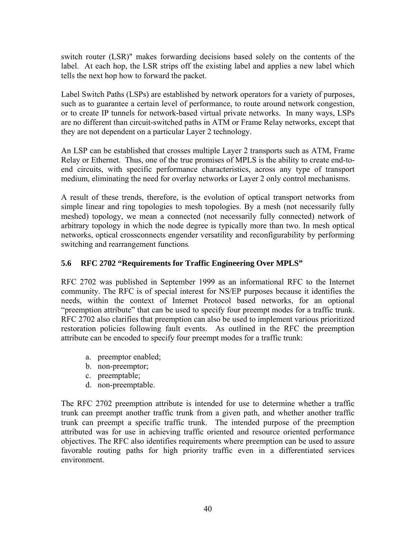switch router (LSR)" makes forwarding decisions based solely on the contents of the label. At each hop, the LSR strips off the existing label and applies a new label which tells the next hop how to forward the packet.

Label Switch Paths (LSPs) are established by network operators for a variety of purposes, such as to guarantee a certain level of performance, to route around network congestion, or to create IP tunnels for network-based virtual private networks. In many ways, LSPs are no different than circuit-switched paths in ATM or Frame Relay networks, except that they are not dependent on a particular Layer 2 technology.

An LSP can be established that crosses multiple Layer 2 transports such as ATM, Frame Relay or Ethernet. Thus, one of the true promises of MPLS is the ability to create end-toend circuits, with specific performance characteristics, across any type of transport medium, eliminating the need for overlay networks or Layer 2 only control mechanisms.

A result of these trends, therefore, is the evolution of optical transport networks from simple linear and ring topologies to mesh topologies. By a mesh (not necessarily fully meshed) topology, we mean a connected (not necessarily fully connected) network of arbitrary topology in which the node degree is typically more than two. In mesh optical networks, optical crossconnects engender versatility and reconfigurability by performing switching and rearrangement functions.

## **5.6 RFC 2702 "Requirements for Traffic Engineering Over MPLS"**

RFC 2702 was published in September 1999 as an informational RFC to the Internet community. The RFC is of special interest for NS/EP purposes because it identifies the needs, within the context of Internet Protocol based networks, for an optional "preemption attribute" that can be used to specify four preempt modes for a traffic trunk. RFC 2702 also clarifies that preemption can also be used to implement various prioritized restoration policies following fault events. As outlined in the RFC the preemption attribute can be encoded to specify four preempt modes for a traffic trunk:

- a. preemptor enabled;
- b. non-preemptor;
- c. preemptable;
- d. non-preemptable.

The RFC 2702 preemption attribute is intended for use to determine whether a traffic trunk can preempt another traffic trunk from a given path, and whether another traffic trunk can preempt a specific traffic trunk. The intended purpose of the preemption attributed was for use in achieving traffic oriented and resource oriented performance objectives. The RFC also identifies requirements where preemption can be used to assure favorable routing paths for high priority traffic even in a differentiated services environment.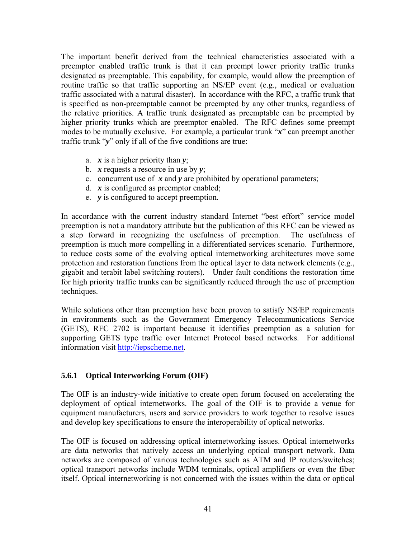The important benefit derived from the technical characteristics associated with a preemptor enabled traffic trunk is that it can preempt lower priority traffic trunks designated as preemptable. This capability, for example, would allow the preemption of routine traffic so that traffic supporting an NS/EP event (e.g., medical or evaluation traffic associated with a natural disaster). In accordance with the RFC, a traffic trunk that is specified as non-preemptable cannot be preempted by any other trunks, regardless of the relative priorities. A traffic trunk designated as preemptable can be preempted by higher priority trunks which are preemptor enabled. The RFC defines some preempt modes to be mutually exclusive. For example, a particular trunk "*x*" can preempt another traffic trunk "*y*" only if all of the five conditions are true:

- a. *x* is a higher priority than *y*;
- b. *x* requests a resource in use by *y*;
- c. concurrent use of *x* and *y* are prohibited by operational parameters;
- d. *x* is configured as preemptor enabled;
- e. *y* is configured to accept preemption.

In accordance with the current industry standard Internet "best effort" service model preemption is not a mandatory attribute but the publication of this RFC can be viewed as a step forward in recognizing the usefulness of preemption. The usefulness of preemption is much more compelling in a differentiated services scenario. Furthermore, to reduce costs some of the evolving optical internetworking architectures move some protection and restoration functions from the optical layer to data network elements (e.g., gigabit and terabit label switching routers). Under fault conditions the restoration time for high priority traffic trunks can be significantly reduced through the use of preemption techniques.

While solutions other than preemption have been proven to satisfy NS/EP requirements in environments such as the Government Emergency Telecommunications Service (GETS), RFC 2702 is important because it identifies preemption as a solution for supporting GETS type traffic over Internet Protocol based networks. For additional information visit [http://iepscheme.net](http://iepscheme.net/).

## **5.6.1 Optical Interworking Forum (OIF)**

The OIF is an industry-wide initiative to create open forum focused on accelerating the deployment of optical internetworks. The goal of the OIF is to provide a venue for equipment manufacturers, users and service providers to work together to resolve issues and develop key specifications to ensure the interoperability of optical networks.

The OIF is focused on addressing optical internetworking issues. Optical internetworks are data networks that natively access an underlying optical transport network. Data networks are composed of various technologies such as ATM and IP routers/switches; optical transport networks include WDM terminals, optical amplifiers or even the fiber itself. Optical internetworking is not concerned with the issues within the data or optical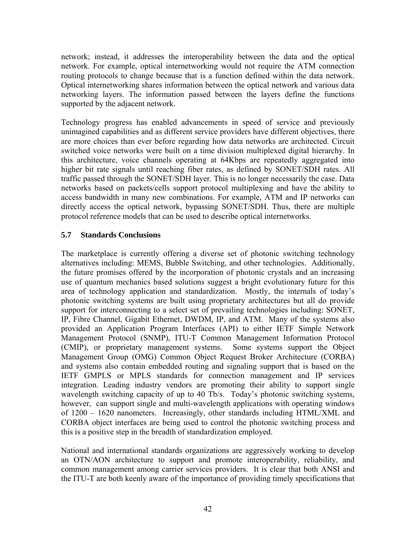network; instead, it addresses the interoperability between the data and the optical network. For example, optical internetworking would not require the ATM connection routing protocols to change because that is a function defined within the data network. Optical internetworking shares information between the optical network and various data networking layers. The information passed between the layers define the functions supported by the adjacent network.

Technology progress has enabled advancements in speed of service and previously unimagined capabilities and as different service providers have different objectives, there are more choices than ever before regarding how data networks are architected. Circuit switched voice networks were built on a time division multiplexed digital hierarchy. In this architecture, voice channels operating at 64Kbps are repeatedly aggregated into higher bit rate signals until reaching fiber rates, as defined by SONET/SDH rates. All traffic passed through the SONET/SDH layer. This is no longer necessarily the case. Data networks based on packets/cells support protocol multiplexing and have the ability to access bandwidth in many new combinations. For example, ATM and IP networks can directly access the optical network, bypassing SONET/SDH. Thus, there are multiple protocol reference models that can be used to describe optical internetworks.

## **5.7 Standards Conclusions**

The marketplace is currently offering a diverse set of photonic switching technology alternatives including: MEMS, Bubble Switching, and other technologies. Additionally, the future promises offered by the incorporation of photonic crystals and an increasing use of quantum mechanics based solutions suggest a bright evolutionary future for this area of technology application and standardization. Mostly, the internals of today's photonic switching systems are built using proprietary architectures but all do provide support for interconnecting to a select set of prevailing technologies including: SONET, IP, Fibre Channel, Gigabit Ethernet, DWDM, IP, and ATM. Many of the systems also provided an Application Program Interfaces (API) to either IETF Simple Network Management Protocol (SNMP), ITU-T Common Management Information Protocol (CMIP), or proprietary management systems. Some systems support the Object Management Group (OMG) Common Object Request Broker Architecture (CORBA) and systems also contain embedded routing and signaling support that is based on the IETF GMPLS or MPLS standards for connection management and IP services integration. Leading industry vendors are promoting their ability to support single wavelength switching capacity of up to 40 Tb/s. Today's photonic switching systems, however, can support single and multi-wavelength applications with operating windows of 1200 – 1620 nanometers. Increasingly, other standards including HTML/XML and CORBA object interfaces are being used to control the photonic switching process and this is a positive step in the breadth of standardization employed.

National and international standards organizations are aggressively working to develop an OTN/AON architecture to support and promote interoperability, reliability, and common management among carrier services providers. It is clear that both ANSI and the ITU-T are both keenly aware of the importance of providing timely specifications that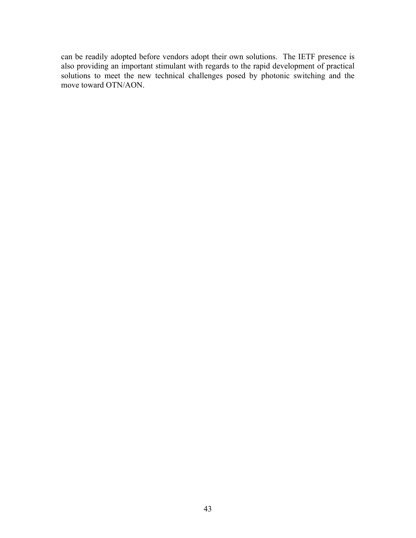can be readily adopted before vendors adopt their own solutions. The IETF presence is also providing an important stimulant with regards to the rapid development of practical solutions to meet the new technical challenges posed by photonic switching and the move toward OTN/AON.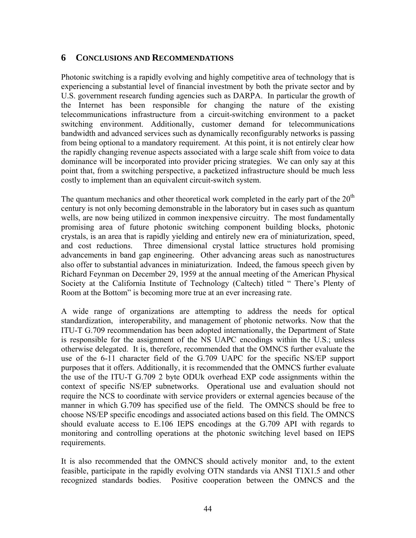## **6 CONCLUSIONS AND RECOMMENDATIONS**

Photonic switching is a rapidly evolving and highly competitive area of technology that is experiencing a substantial level of financial investment by both the private sector and by U.S. government research funding agencies such as DARPA. In particular the growth of the Internet has been responsible for changing the nature of the existing telecommunications infrastructure from a circuit-switching environment to a packet switching environment. Additionally, customer demand for telecommunications bandwidth and advanced services such as dynamically reconfigurably networks is passing from being optional to a mandatory requirement. At this point, it is not entirely clear how the rapidly changing revenue aspects associated with a large scale shift from voice to data dominance will be incorporated into provider pricing strategies. We can only say at this point that, from a switching perspective, a packetized infrastructure should be much less costly to implement than an equivalent circuit-switch system.

The quantum mechanics and other theoretical work completed in the early part of the  $20<sup>th</sup>$ century is not only becoming demonstrable in the laboratory but in cases such as quantum wells, are now being utilized in common inexpensive circuitry. The most fundamentally promising area of future photonic switching component building blocks, photonic crystals, is an area that is rapidly yielding and entirely new era of miniaturization, speed, and cost reductions. Three dimensional crystal lattice structures hold promising advancements in band gap engineering. Other advancing areas such as nanostructures also offer to substantial advances in miniaturization. Indeed, the famous speech given by Richard Feynman on December 29, 1959 at the annual meeting of the American Physical Society at the California Institute of Technology (Caltech) titled " There's Plenty of Room at the Bottom" is becoming more true at an ever increasing rate.

A wide range of organizations are attempting to address the needs for optical standardization, interoperability, and management of photonic networks. Now that the ITU-T G.709 recommendation has been adopted internationally, the Department of State is responsible for the assignment of the NS UAPC encodings within the U.S.; unless otherwise delegated. It is, therefore, recommended that the OMNCS further evaluate the use of the 6-11 character field of the G.709 UAPC for the specific NS/EP support purposes that it offers. Additionally, it is recommended that the OMNCS further evaluate the use of the ITU-T G.709 2 byte ODUk overhead EXP code assignments within the context of specific NS/EP subnetworks. Operational use and evaluation should not require the NCS to coordinate with service providers or external agencies because of the manner in which G.709 has specified use of the field. The OMNCS should be free to choose NS/EP specific encodings and associated actions based on this field. The OMNCS should evaluate access to E.106 IEPS encodings at the G.709 API with regards to monitoring and controlling operations at the photonic switching level based on IEPS requirements.

It is also recommended that the OMNCS should actively monitor and, to the extent feasible, participate in the rapidly evolving OTN standards via ANSI T1X1.5 and other recognized standards bodies. Positive cooperation between the OMNCS and the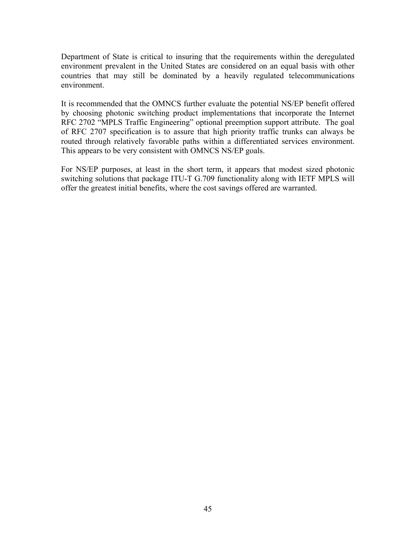Department of State is critical to insuring that the requirements within the deregulated environment prevalent in the United States are considered on an equal basis with other countries that may still be dominated by a heavily regulated telecommunications environment.

It is recommended that the OMNCS further evaluate the potential NS/EP benefit offered by choosing photonic switching product implementations that incorporate the Internet RFC 2702 "MPLS Traffic Engineering" optional preemption support attribute. The goal of RFC 2707 specification is to assure that high priority traffic trunks can always be routed through relatively favorable paths within a differentiated services environment. This appears to be very consistent with OMNCS NS/EP goals.

For NS/EP purposes, at least in the short term, it appears that modest sized photonic switching solutions that package ITU-T G.709 functionality along with IETF MPLS will offer the greatest initial benefits, where the cost savings offered are warranted.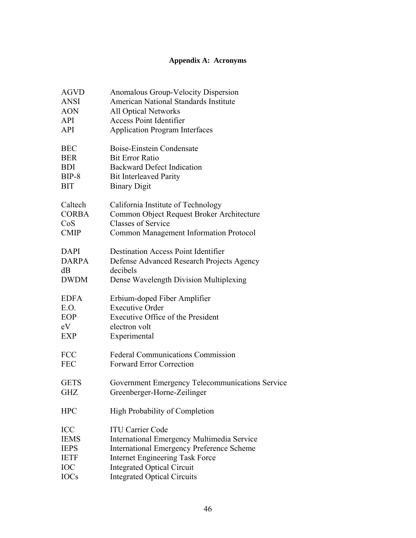## **Appendix A: Acronyms**

| <b>AGVD</b>  | Anomalous Group-Velocity Dispersion                   |  |  |  |
|--------------|-------------------------------------------------------|--|--|--|
| <b>ANSI</b>  | American National Standards Institute                 |  |  |  |
| <b>AON</b>   | <b>All Optical Networks</b>                           |  |  |  |
| <b>API</b>   | <b>Access Point Identifier</b>                        |  |  |  |
| <b>API</b>   | <b>Application Program Interfaces</b>                 |  |  |  |
|              |                                                       |  |  |  |
| <b>BEC</b>   | Boise-Einstein Condensate                             |  |  |  |
| <b>BER</b>   | <b>Bit Error Ratio</b>                                |  |  |  |
| <b>BDI</b>   | <b>Backward Defect Indication</b>                     |  |  |  |
| $BIP-8$      | <b>Bit Interleaved Parity</b>                         |  |  |  |
| <b>BIT</b>   | <b>Binary Digit</b>                                   |  |  |  |
| Caltech      | California Institute of Technology                    |  |  |  |
| <b>CORBA</b> | Common Object Request Broker Architecture             |  |  |  |
| CoS          | <b>Classes of Service</b>                             |  |  |  |
| <b>CMIP</b>  | Common Management Information Protocol                |  |  |  |
| <b>DAPI</b>  | <b>Destination Access Point Identifier</b>            |  |  |  |
| <b>DARPA</b> |                                                       |  |  |  |
|              | Defense Advanced Research Projects Agency<br>decibels |  |  |  |
| dB           |                                                       |  |  |  |
| <b>DWDM</b>  | Dense Wavelength Division Multiplexing                |  |  |  |
| <b>EDFA</b>  | Erbium-doped Fiber Amplifier                          |  |  |  |
| E.O.         | <b>Executive Order</b>                                |  |  |  |
| EOP          | Executive Office of the President                     |  |  |  |
| eV           | electron volt                                         |  |  |  |
| <b>EXP</b>   | Experimental                                          |  |  |  |
| <b>FCC</b>   | <b>Federal Communications Commission</b>              |  |  |  |
| <b>FEC</b>   | <b>Forward Error Correction</b>                       |  |  |  |
|              |                                                       |  |  |  |
| <b>GETS</b>  | Government Emergency Telecommunications Service       |  |  |  |
| <b>GHZ</b>   | Greenberger-Horne-Zeilinger                           |  |  |  |
| <b>HPC</b>   | High Probability of Completion                        |  |  |  |
| <b>ICC</b>   | <b>ITU Carrier Code</b>                               |  |  |  |
| <b>IEMS</b>  | <b>International Emergency Multimedia Service</b>     |  |  |  |
| <b>IEPS</b>  | <b>International Emergency Preference Scheme</b>      |  |  |  |
| <b>IETF</b>  | <b>Internet Engineering Task Force</b>                |  |  |  |
| <b>IOC</b>   | <b>Integrated Optical Circuit</b>                     |  |  |  |
| <b>IOCs</b>  | <b>Integrated Optical Circuits</b>                    |  |  |  |
|              |                                                       |  |  |  |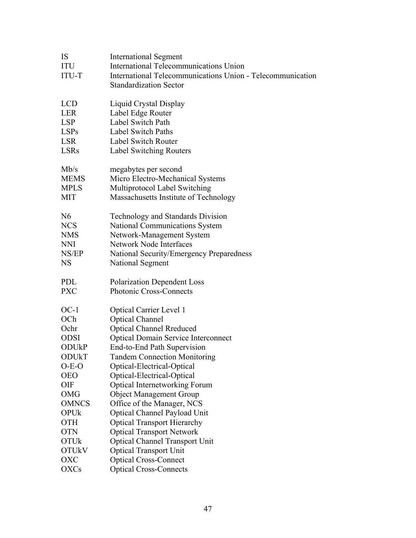| IS                      | <b>International Segment</b>                               |  |  |  |
|-------------------------|------------------------------------------------------------|--|--|--|
| ITU                     | <b>International Telecommunications Union</b>              |  |  |  |
| <b>ITU-T</b>            | International Telecommunications Union - Telecommunication |  |  |  |
|                         | <b>Standardization Sector</b>                              |  |  |  |
|                         |                                                            |  |  |  |
| <b>LCD</b>              | Liquid Crystal Display                                     |  |  |  |
| <b>LER</b>              | Label Edge Router                                          |  |  |  |
| <b>LSP</b>              | Label Switch Path                                          |  |  |  |
| <b>LSPs</b>             | <b>Label Switch Paths</b>                                  |  |  |  |
| <b>LSR</b>              | <b>Label Switch Router</b>                                 |  |  |  |
| <b>LSRs</b>             | <b>Label Switching Routers</b>                             |  |  |  |
|                         |                                                            |  |  |  |
| Mb/s                    | megabytes per second                                       |  |  |  |
| <b>MEMS</b>             | Micro Electro-Mechanical Systems                           |  |  |  |
| <b>MPLS</b>             | Multiprotocol Label Switching                              |  |  |  |
| <b>MIT</b>              | Massachusetts Institute of Technology                      |  |  |  |
| N <sub>6</sub>          | <b>Technology and Standards Division</b>                   |  |  |  |
| <b>NCS</b>              | <b>National Communications System</b>                      |  |  |  |
| <b>NMS</b>              | Network-Management System                                  |  |  |  |
| <b>NNI</b>              | <b>Network Node Interfaces</b>                             |  |  |  |
| NS/EP                   | National Security/Emergency Preparedness                   |  |  |  |
| <b>NS</b>               | National Segment                                           |  |  |  |
|                         |                                                            |  |  |  |
| <b>PDL</b>              | <b>Polarization Dependent Loss</b>                         |  |  |  |
| <b>PXC</b>              | Photonic Cross-Connects                                    |  |  |  |
|                         |                                                            |  |  |  |
| $OC-1$                  | <b>Optical Carrier Level 1</b>                             |  |  |  |
| OCh                     | <b>Optical Channel</b>                                     |  |  |  |
| Ochr                    | <b>Optical Channel Rreduced</b>                            |  |  |  |
| <b>ODSI</b>             | <b>Optical Domain Service Interconnect</b>                 |  |  |  |
| <b>ODU<sub>k</sub>P</b> | End-to-End Path Supervision                                |  |  |  |
| ODURT                   | <b>Tandem Connection Monitoring</b>                        |  |  |  |
| $O-E-O$                 | Optical-Electrical-Optical                                 |  |  |  |
| <b>OEO</b>              | Optical-Electrical-Optical                                 |  |  |  |
| <b>OIF</b>              | <b>Optical Internetworking Forum</b>                       |  |  |  |
| <b>OMG</b>              | <b>Object Management Group</b>                             |  |  |  |
| <b>OMNCS</b>            | Office of the Manager, NCS                                 |  |  |  |
| <b>OPUk</b>             | Optical Channel Payload Unit                               |  |  |  |
| <b>OTH</b>              | <b>Optical Transport Hierarchy</b>                         |  |  |  |
| <b>OTN</b>              | <b>Optical Transport Network</b>                           |  |  |  |
| <b>OTUk</b>             | <b>Optical Channel Transport Unit</b>                      |  |  |  |
| <b>OTUkV</b>            | <b>Optical Transport Unit</b>                              |  |  |  |
| OXC                     | <b>Optical Cross-Connect</b>                               |  |  |  |
| <b>OXCs</b>             | <b>Optical Cross-Connects</b>                              |  |  |  |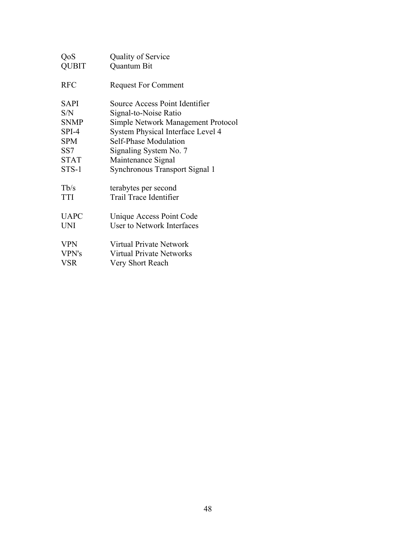| QoS             | Quality of Service                 |  |  |  |
|-----------------|------------------------------------|--|--|--|
| <b>QUBIT</b>    | Quantum Bit                        |  |  |  |
| <b>RFC</b>      | <b>Request For Comment</b>         |  |  |  |
| SAPI            | Source Access Point Identifier     |  |  |  |
| S/N             | Signal-to-Noise Ratio              |  |  |  |
| <b>SNMP</b>     | Simple Network Management Protocol |  |  |  |
| SPI-4           | System Physical Interface Level 4  |  |  |  |
| <b>SPM</b>      | Self-Phase Modulation              |  |  |  |
| SS <sub>7</sub> | Signaling System No. 7             |  |  |  |
| <b>STAT</b>     | Maintenance Signal                 |  |  |  |
| STS-1           | Synchronous Transport Signal 1     |  |  |  |
| Tb/s            | terabytes per second               |  |  |  |
| <b>TTI</b>      | Trail Trace Identifier             |  |  |  |
| <b>UAPC</b>     | Unique Access Point Code           |  |  |  |
| <b>UNI</b>      | <b>User to Network Interfaces</b>  |  |  |  |
| <b>VPN</b>      | Virtual Private Network            |  |  |  |
| VPN's           | <b>Virtual Private Networks</b>    |  |  |  |
| <b>VSR</b>      | Very Short Reach                   |  |  |  |
|                 |                                    |  |  |  |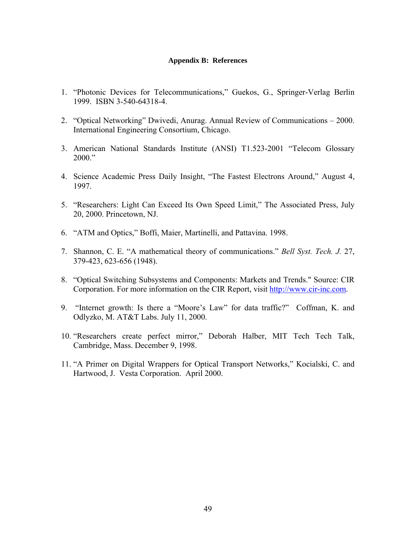#### **Appendix B: References**

- 1. "Photonic Devices for Telecommunications," Guekos, G., Springer-Verlag Berlin 1999. ISBN 3-540-64318-4.
- 2. "Optical Networking" Dwivedi, Anurag. Annual Review of Communications 2000. International Engineering Consortium, Chicago.
- 3. American National Standards Institute (ANSI) T1.523-2001 "Telecom Glossary 2000."
- 4. Science Academic Press Daily Insight, "The Fastest Electrons Around," August 4, 1997.
- 5. "Researchers: Light Can Exceed Its Own Speed Limit," The Associated Press, July 20, 2000. Princetown, NJ.
- 6. "ATM and Optics," Boffi, Maier, Martinelli, and Pattavina. 1998.
- 7. Shannon, C. E. "A mathematical theory of communications." *Bell Syst. Tech. J.* 27, 379-423, 623-656 (1948).
- 8. "Optical Switching Subsystems and Components: Markets and Trends." Source: CIR Corporation. For more information on the CIR Report, visit [http://www.cir-inc.com.](http://www.cir-inc.com/)
- 9. "Internet growth: Is there a "Moore's Law" for data traffic?" Coffman, K. and Odlyzko, M. AT&T Labs. July 11, 2000.
- 10. "Researchers create perfect mirror," Deborah Halber, MIT Tech Tech Talk, Cambridge, Mass. December 9, 1998.
- 11. "A Primer on Digital Wrappers for Optical Transport Networks," Kocialski, C. and Hartwood, J. Vesta Corporation. April 2000.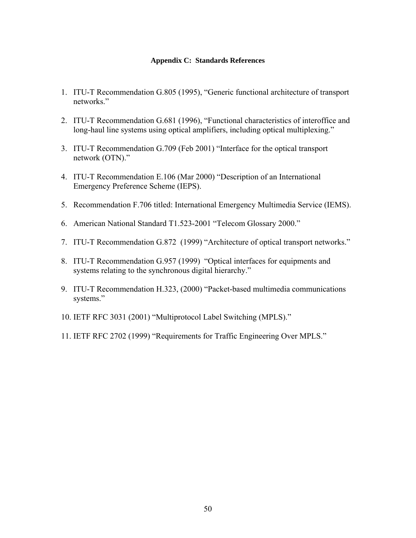#### **Appendix C: Standards References**

- 1. ITU-T Recommendation G.805 (1995), "Generic functional architecture of transport networks."
- 2. ITU-T Recommendation G.681 (1996), "Functional characteristics of interoffice and long-haul line systems using optical amplifiers, including optical multiplexing."
- 3. ITU-T Recommendation G.709 (Feb 2001) "Interface for the optical transport network (OTN)."
- 4. ITU-T Recommendation E.106 (Mar 2000) "Description of an International Emergency Preference Scheme (IEPS).
- 5. Recommendation F.706 titled: International Emergency Multimedia Service (IEMS).
- 6. American National Standard T1.523-2001 "Telecom Glossary 2000."
- 7. ITU-T Recommendation G.872 (1999) "Architecture of optical transport networks."
- 8. ITU-T Recommendation G.957 (1999) "Optical interfaces for equipments and systems relating to the synchronous digital hierarchy."
- 9. ITU-T Recommendation H.323, (2000) "Packet-based multimedia communications systems."
- 10. IETF RFC 3031 (2001) "Multiprotocol Label Switching (MPLS)."
- 11. IETF RFC 2702 (1999) "Requirements for Traffic Engineering Over MPLS."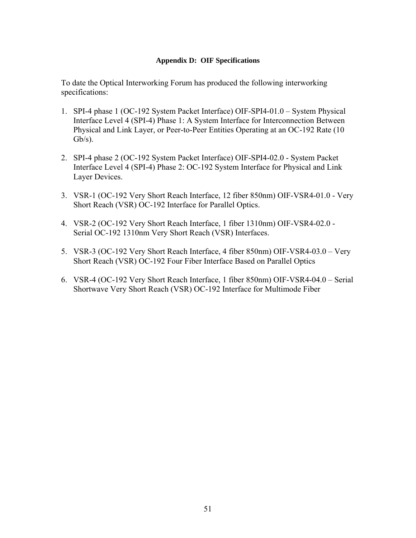### **Appendix D: OIF Specifications**

To date the Optical Interworking Forum has produced the following interworking specifications:

- 1. SPI-4 phase 1 (OC-192 System Packet Interface) OIF-SPI4-01.0 System Physical Interface Level 4 (SPI-4) Phase 1: A System Interface for Interconnection Between Physical and Link Layer, or Peer-to-Peer Entities Operating at an OC-192 Rate (10  $Gb/s$ ).
- 2. SPI-4 phase 2 (OC-192 System Packet Interface) OIF-SPI4-02.0 System Packet Interface Level 4 (SPI-4) Phase 2: OC-192 System Interface for Physical and Link Layer Devices.
- 3. VSR-1 (OC-192 Very Short Reach Interface, 12 fiber 850nm) OIF-VSR4-01.0 Very Short Reach (VSR) OC-192 Interface for Parallel Optics.
- 4. VSR-2 (OC-192 Very Short Reach Interface, 1 fiber 1310nm) OIF-VSR4-02.0 Serial OC-192 1310nm Very Short Reach (VSR) Interfaces.
- 5. VSR-3 (OC-192 Very Short Reach Interface, 4 fiber 850nm) OIF-VSR4-03.0 Very Short Reach (VSR) OC-192 Four Fiber Interface Based on Parallel Optics
- 6. VSR-4 (OC-192 Very Short Reach Interface, 1 fiber 850nm) OIF-VSR4-04.0 Serial Shortwave Very Short Reach (VSR) OC-192 Interface for Multimode Fiber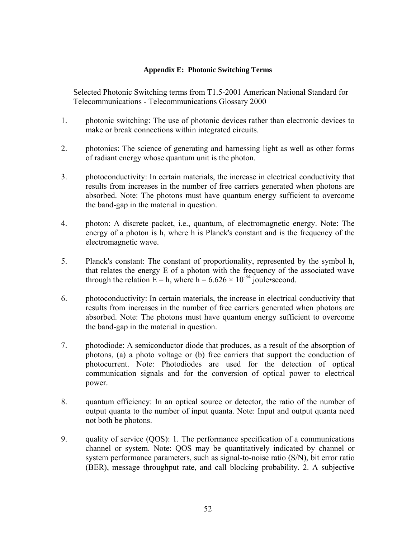### **Appendix E: Photonic Switching Terms**

Selected Photonic Switching terms from T1.5-2001 American National Standard for Telecommunications - Telecommunications Glossary 2000

- 1. photonic switching: The use of photonic devices rather than electronic devices to make or break connections within integrated circuits.
- 2. photonics: The science of generating and harnessing light as well as other forms of radiant energy whose quantum unit is the photon.
- 3. photoconductivity: In certain materials, the increase in electrical conductivity that results from increases in the number of free carriers generated when photons are absorbed. Note: The photons must have quantum energy sufficient to overcome the band-gap in the material in question.
- 4. photon: A discrete packet, i.e., quantum, of electromagnetic energy. Note: The energy of a photon is h, where h is Planck's constant and is the frequency of the electromagnetic wave.
- 5. Planck's constant: The constant of proportionality, represented by the symbol h, that relates the energy E of a photon with the frequency of the associated wave through the relation  $E = h$ , where  $h = 6.626 \times 10^{-34}$  joule•second.
- 6. photoconductivity: In certain materials, the increase in electrical conductivity that results from increases in the number of free carriers generated when photons are absorbed. Note: The photons must have quantum energy sufficient to overcome the band-gap in the material in question.
- 7. photodiode: A semiconductor diode that produces, as a result of the absorption of photons, (a) a photo voltage or (b) free carriers that support the conduction of photocurrent. Note: Photodiodes are used for the detection of optical communication signals and for the conversion of optical power to electrical power.
- 8. quantum efficiency: In an optical source or detector, the ratio of the number of output quanta to the number of input quanta. Note: Input and output quanta need not both be photons.
- 9. quality of service (QOS): 1. The performance specification of a communications channel or system. Note: QOS may be quantitatively indicated by channel or system performance parameters, such as signal-to-noise ratio (S/N), bit error ratio (BER), message throughput rate, and call blocking probability. 2. A subjective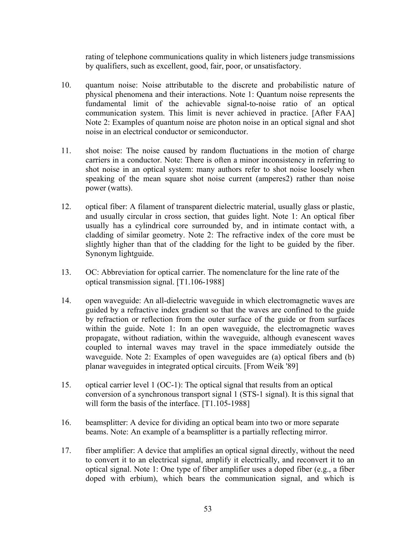rating of telephone communications quality in which listeners judge transmissions by qualifiers, such as excellent, good, fair, poor, or unsatisfactory.

- 10. quantum noise: Noise attributable to the discrete and probabilistic nature of physical phenomena and their interactions. Note 1: Quantum noise represents the fundamental limit of the achievable signal-to-noise ratio of an optical communication system. This limit is never achieved in practice. [After FAA] Note 2: Examples of quantum noise are photon noise in an optical signal and shot noise in an electrical conductor or semiconductor.
- 11. shot noise: The noise caused by random fluctuations in the motion of charge carriers in a conductor. Note: There is often a minor inconsistency in referring to shot noise in an optical system: many authors refer to shot noise loosely when speaking of the mean square shot noise current (amperes2) rather than noise power (watts).
- 12. optical fiber: A filament of transparent dielectric material, usually glass or plastic, and usually circular in cross section, that guides light. Note 1: An optical fiber usually has a cylindrical core surrounded by, and in intimate contact with, a cladding of similar geometry. Note 2: The refractive index of the core must be slightly higher than that of the cladding for the light to be guided by the fiber. Synonym lightguide.
- 13. OC: Abbreviation for optical carrier. The nomenclature for the line rate of the optical transmission signal. [T1.106-1988]
- 14. open waveguide: An all-dielectric waveguide in which electromagnetic waves are guided by a refractive index gradient so that the waves are confined to the guide by refraction or reflection from the outer surface of the guide or from surfaces within the guide. Note 1: In an open waveguide, the electromagnetic waves propagate, without radiation, within the waveguide, although evanescent waves coupled to internal waves may travel in the space immediately outside the waveguide. Note 2: Examples of open waveguides are (a) optical fibers and (b) planar waveguides in integrated optical circuits. [From Weik '89]
- 15. optical carrier level 1 (OC-1): The optical signal that results from an optical conversion of a synchronous transport signal 1 (STS-1 signal). It is this signal that will form the basis of the interface. [T1.105-1988]
- 16. beamsplitter: A device for dividing an optical beam into two or more separate beams. Note: An example of a beamsplitter is a partially reflecting mirror.
- 17. fiber amplifier: A device that amplifies an optical signal directly, without the need to convert it to an electrical signal, amplify it electrically, and reconvert it to an optical signal. Note 1: One type of fiber amplifier uses a doped fiber (e.g., a fiber doped with erbium), which bears the communication signal, and which is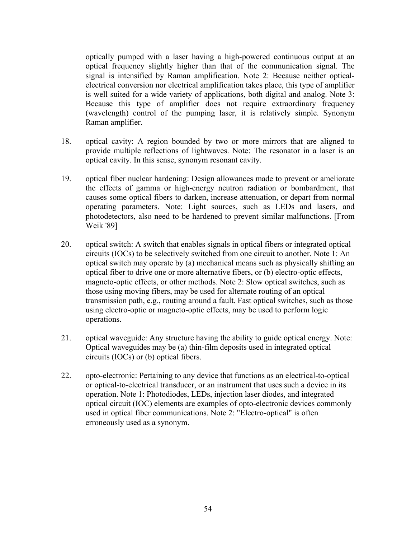optically pumped with a laser having a high-powered continuous output at an optical frequency slightly higher than that of the communication signal. The signal is intensified by Raman amplification. Note 2: Because neither opticalelectrical conversion nor electrical amplification takes place, this type of amplifier is well suited for a wide variety of applications, both digital and analog. Note 3: Because this type of amplifier does not require extraordinary frequency (wavelength) control of the pumping laser, it is relatively simple. Synonym Raman amplifier.

- 18. optical cavity: A region bounded by two or more mirrors that are aligned to provide multiple reflections of lightwaves. Note: The resonator in a laser is an optical cavity. In this sense, synonym resonant cavity.
- 19. optical fiber nuclear hardening: Design allowances made to prevent or ameliorate the effects of gamma or high-energy neutron radiation or bombardment, that causes some optical fibers to darken, increase attenuation, or depart from normal operating parameters. Note: Light sources, such as LEDs and lasers, and photodetectors, also need to be hardened to prevent similar malfunctions. [From Weik '89]
- 20. optical switch: A switch that enables signals in optical fibers or integrated optical circuits (IOCs) to be selectively switched from one circuit to another. Note 1: An optical switch may operate by (a) mechanical means such as physically shifting an optical fiber to drive one or more alternative fibers, or (b) electro-optic effects, magneto-optic effects, or other methods. Note 2: Slow optical switches, such as those using moving fibers, may be used for alternate routing of an optical transmission path, e.g., routing around a fault. Fast optical switches, such as those using electro-optic or magneto-optic effects, may be used to perform logic operations.
- 21. optical waveguide: Any structure having the ability to guide optical energy. Note: Optical waveguides may be (a) thin-film deposits used in integrated optical circuits (IOCs) or (b) optical fibers.
- 22. opto-electronic: Pertaining to any device that functions as an electrical-to-optical or optical-to-electrical transducer, or an instrument that uses such a device in its operation. Note 1: Photodiodes, LEDs, injection laser diodes, and integrated optical circuit (IOC) elements are examples of opto-electronic devices commonly used in optical fiber communications. Note 2: "Electro-optical" is often erroneously used as a synonym.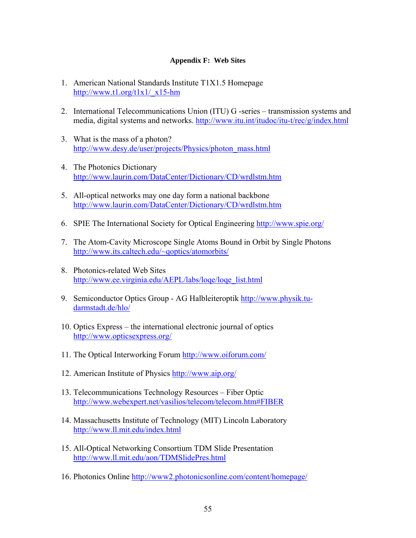### **Appendix F: Web Sites**

- 1. American National Standards Institute T1X1.5 Homepage [http://www.t1.org/t1x1/\\_x15-hm](http://www.t1.org/t1x1/_x15-hm)
- 2. International Telecommunications Union (ITU) G -series transmission systems and media, digital systems and networks.<http://www.itu.int/itudoc/itu-t/rec/g/index.html>
- 3. What is the mass of a photon? [http://www.desy.de/user/projects/Physics/photon\\_mass.html](http://www.desy.de/user/projects/Physics/photon_mass.html)
- 4. The Photonics Dictionary <http://www.laurin.com/DataCenter/Dictionary/CD/wrdlstm.htm>
- 5. All-optical networks may one day form a national backbone <http://www.laurin.com/DataCenter/Dictionary/CD/wrdlstm.htm>
- 6. SPIE The International Society for Optical Engineering <http://www.spie.org/>
- 7. The Atom-Cavity Microscope Single Atoms Bound in Orbit by Single Photons [http://www.its.caltech.edu/~qoptics/atomorbits/](http://www.its.caltech.edu/%7Eqoptics/atomorbits/)
- 8. Photonics-related Web Sites [http://www.ee.virginia.edu/AEPL/labs/loqe/loqe\\_list.html](http://www.ee.virginia.edu/AEPL/labs/loqe/loqe_list.html)
- 9. Semiconductor Optics Group AG Halbleiteroptik [http://www.physik.tu](http://www.physik.tu-darmstadt.de/hlo/)[darmstadt.de/hlo/](http://www.physik.tu-darmstadt.de/hlo/)
- 10. Optics Express the international electronic journal of optics <http://www.opticsexpress.org/>
- 11. The Optical Interworking Forum <http://www.oiforum.com/>
- 12. American Institute of Physics<http://www.aip.org/>
- 13. Telecommunications Technology Resources Fiber Optic <http://www.webexpert.net/vasilios/telecom/telecom.htm#FIBER>
- 14. Massachusetts Institute of Technology (MIT) Lincoln Laboratory <http://www.ll.mit.edu/index.html>
- 15. All-Optical Networking Consortium TDM Slide Presentation <http://www.ll.mit.edu/aon/TDMSlidePres.html>
- 16. Photonics Online<http://www2.photonicsonline.com/content/homepage/>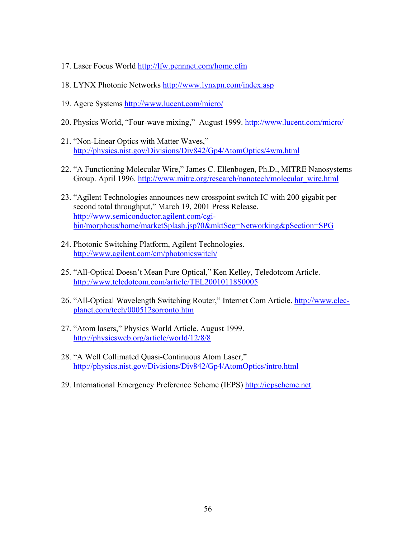- 17. Laser Focus World<http://lfw.pennnet.com/home.cfm>
- 18. LYNX Photonic Networks <http://www.lynxpn.com/index.asp>
- 19. Agere Systems <http://www.lucent.com/micro/>
- 20. Physics World, "Four-wave mixing," August 1999. <http://www.lucent.com/micro/>
- 21. "Non-Linear Optics with Matter Waves," <http://physics.nist.gov/Divisions/Div842/Gp4/AtomOptics/4wm.html>
- 22. "A Functioning Molecular Wire," James C. Ellenbogen, Ph.D., MITRE Nanosystems Group. April 1996. [http://www.mitre.org/research/nanotech/molecular\\_wire.html](http://www.mitre.org/research/nanotech/molecular_wire.html)
- 23. "Agilent Technologies announces new crosspoint switch IC with 200 gigabit per second total throughput," March 19, 2001 Press Release. [http://www.semiconductor.agilent.com/cgi](http://www.semiconductor.agilent.com/cgi-bin/morpheus/home/marketSplash.jsp?0&mktSeg=Networking&pSection=SPG)[bin/morpheus/home/marketSplash.jsp?0&mktSeg=Networking&pSection=SPG](http://www.semiconductor.agilent.com/cgi-bin/morpheus/home/marketSplash.jsp?0&mktSeg=Networking&pSection=SPG)
- 24. Photonic Switching Platform, Agilent Technologies. <http://www.agilent.com/cm/photonicswitch/>
- 25. "All-Optical Doesn't Mean Pure Optical," Ken Kelley, Teledotcom Article. <http://www.teledotcom.com/article/TEL20010118S0005>
- 26. "All-Optical Wavelength Switching Router," Internet Com Article. [http://www.clec](http://www.clec-planet.com/tech/000512sorronto.htm)[planet.com/tech/000512sorronto.htm](http://www.clec-planet.com/tech/000512sorronto.htm)
- 27. "Atom lasers," Physics World Article. August 1999. <http://physicsweb.org/article/world/12/8/8>
- 28. "A Well Collimated Quasi-Continuous Atom Laser," <http://physics.nist.gov/Divisions/Div842/Gp4/AtomOptics/intro.html>
- 29. International Emergency Preference Scheme (IEPS) [http://iepscheme.net.](http://iepscheme.net/)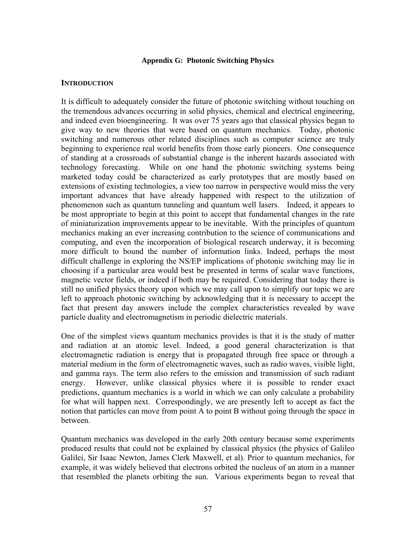#### **Appendix G: Photonic Switching Physics**

### **INTRODUCTION**

It is difficult to adequately consider the future of photonic switching without touching on the tremendous advances occurring in solid physics, chemical and electrical engineering, and indeed even bioengineering. It was over 75 years ago that classical physics began to give way to new theories that were based on quantum mechanics. Today, photonic switching and numerous other related disciplines such as computer science are truly beginning to experience real world benefits from those early pioneers. One consequence of standing at a crossroads of substantial change is the inherent hazards associated with technology forecasting. While on one hand the photonic switching systems being marketed today could be characterized as early prototypes that are mostly based on extensions of existing technologies, a view too narrow in perspective would miss the very important advances that have already happened with respect to the utilization of phenomenon such as quantum tunneling and quantum well lasers. Indeed, it appears to be most appropriate to begin at this point to accept that fundamental changes in the rate of miniaturization improvements appear to be inevitable. With the principles of quantum mechanics making an ever increasing contribution to the science of communications and computing, and even the incorporation of biological research underway, it is becoming more difficult to bound the number of information links. Indeed, perhaps the most difficult challenge in exploring the NS/EP implications of photonic switching may lie in choosing if a particular area would best be presented in terms of scalar wave functions, magnetic vector fields, or indeed if both may be required. Considering that today there is still no unified physics theory upon which we may call upon to simplify our topic we are left to approach photonic switching by acknowledging that it is necessary to accept the fact that present day answers include the complex characteristics revealed by wave particle duality and electromagnetism in periodic dielectric materials.

One of the simplest views quantum mechanics provides is that it is the study of matter and radiation at an atomic level. Indeed, a good general characterization is that electromagnetic radiation is energy that is propagated through free space or through a material medium in the form of electromagnetic waves, such as radio waves, visible light, and gamma rays. The term also refers to the emission and transmission of such radiant energy. However, unlike classical physics where it is possible to render exact predictions, quantum mechanics is a world in which we can only calculate a probability for what will happen next. Correspondingly, we are presently left to accept as fact the notion that particles can move from point A to point B without going through the space in between.

Quantum mechanics was developed in the early 20th century because some experiments produced results that could not be explained by classical physics (the physics of Galileo Galilei, Sir Isaac Newton, James Clerk Maxwell, et al). Prior to quantum mechanics, for example, it was widely believed that electrons orbited the nucleus of an atom in a manner that resembled the planets orbiting the sun. Various experiments began to reveal that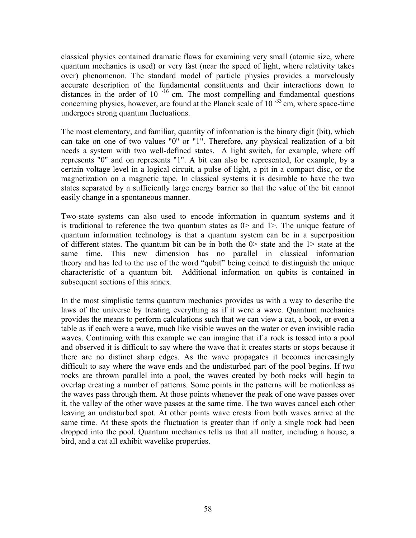classical physics contained dramatic flaws for examining very small (atomic size, where quantum mechanics is used) or very fast (near the speed of light, where relativity takes over) phenomenon. The standard model of particle physics provides a marvelously accurate description of the fundamental constituents and their interactions down to distances in the order of 10<sup> $-16$ </sup> cm. The most compelling and fundamental questions concerning physics, however, are found at the Planck scale of  $10^{-33}$  cm, where space-time undergoes strong quantum fluctuations.

The most elementary, and familiar, quantity of information is the binary digit (bit), which can take on one of two values "0" or "1". Therefore, any physical realization of a bit needs a system with two well-defined states. A light switch, for example, where off represents "0" and on represents "1". A bit can also be represented, for example, by a certain voltage level in a logical circuit, a pulse of light, a pit in a compact disc, or the magnetization on a magnetic tape. In classical systems it is desirable to have the two states separated by a sufficiently large energy barrier so that the value of the bit cannot easily change in a spontaneous manner.

Two-state systems can also used to encode information in quantum systems and it is traditional to reference the two quantum states as  $0$  and  $1$  >. The unique feature of quantum information technology is that a quantum system can be in a superposition of different states. The quantum bit can be in both the 0> state and the 1> state at the same time. This new dimension has no parallel in classical information theory and has led to the use of the word "qubit" being coined to distinguish the unique characteristic of a quantum bit. Additional information on qubits is contained in subsequent sections of this annex.

In the most simplistic terms quantum mechanics provides us with a way to describe the laws of the universe by treating everything as if it were a wave. Quantum mechanics provides the means to perform calculations such that we can view a cat, a book, or even a table as if each were a wave, much like visible waves on the water or even invisible radio waves. Continuing with this example we can imagine that if a rock is tossed into a pool and observed it is difficult to say where the wave that it creates starts or stops because it there are no distinct sharp edges. As the wave propagates it becomes increasingly difficult to say where the wave ends and the undisturbed part of the pool begins. If two rocks are thrown parallel into a pool, the waves created by both rocks will begin to overlap creating a number of patterns. Some points in the patterns will be motionless as the waves pass through them. At those points whenever the peak of one wave passes over it, the valley of the other wave passes at the same time. The two waves cancel each other leaving an undisturbed spot. At other points wave crests from both waves arrive at the same time. At these spots the fluctuation is greater than if only a single rock had been dropped into the pool. Quantum mechanics tells us that all matter, including a house, a bird, and a cat all exhibit wavelike properties.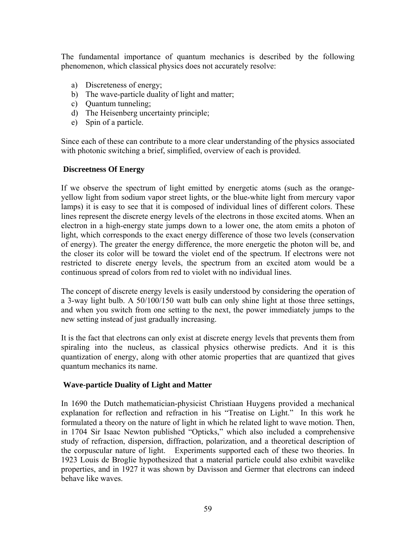The fundamental importance of quantum mechanics is described by the following phenomenon, which classical physics does not accurately resolve:

- a) Discreteness of energy;
- b) The wave-particle duality of light and matter;
- c) Quantum tunneling;
- d) The Heisenberg uncertainty principle;
- e) Spin of a particle.

Since each of these can contribute to a more clear understanding of the physics associated with photonic switching a brief, simplified, overview of each is provided.

## **Discreetness Of Energy**

If we observe the spectrum of light emitted by energetic atoms (such as the orangeyellow light from sodium vapor street lights, or the blue-white light from mercury vapor lamps) it is easy to see that it is composed of individual lines of different colors. These lines represent the discrete energy levels of the electrons in those excited atoms. When an electron in a high-energy state jumps down to a lower one, the atom emits a photon of light, which corresponds to the exact energy difference of those two levels (conservation of energy). The greater the energy difference, the more energetic the photon will be, and the closer its color will be toward the violet end of the spectrum. If electrons were not restricted to discrete energy levels, the spectrum from an excited atom would be a continuous spread of colors from red to violet with no individual lines.

The concept of discrete energy levels is easily understood by considering the operation of a 3-way light bulb. A 50/100/150 watt bulb can only shine light at those three settings, and when you switch from one setting to the next, the power immediately jumps to the new setting instead of just gradually increasing.

It is the fact that electrons can only exist at discrete energy levels that prevents them from spiraling into the nucleus, as classical physics otherwise predicts. And it is this quantization of energy, along with other atomic properties that are quantized that gives quantum mechanics its name.

### **Wave-particle Duality of Light and Matter**

In 1690 the Dutch mathematician-physicist Christiaan Huygens provided a mechanical explanation for reflection and refraction in his "Treatise on Light." In this work he formulated a theory on the nature of light in which he related light to wave motion. Then, in 1704 Sir Isaac Newton published "Opticks," which also included a comprehensive study of refraction, dispersion, diffraction, polarization, and a theoretical description of the corpuscular nature of light. Experiments supported each of these two theories. In 1923 Louis de Broglie hypothesized that a material particle could also exhibit wavelike properties, and in 1927 it was shown by Davisson and Germer that electrons can indeed behave like waves.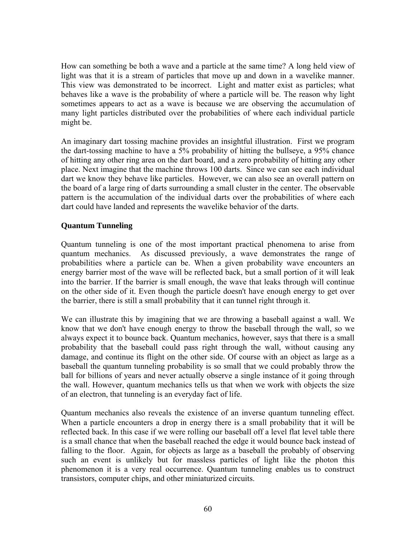How can something be both a wave and a particle at the same time? A long held view of light was that it is a stream of particles that move up and down in a wavelike manner. This view was demonstrated to be incorrect. Light and matter exist as particles; what behaves like a wave is the probability of where a particle will be. The reason why light sometimes appears to act as a wave is because we are observing the accumulation of many light particles distributed over the probabilities of where each individual particle might be.

An imaginary dart tossing machine provides an insightful illustration. First we program the dart-tossing machine to have a 5% probability of hitting the bullseye, a 95% chance of hitting any other ring area on the dart board, and a zero probability of hitting any other place. Next imagine that the machine throws 100 darts. Since we can see each individual dart we know they behave like particles. However, we can also see an overall pattern on the board of a large ring of darts surrounding a small cluster in the center. The observable pattern is the accumulation of the individual darts over the probabilities of where each dart could have landed and represents the wavelike behavior of the darts.

## **Quantum Tunneling**

Quantum tunneling is one of the most important practical phenomena to arise from quantum mechanics. As discussed previously, a wave demonstrates the range of probabilities where a particle can be. When a given probability wave encounters an energy barrier most of the wave will be reflected back, but a small portion of it will leak into the barrier. If the barrier is small enough, the wave that leaks through will continue on the other side of it. Even though the particle doesn't have enough energy to get over the barrier, there is still a small probability that it can tunnel right through it.

We can illustrate this by imagining that we are throwing a baseball against a wall. We know that we don't have enough energy to throw the baseball through the wall, so we always expect it to bounce back. Quantum mechanics, however, says that there is a small probability that the baseball could pass right through the wall, without causing any damage, and continue its flight on the other side. Of course with an object as large as a baseball the quantum tunneling probability is so small that we could probably throw the ball for billions of years and never actually observe a single instance of it going through the wall. However, quantum mechanics tells us that when we work with objects the size of an electron, that tunneling is an everyday fact of life.

Quantum mechanics also reveals the existence of an inverse quantum tunneling effect. When a particle encounters a drop in energy there is a small probability that it will be reflected back. In this case if we were rolling our baseball off a level flat level table there is a small chance that when the baseball reached the edge it would bounce back instead of falling to the floor. Again, for objects as large as a baseball the probably of observing such an event is unlikely but for massless particles of light like the photon this phenomenon it is a very real occurrence. Quantum tunneling enables us to construct transistors, computer chips, and other miniaturized circuits.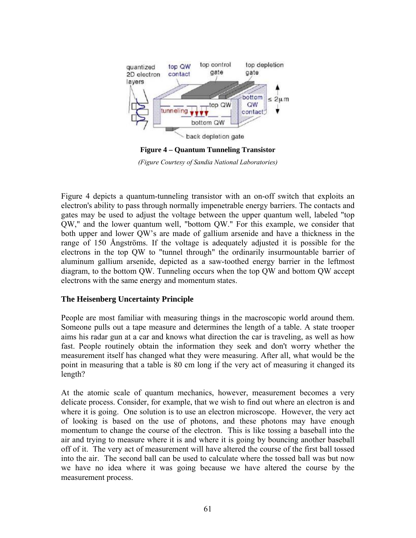

*(Figure Courtesy of Sandia National Laboratories)* 

Figure 4 depicts a quantum-tunneling transistor with an on-off switch that exploits an electron's ability to pass through normally impenetrable energy barriers. The contacts and gates may be used to adjust the voltage between the upper quantum well, labeled "top QW," and the lower quantum well, "bottom QW." For this example, we consider that both upper and lower QW's are made of gallium arsenide and have a thickness in the range of 150 Ångströms. If the voltage is adequately adjusted it is possible for the electrons in the top QW to "tunnel through" the ordinarily insurmountable barrier of aluminum gallium arsenide, depicted as a saw-toothed energy barrier in the leftmost diagram, to the bottom QW. Tunneling occurs when the top QW and bottom QW accept electrons with the same energy and momentum states.

## **The Heisenberg Uncertainty Principle**

People are most familiar with measuring things in the macroscopic world around them. Someone pulls out a tape measure and determines the length of a table. A state trooper aims his radar gun at a car and knows what direction the car is traveling, as well as how fast. People routinely obtain the information they seek and don't worry whether the measurement itself has changed what they were measuring. After all, what would be the point in measuring that a table is 80 cm long if the very act of measuring it changed its length?

At the atomic scale of quantum mechanics, however, measurement becomes a very delicate process. Consider, for example, that we wish to find out where an electron is and where it is going. One solution is to use an electron microscope. However, the very act of looking is based on the use of photons, and these photons may have enough momentum to change the course of the electron. This is like tossing a baseball into the air and trying to measure where it is and where it is going by bouncing another baseball off of it. The very act of measurement will have altered the course of the first ball tossed into the air. The second ball can be used to calculate where the tossed ball was but now we have no idea where it was going because we have altered the course by the measurement process.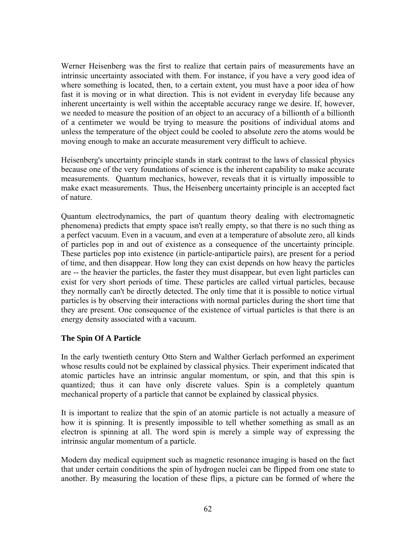Werner Heisenberg was the first to realize that certain pairs of measurements have an intrinsic uncertainty associated with them. For instance, if you have a very good idea of where something is located, then, to a certain extent, you must have a poor idea of how fast it is moving or in what direction. This is not evident in everyday life because any inherent uncertainty is well within the acceptable accuracy range we desire. If, however, we needed to measure the position of an object to an accuracy of a billionth of a billionth of a centimeter we would be trying to measure the positions of individual atoms and unless the temperature of the object could be cooled to absolute zero the atoms would be moving enough to make an accurate measurement very difficult to achieve.

Heisenberg's uncertainty principle stands in stark contrast to the laws of classical physics because one of the very foundations of science is the inherent capability to make accurate measurements. Quantum mechanics, however, reveals that it is virtually impossible to make exact measurements. Thus, the Heisenberg uncertainty principle is an accepted fact of nature.

Quantum electrodynamics, the part of quantum theory dealing with electromagnetic phenomena) predicts that empty space isn't really empty, so that there is no such thing as a perfect vacuum. Even in a vacuum, and even at a temperature of absolute zero, all kinds of particles pop in and out of existence as a consequence of the uncertainty principle. These particles pop into existence (in particle-antiparticle pairs), are present for a period of time, and then disappear. How long they can exist depends on how heavy the particles are -- the heavier the particles, the faster they must disappear, but even light particles can exist for very short periods of time. These particles are called virtual particles, because they normally can't be directly detected. The only time that it is possible to notice virtual particles is by observing their interactions with normal particles during the short time that they are present. One consequence of the existence of virtual particles is that there is an energy density associated with a vacuum.

## **The Spin Of A Particle**

In the early twentieth century Otto Stern and Walther Gerlach performed an experiment whose results could not be explained by classical physics. Their experiment indicated that atomic particles have an intrinsic angular momentum, or spin, and that this spin is quantized; thus it can have only discrete values. Spin is a completely quantum mechanical property of a particle that cannot be explained by classical physics.

It is important to realize that the spin of an atomic particle is not actually a measure of how it is spinning. It is presently impossible to tell whether something as small as an electron is spinning at all. The word spin is merely a simple way of expressing the intrinsic angular momentum of a particle.

Modern day medical equipment such as magnetic resonance imaging is based on the fact that under certain conditions the spin of hydrogen nuclei can be flipped from one state to another. By measuring the location of these flips, a picture can be formed of where the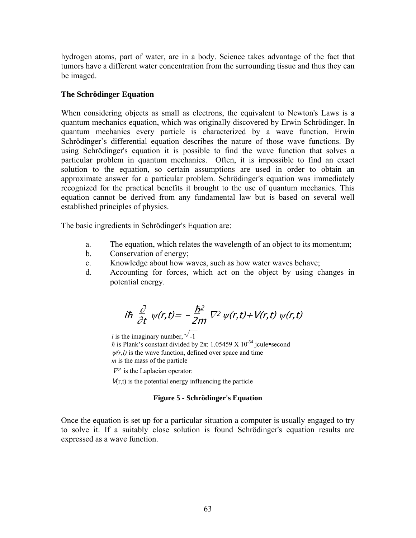hydrogen atoms, part of water, are in a body. Science takes advantage of the fact that tumors have a different water concentration from the surrounding tissue and thus they can be imaged.

### **The Schrödinger Equation**

When considering objects as small as electrons, the equivalent to Newton's Laws is a quantum mechanics equation, which was originally discovered by Erwin Schrödinger. In quantum mechanics every particle is characterized by a wave function. Erwin Schrödinger's differential equation describes the nature of those wave functions. By using Schrödinger's equation it is possible to find the wave function that solves a particular problem in quantum mechanics. Often, it is impossible to find an exact solution to the equation, so certain assumptions are used in order to obtain an approximate answer for a particular problem. Schrödinger's equation was immediately recognized for the practical benefits it brought to the use of quantum mechanics. This equation cannot be derived from any fundamental law but is based on several well established principles of physics.

The basic ingredients in Schrödinger's Equation are:

- a. The equation, which relates the wavelength of an object to its momentum;
- b. Conservation of energy;
- c. Knowledge about how waves, such as how water waves behave;
- d. Accounting for forces, which act on the object by using changes in potential energy.

$$
i\hbar \frac{\partial}{\partial t} \psi(r,t) = -\frac{\hbar^2}{2m} \nabla^2 \psi(r,t) + V(r,t) \psi(r,t)
$$

*i* is the imaginary number,  $\sqrt{-1}$ 

*h* is Plank's constant divided by  $2\pi$ : 1.05459 X 10<sup>-34</sup> jcule second  $\psi(r, l)$  is the wave function, defined over space and time *m* is the mass of the particle

 $\nabla^2$  is the Laplacian operator:

 $V(r,t)$  is the potential energy influencing the particle

#### **Figure 5 - Schrödinger's Equation**

Once the equation is set up for a particular situation a computer is usually engaged to try to solve it. If a suitably close solution is found Schrödinger's equation results are expressed as a wave function.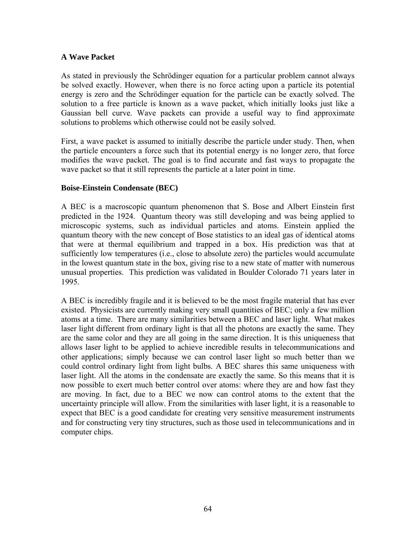## **A Wave Packet**

As stated in previously the Schrödinger equation for a particular problem cannot always be solved exactly. However, when there is no force acting upon a particle its potential energy is zero and the Schrödinger equation for the particle can be exactly solved. The solution to a free particle is known as a wave packet, which initially looks just like a Gaussian bell curve. Wave packets can provide a useful way to find approximate solutions to problems which otherwise could not be easily solved.

First, a wave packet is assumed to initially describe the particle under study. Then, when the particle encounters a force such that its potential energy is no longer zero, that force modifies the wave packet. The goal is to find accurate and fast ways to propagate the wave packet so that it still represents the particle at a later point in time.

### **Boise-Einstein Condensate (BEC)**

A BEC is a macroscopic quantum phenomenon that S. Bose and Albert Einstein first predicted in the 1924. Quantum theory was still developing and was being applied to microscopic systems, such as individual particles and atoms. Einstein applied the quantum theory with the new concept of Bose statistics to an ideal gas of identical atoms that were at thermal equilibrium and trapped in a box. His prediction was that at sufficiently low temperatures (i.e., close to absolute zero) the particles would accumulate in the lowest quantum state in the box, giving rise to a new state of matter with numerous unusual properties. This prediction was validated in Boulder Colorado 71 years later in 1995.

A BEC is incredibly fragile and it is believed to be the most fragile material that has ever existed. Physicists are currently making very small quantities of BEC; only a few million atoms at a time. There are many similarities between a BEC and laser light. What makes laser light different from ordinary light is that all the photons are exactly the same. They are the same color and they are all going in the same direction. It is this uniqueness that allows laser light to be applied to achieve incredible results in telecommunications and other applications; simply because we can control laser light so much better than we could control ordinary light from light bulbs. A BEC shares this same uniqueness with laser light. All the atoms in the condensate are exactly the same. So this means that it is now possible to exert much better control over atoms: where they are and how fast they are moving. In fact, due to a BEC we now can control atoms to the extent that the uncertainty principle will allow. From the similarities with laser light, it is a reasonable to expect that BEC is a good candidate for creating very sensitive measurement instruments and for constructing very tiny structures, such as those used in telecommunications and in computer chips.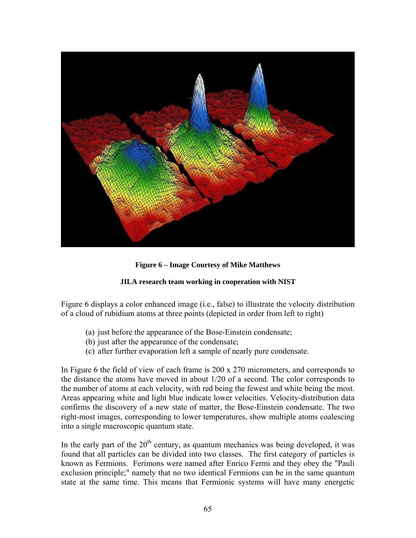

**Figure 6 – Image Courtesy of Mike Matthews** 

## **JILA research team working in cooperation with NIST**

Figure 6 displays a color enhanced image (i.e., false) to illustrate the velocity distribution of a cloud of rubidium atoms at three points (depicted in order from left to right)

- (a) just before the appearance of the Bose-Einstein condensate;
- (b) just after the appearance of the condensate;
- (c) after further evaporation left a sample of nearly pure condensate.

In Figure 6 the field of view of each frame is 200 x 270 micrometers, and corresponds to the distance the atoms have moved in about 1/20 of a second. The color corresponds to the number of atoms at each velocity, with red being the fewest and white being the most. Areas appearing white and light blue indicate lower velocities. Velocity-distribution data confirms the discovery of a new state of matter, the Bose-Einstein condensate. The two right-most images, corresponding to lower temperatures, show multiple atoms coalescing into a single macroscopic quantum state.

In the early part of the  $20<sup>th</sup>$  century, as quantum mechanics was being developed, it was found that all particles can be divided into two classes. The first category of particles is known as Fermions. Ferimons were named after Enrico Fermi and they obey the "Pauli exclusion principle;" namely that no two identical Fermions can be in the same quantum state at the same time. This means that Fermionic systems will have many energetic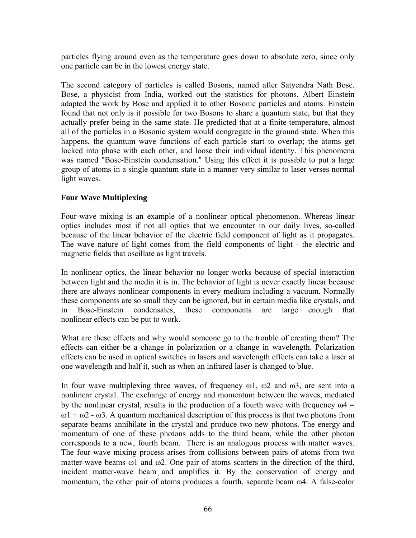particles flying around even as the temperature goes down to absolute zero, since only one particle can be in the lowest energy state.

The second category of particles is called Bosons, named after Satyendra Nath Bose. Bose, a physicist from India, worked out the statistics for photons. Albert Einstein adapted the work by Bose and applied it to other Bosonic particles and atoms. Einstein found that not only is it possible for two Bosons to share a quantum state, but that they actually prefer being in the same state. He predicted that at a finite temperature, almost all of the particles in a Bosonic system would congregate in the ground state. When this happens, the quantum wave functions of each particle start to overlap; the atoms get locked into phase with each other, and loose their individual identity. This phenomena was named "Bose-Einstein condensation." Using this effect it is possible to put a large group of atoms in a single quantum state in a manner very similar to laser verses normal light waves.

## **Four Wave Multiplexing**

Four-wave mixing is an example of a nonlinear optical phenomenon. Whereas linear optics includes most if not all optics that we encounter in our daily lives, so-called because of the linear behavior of the electric field component of light as it propagates. The wave nature of light comes from the field components of light - the electric and magnetic fields that oscillate as light travels.

In nonlinear optics, the linear behavior no longer works because of special interaction between light and the media it is in. The behavior of light is never exactly linear because there are always nonlinear components in every medium including a vacuum. Normally these components are so small they can be ignored, but in certain media like crystals, and in Bose-Einstein condensates, these components are large enough that nonlinear effects can be put to work.

What are these effects and why would someone go to the trouble of creating them? The effects can either be a change in polarization or a change in wavelength. Polarization effects can be used in optical switches in lasers and wavelength effects can take a laser at one wavelength and half it, such as when an infrared laser is changed to blue.

In four wave multiplexing three waves, of frequency  $\omega$ 1,  $\omega$ 2 and  $\omega$ 3, are sent into a nonlinear crystal. The exchange of energy and momentum between the waves, mediated by the nonlinear crystal, results in the production of a fourth wave with frequency  $\omega$ 4 =  $ω1 + ω2 - ω3$ . A quantum mechanical description of this process is that two photons from separate beams annihilate in the crystal and produce two new photons. The energy and momentum of one of these photons adds to the third beam, while the other photon corresponds to a new, fourth beam. There is an analogous process with matter waves. The four-wave mixing process arises from collisions between pairs of atoms from two matter-wave beams  $\omega$ 1 and  $\omega$ 2. One pair of atoms scatters in the direction of the third, incident matter-wave beam and amplifies it. By the conservation of energy and momentum, the other pair of atoms produces a fourth, separate beam ω4. A false-color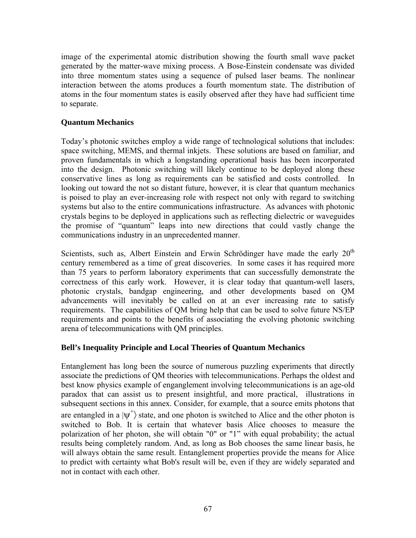image of the experimental atomic distribution showing the fourth small wave packet generated by the matter-wave mixing process. A Bose-Einstein condensate was divided into three momentum states using a sequence of pulsed laser beams. The nonlinear interaction between the atoms produces a fourth momentum state. The distribution of atoms in the four momentum states is easily observed after they have had sufficient time to separate.

## **Quantum Mechanics**

Today's photonic switches employ a wide range of technological solutions that includes: space switching, MEMS, and thermal inkjets. These solutions are based on familiar, and proven fundamentals in which a longstanding operational basis has been incorporated into the design. Photonic switching will likely continue to be deployed along these conservative lines as long as requirements can be satisfied and costs controlled. In looking out toward the not so distant future, however, it is clear that quantum mechanics is poised to play an ever-increasing role with respect not only with regard to switching systems but also to the entire communications infrastructure. As advances with photonic crystals begins to be deployed in applications such as reflecting dielectric or waveguides the promise of "quantum" leaps into new directions that could vastly change the communications industry in an unprecedented manner.

Scientists, such as, Albert Einstein and Erwin Schrödinger have made the early  $20<sup>th</sup>$ century remembered as a time of great discoveries. In some cases it has required more than 75 years to perform laboratory experiments that can successfully demonstrate the correctness of this early work. However, it is clear today that quantum-well lasers, photonic crystals, bandgap engineering, and other developments based on QM advancements will inevitably be called on at an ever increasing rate to satisfy requirements. The capabilities of QM bring help that can be used to solve future NS/EP requirements and points to the benefits of associating the evolving photonic switching arena of telecommunications with QM principles.

## **Bell's Inequality Principle and Local Theories of Quantum Mechanics**

Entanglement has long been the source of numerous puzzling experiments that directly associate the predictions of QM theories with telecommunications. Perhaps the oldest and best know physics example of enganglement involving telecommunications is an age-old paradox that can assist us to present insightful, and more practical, illustrations in subsequent sections in this annex. Consider, for example, that a source emits photons that are entangled in a  $|\psi^+\rangle$  state, and one photon is switched to Alice and the other photon is switched to Bob. It is certain that whatever basis Alice chooses to measure the polarization of her photon, she will obtain "0" or "1" with equal probability; the actual results being completely random. And, as long as Bob chooses the same linear basis, he will always obtain the same result. Entanglement properties provide the means for Alice to predict with certainty what Bob's result will be, even if they are widely separated and not in contact with each other.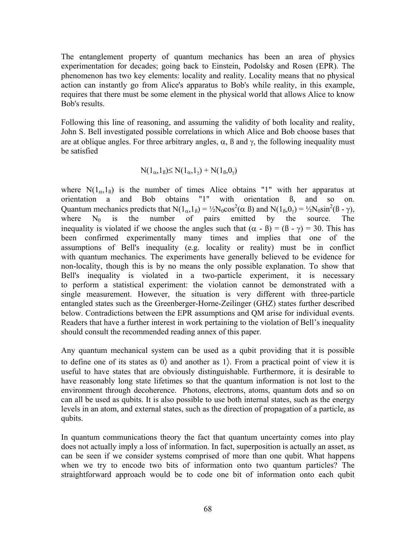The entanglement property of quantum mechanics has been an area of physics experimentation for decades; going back to Einstein, Podolsky and Rosen (EPR). The phenomenon has two key elements: locality and reality. Locality means that no physical action can instantly go from Alice's apparatus to Bob's while reality, in this example, requires that there must be some element in the physical world that allows Alice to know Bob's results.

Following this line of reasoning, and assuming the validity of both locality and reality, John S. Bell investigated possible correlations in which Alice and Bob choose bases that are at oblique angles. For three arbitrary angles,  $\alpha$ ,  $\beta$  and  $\gamma$ , the following inequality must be satisfied

$$
N(1_{\alpha}, 1_{\beta}) \leq N(1_{\alpha}, 1_{\gamma}) + N(1_{\beta}, 0_{\gamma})
$$

where  $N(1_{\alpha},1_{\beta})$  is the number of times Alice obtains "1" with her apparatus at orientation a and Bob obtains "1" with orientation ß, and so on. Quantum mechanics predicts that  $N(1_{\alpha}, 1_{\beta}) = \frac{1}{2}N_0 \cos^2(\alpha \beta)$  and  $N(1_{\beta}, 0_{\gamma}) = \frac{1}{2}N_0 \sin^2(\beta - \gamma)$ , where  $N_0$  is the number of pairs emitted by the source. The inequality is violated if we choose the angles such that  $(\alpha - \beta) = (\beta - \gamma) = 30$ . This has been confirmed experimentally many times and implies that one of the assumptions of Bell's inequality (e.g. locality or reality) must be in conflict with quantum mechanics. The experiments have generally believed to be evidence for non-locality, though this is by no means the only possible explanation. To show that Bell's inequality is violated in a two-particle experiment, it is necessary to perform a statistical experiment: the violation cannot be demonstrated with a single measurement. However, the situation is very different with three-particle entangled states such as the Greenberger-Horne-Zeilinger (GHZ) states further described below. Contradictions between the EPR assumptions and QM arise for individual events. Readers that have a further interest in work pertaining to the violation of Bell's inequality should consult the recommended reading annex of this paper.

Any quantum mechanical system can be used as a qubit providing that it is possible to define one of its states as  $0$  and another as 1). From a practical point of view it is useful to have states that are obviously distinguishable. Furthermore, it is desirable to have reasonably long state lifetimes so that the quantum information is not lost to the environment through decoherence. Photons, electrons, atoms, quantum dots and so on can all be used as qubits. It is also possible to use both internal states, such as the energy levels in an atom, and external states, such as the direction of propagation of a particle, as qubits.

In quantum communications theory the fact that quantum uncertainty comes into play does not actually imply a loss of information. In fact, superposition is actually an asset, as can be seen if we consider systems comprised of more than one qubit. What happens when we try to encode two bits of information onto two quantum particles? The straightforward approach would be to code one bit of information onto each qubit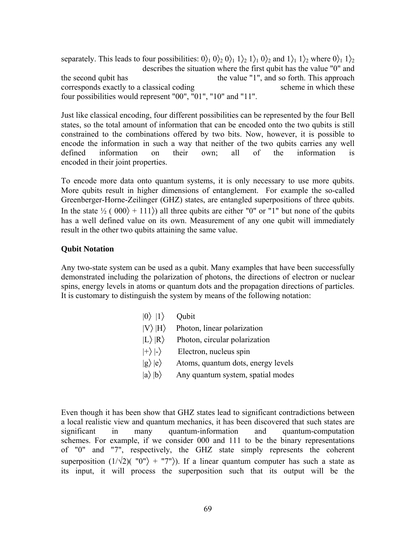separately. This leads to four possibilities:  $0 \rangle_1 0 \rangle_2 0 \rangle_1 1 \rangle_2 1 \rangle_1 0 \rangle_2$  and  $1 \rangle_1 1 \rangle_2$  where  $0 \rangle_1 1 \rangle_2$  describes the situation where the first qubit has the value "0" and the second qubit has the value "1", and so forth. This approach corresponds exactly to a classical coding scheme in which these four possibilities would represent "00", "01", "10" and "11".

Just like classical encoding, four different possibilities can be represented by the four Bell states, so the total amount of information that can be encoded onto the two qubits is still constrained to the combinations offered by two bits. Now, however, it is possible to encode the information in such a way that neither of the two qubits carries any well defined information on their own; all of the information is encoded in their joint properties.

To encode more data onto quantum systems, it is only necessary to use more qubits. More qubits result in higher dimensions of entanglement. For example the so-called Greenberger-Horne-Zeilinger (GHZ) states, are entangled superpositions of three qubits. In the state  $\frac{1}{2}$  ( 000) + 111) all three qubits are either "0" or "1" but none of the qubits has a well defined value on its own. Measurement of any one qubit will immediately result in the other two qubits attaining the same value.

### **Qubit Notation**

Any two-state system can be used as a qubit. Many examples that have been successfully demonstrated including the polarization of photons, the directions of electron or nuclear spins, energy levels in atoms or quantum dots and the propagation directions of particles. It is customary to distinguish the system by means of the following notation:

| $ 0\rangle  1\rangle$ | Qubit                              |
|-----------------------|------------------------------------|
| $ V\rangle  H\rangle$ | Photon, linear polarization        |
| $ L\rangle  R\rangle$ | Photon, circular polarization      |
| $\ket{+}\ket{-}$      | Electron, nucleus spin             |
| $ g\rangle  e\rangle$ | Atoms, quantum dots, energy levels |
| $ a\rangle b\rangle$  | Any quantum system, spatial modes  |
|                       |                                    |

Even though it has been show that GHZ states lead to significant contradictions between a local realistic view and quantum mechanics, it has been discovered that such states are significant in many quantum-information and quantum-computation schemes. For example, if we consider 000 and 111 to be the binary representations of "0" and "7", respectively, the GHZ state simply represents the coherent superposition  $(1/\sqrt{2})(''0'' +''7'')$ . If a linear quantum computer has such a state as its input, it will process the superposition such that its output will be the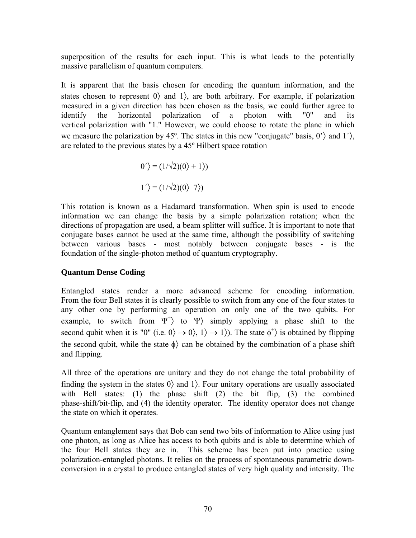superposition of the results for each input. This is what leads to the potentially massive parallelism of quantum computers.

It is apparent that the basis chosen for encoding the quantum information, and the states chosen to represent  $0$  and  $1$ , are both arbitrary. For example, if polarization measured in a given direction has been chosen as the basis, we could further agree to identify the horizontal polarization of a photon with "0" and its vertical polarization with "1." However, we could choose to rotate the plane in which we measure the polarization by 45<sup>o</sup>. The states in this new "conjugate" basis, 0<sup>'</sup>) and 1<sup>'</sup>), are related to the previous states by a 45º Hilbert space rotation

$$
0' = (1/\sqrt{2})(0) + 1)
$$
  

$$
1' = (1/\sqrt{2})(0) \quad 7)
$$

This rotation is known as a Hadamard transformation. When spin is used to encode information we can change the basis by a simple polarization rotation; when the directions of propagation are used, a beam splitter will suffice. It is important to note that conjugate bases cannot be used at the same time, although the possibility of switching between various bases - most notably between conjugate bases - is the foundation of the single-photon method of quantum cryptography.

## **Quantum Dense Coding**

Entangled states render a more advanced scheme for encoding information. From the four Bell states it is clearly possible to switch from any one of the four states to any other one by performing an operation on only one of the two qubits. For example, to switch from  $\Psi^+$  to  $\Psi$  simply applying a phase shift to the second qubit when it is "0" (i.e.  $0 \rangle \rightarrow 0 \rangle$ ,  $1 \rangle \rightarrow 1 \rangle$ ). The state  $\phi^+ \rangle$  is obtained by flipping the second qubit, while the state  $\phi$  can be obtained by the combination of a phase shift and flipping.

All three of the operations are unitary and they do not change the total probability of finding the system in the states  $0$  and  $1$ . Four unitary operations are usually associated with Bell states: (1) the phase shift (2) the bit flip, (3) the combined phase-shift/bit-flip, and (4) the identity operator. The identity operator does not change the state on which it operates.

Quantum entanglement says that Bob can send two bits of information to Alice using just one photon, as long as Alice has access to both qubits and is able to determine which of the four Bell states they are in. This scheme has been put into practice using polarization-entangled photons. It relies on the process of spontaneous parametric downconversion in a crystal to produce entangled states of very high quality and intensity. The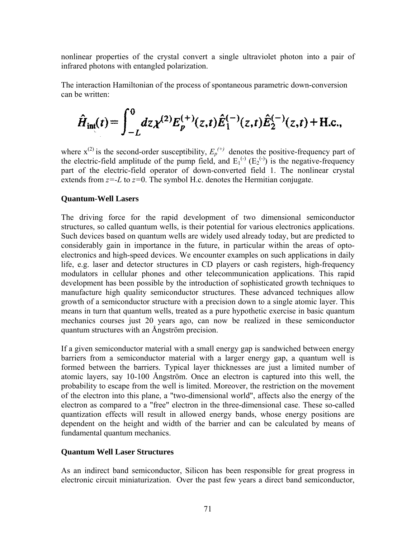nonlinear properties of the crystal convert a single ultraviolet photon into a pair of infrared photons with entangled polarization.

The interaction Hamiltonian of the process of spontaneous parametric down-conversion can be written:

$$
\hat{H}_{\text{int}}(t) = \int_{-L}^{0} dz \chi^{(2)} E_{p}^{(+)}(z,t) \hat{E}_{1}^{(-)}(z,t) \hat{E}_{2}^{(-)}(z,t) + \text{H.c.},
$$

where  $x^{(2)}$  is the second-order susceptibility,  $E_p^{(+)}$  denotes the positive-frequency part of the electric-field amplitude of the pump field, and  $E_1^{(\cdot)}(E_2^{(\cdot)})$  is the negative-frequency part of the electric-field operator of down-converted field 1. The nonlinear crystal extends from  $z=L$  to  $z=0$ . The symbol H.c. denotes the Hermitian conjugate.

### **Quantum-Well Lasers**

The driving force for the rapid development of two dimensional semiconductor structures, so called quantum wells, is their potential for various electronics applications. Such devices based on quantum wells are widely used already today, but are predicted to considerably gain in importance in the future, in particular within the areas of optoelectronics and high-speed devices. We encounter examples on such applications in daily life, e.g. laser and detector structures in CD players or cash registers, high-frequency modulators in cellular phones and other telecommunication applications. This rapid development has been possible by the introduction of sophisticated growth techniques to manufacture high quality semiconductor structures. These advanced techniques allow growth of a semiconductor structure with a precision down to a single atomic layer. This means in turn that quantum wells, treated as a pure hypothetic exercise in basic quantum mechanics courses just 20 years ago, can now be realized in these semiconductor quantum structures with an Ångström precision.

If a given semiconductor material with a small energy gap is sandwiched between energy barriers from a semiconductor material with a larger energy gap, a quantum well is formed between the barriers. Typical layer thicknesses are just a limited number of atomic layers, say 10-100 Ångström. Once an electron is captured into this well, the probability to escape from the well is limited. Moreover, the restriction on the movement of the electron into this plane, a "two-dimensional world", affects also the energy of the electron as compared to a "free" electron in the three-dimensional case. These so-called quantization effects will result in allowed energy bands, whose energy positions are dependent on the height and width of the barrier and can be calculated by means of fundamental quantum mechanics.

### **Quantum Well Laser Structures**

As an indirect band semiconductor, Silicon has been responsible for great progress in electronic circuit miniaturization. Over the past few years a direct band semiconductor,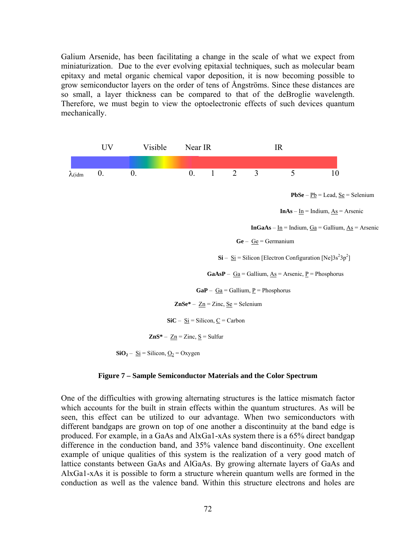Galium Arsenide, has been facilitating a change in the scale of what we expect from miniaturization. Due to the ever evolving epitaxial techniques, such as molecular beam epitaxy and metal organic chemical vapor deposition, it is now becoming possible to grow semiconductor layers on the order of tens of Ångströms. Since these distances are so small, a layer thickness can be compared to that of the deBroglie wavelength. Therefore, we must begin to view the optoelectronic effects of such devices quantum mechanically.



#### **Figure 7 – Sample Semiconductor Materials and the Color Spectrum**

One of the difficulties with growing alternating structures is the lattice mismatch factor which accounts for the built in strain effects within the quantum structures. As will be seen, this effect can be utilized to our advantage. When two semiconductors with different bandgaps are grown on top of one another a discontinuity at the band edge is produced. For example, in a GaAs and AlxGa1-xAs system there is a 65% direct bandgap difference in the conduction band, and 35% valence band discontinuity. One excellent example of unique qualities of this system is the realization of a very good match of lattice constants between GaAs and AlGaAs. By growing alternate layers of GaAs and AlxGa1-xAs it is possible to form a structure wherein quantum wells are formed in the conduction as well as the valence band. Within this structure electrons and holes are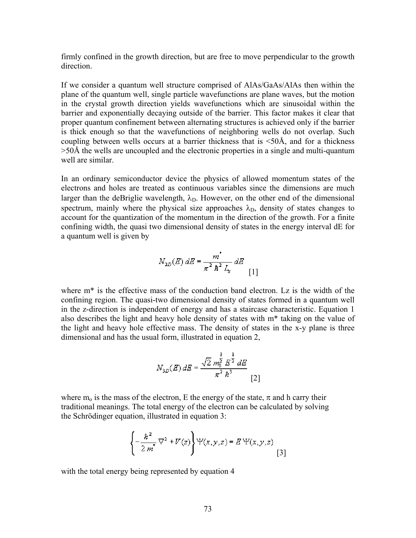firmly confined in the growth direction, but are free to move perpendicular to the growth direction.

If we consider a quantum well structure comprised of AlAs/GaAs/AlAs then within the plane of the quantum well, single particle wavefunctions are plane waves, but the motion in the crystal growth direction yields wavefunctions which are sinusoidal within the barrier and exponentially decaying outside of the barrier. This factor makes it clear that proper quantum confinement between alternating structures is achieved only if the barrier is thick enough so that the wavefunctions of neighboring wells do not overlap. Such coupling between wells occurs at a barrier thickness that is <50Å, and for a thickness >50Å the wells are uncoupled and the electronic properties in a single and multi-quantum well are similar.

In an ordinary semiconductor device the physics of allowed momentum states of the electrons and holes are treated as continuous variables since the dimensions are much larger than the deBriglie wavelength,  $\lambda_{D}$ . However, on the other end of the dimensional spectrum, mainly where the physical size approaches  $\lambda_D$ , density of states changes to account for the quantization of the momentum in the direction of the growth. For a finite confining width, the quasi two dimensional density of states in the energy interval dE for a quantum well is given by

$$
N_{2D}(E) dE = \frac{m^*}{\pi^2 h^2 L_z} dE
$$
 [1]

where  $m^*$  is the effective mass of the conduction band electron. Lz is the width of the confining region. The quasi-two dimensional density of states formed in a quantum well in the z-direction is independent of energy and has a staircase characteristic. Equation 1 also describes the light and heavy hole density of states with m\* taking on the value of the light and heavy hole effective mass. The density of states in the x-y plane is three dimensional and has the usual form, illustrated in equation 2,

$$
N_{3D}(E)\,dE=\frac{\sqrt{2}\,m_0^{\frac{3}{2}}\,E^{\frac{1}{2}}\,dE}{\pi^2\,\hbar^3}\,\frac{1}{\left[2\right]}
$$

where m<sub>o</sub> is the mass of the electron, E the energy of the state,  $\pi$  and h carry their traditional meanings. The total energy of the electron can be calculated by solving the Schrödinger equation, illustrated in equation 3:

$$
\left\{-\frac{\hbar^2}{2m}\nabla^2 + V(z)\right\} \Psi(x, y, z) = E \Psi(x, y, z)
$$
 [3]

with the total energy being represented by equation 4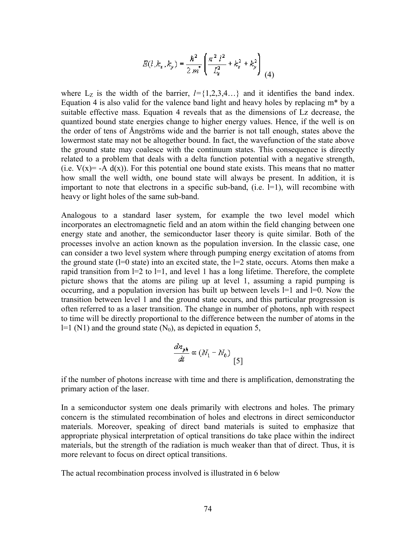$$
E(l, k_x, k_y) = \frac{\hbar^2}{2 m^*} \left( \frac{\pi^2 l^2}{L_x^2} + k_x^2 + k_y^2 \right)
$$
(4)

where  $L_z$  is the width of the barrier,  $l = \{1,2,3,4...\}$  and it identifies the band index. Equation 4 is also valid for the valence band light and heavy holes by replacing  $m^*$  by a suitable effective mass. Equation 4 reveals that as the dimensions of Lz decrease, the quantized bound state energies change to higher energy values. Hence, if the well is on the order of tens of Ångströms wide and the barrier is not tall enough, states above the lowermost state may not be altogether bound. In fact, the wavefunction of the state above the ground state may coalesce with the continuum states. This consequence is directly related to a problem that deals with a delta function potential with a negative strength, (i.e.  $V(x) = -A d(x)$ ). For this potential one bound state exists. This means that no matter how small the well width, one bound state will always be present. In addition, it is important to note that electrons in a specific sub-band, (i.e.  $=$ 1), will recombine with heavy or light holes of the same sub-band.

Analogous to a standard laser system, for example the two level model which incorporates an electromagnetic field and an atom within the field changing between one energy state and another, the semiconductor laser theory is quite similar. Both of the processes involve an action known as the population inversion. In the classic case, one can consider a two level system where through pumping energy excitation of atoms from the ground state  $(1=0 \text{ state})$  into an excited state, the  $1=2$  state, occurs. Atoms then make a rapid transition from  $l=2$  to  $l=1$ , and level 1 has a long lifetime. Therefore, the complete picture shows that the atoms are piling up at level 1, assuming a rapid pumping is occurring, and a population inversion has built up between levels l=1 and l=0. Now the transition between level 1 and the ground state occurs, and this particular progression is often referred to as a laser transition. The change in number of photons, nph with respect to time will be directly proportional to the difference between the number of atoms in the  $l=1$  (N1) and the ground state (N<sub>0</sub>), as depicted in equation 5,

$$
\frac{dn_{pk}}{dt} \propto (N_1 - N_0) \tag{5}
$$

if the number of photons increase with time and there is amplification, demonstrating the primary action of the laser.

In a semiconductor system one deals primarily with electrons and holes. The primary concern is the stimulated recombination of holes and electrons in direct semiconductor materials. Moreover, speaking of direct band materials is suited to emphasize that appropriate physical interpretation of optical transitions do take place within the indirect materials, but the strength of the radiation is much weaker than that of direct. Thus, it is more relevant to focus on direct optical transitions.

The actual recombination process involved is illustrated in 6 below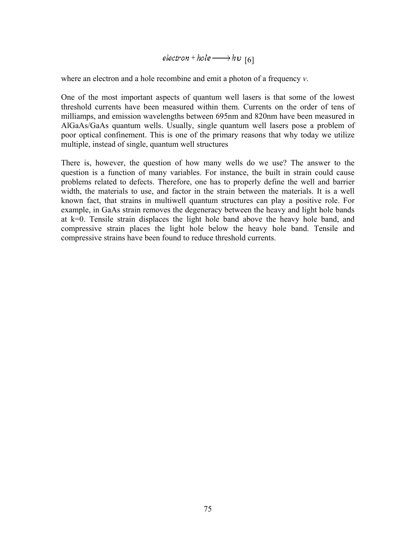$electron + hole \longrightarrow hv$  [6]

where an electron and a hole recombine and emit a photon of a frequency *v*.

One of the most important aspects of quantum well lasers is that some of the lowest threshold currents have been measured within them. Currents on the order of tens of milliamps, and emission wavelengths between 695nm and 820nm have been measured in AlGaAs/GaAs quantum wells. Usually, single quantum well lasers pose a problem of poor optical confinement. This is one of the primary reasons that why today we utilize multiple, instead of single, quantum well structures

There is, however, the question of how many wells do we use? The answer to the question is a function of many variables. For instance, the built in strain could cause problems related to defects. Therefore, one has to properly define the well and barrier width, the materials to use, and factor in the strain between the materials. It is a well known fact, that strains in multiwell quantum structures can play a positive role. For example, in GaAs strain removes the degeneracy between the heavy and light hole bands at k=0. Tensile strain displaces the light hole band above the heavy hole band, and compressive strain places the light hole below the heavy hole band. Tensile and compressive strains have been found to reduce threshold currents.